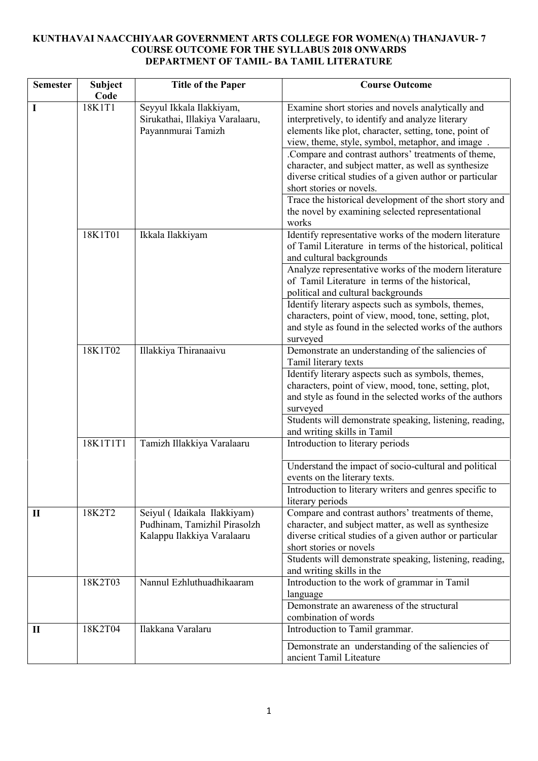# **KUNTHAVAI NAACCHIYAAR GOVERNMENT ARTS COLLEGE FOR WOMEN(A) THANJAVUR- 7 COURSE OUTCOME FOR THE SYLLABUS 2018 ONWARDS DEPARTMENT OF TAMIL- BA TAMIL LITERATURE**

| <b>Semester</b> | <b>Subject</b> | <b>Title of the Paper</b>                                   | <b>Course Outcome</b>                                                                                    |
|-----------------|----------------|-------------------------------------------------------------|----------------------------------------------------------------------------------------------------------|
|                 | Code           |                                                             |                                                                                                          |
| I               | 18K1T1         | Seyyul Ikkala Ilakkiyam,<br>Sirukathai, Illakiya Varalaaru, | Examine short stories and novels analytically and<br>interpretively, to identify and analyze literary    |
|                 |                | Payannmurai Tamizh                                          | elements like plot, character, setting, tone, point of                                                   |
|                 |                |                                                             | view, theme, style, symbol, metaphor, and image.                                                         |
|                 |                |                                                             | .Compare and contrast authors' treatments of theme,                                                      |
|                 |                |                                                             | character, and subject matter, as well as synthesize                                                     |
|                 |                |                                                             | diverse critical studies of a given author or particular                                                 |
|                 |                |                                                             | short stories or novels.                                                                                 |
|                 |                |                                                             | Trace the historical development of the short story and                                                  |
|                 |                |                                                             | the novel by examining selected representational                                                         |
|                 |                |                                                             | works                                                                                                    |
|                 | 18K1T01        | Ikkala Ilakkiyam                                            | Identify representative works of the modern literature                                                   |
|                 |                |                                                             | of Tamil Literature in terms of the historical, political                                                |
|                 |                |                                                             | and cultural backgrounds                                                                                 |
|                 |                |                                                             | Analyze representative works of the modern literature<br>of Tamil Literature in terms of the historical, |
|                 |                |                                                             | political and cultural backgrounds                                                                       |
|                 |                |                                                             | Identify literary aspects such as symbols, themes,                                                       |
|                 |                |                                                             | characters, point of view, mood, tone, setting, plot,                                                    |
|                 |                |                                                             | and style as found in the selected works of the authors                                                  |
|                 |                |                                                             | surveyed                                                                                                 |
|                 | 18K1T02        | Illakkiya Thiranaaivu                                       | Demonstrate an understanding of the saliencies of<br>Tamil literary texts                                |
|                 |                |                                                             | Identify literary aspects such as symbols, themes,                                                       |
|                 |                |                                                             | characters, point of view, mood, tone, setting, plot,                                                    |
|                 |                |                                                             | and style as found in the selected works of the authors                                                  |
|                 |                |                                                             | surveyed                                                                                                 |
|                 |                |                                                             | Students will demonstrate speaking, listening, reading,                                                  |
|                 |                |                                                             | and writing skills in Tamil                                                                              |
|                 | 18K1T1T1       | Tamizh Illakkiya Varalaaru                                  | Introduction to literary periods                                                                         |
|                 |                |                                                             | Understand the impact of socio-cultural and political                                                    |
|                 |                |                                                             | events on the literary texts.                                                                            |
|                 |                |                                                             | Introduction to literary writers and genres specific to                                                  |
|                 |                |                                                             | literary periods                                                                                         |
| $\mathbf{I}$    | 18K2T2         | Seiyul (Idaikala Ilakkiyam)                                 | Compare and contrast authors' treatments of theme,                                                       |
|                 |                | Pudhinam, Tamizhil Pirasolzh                                | character, and subject matter, as well as synthesize                                                     |
|                 |                | Kalappu Ilakkiya Varalaaru                                  | diverse critical studies of a given author or particular<br>short stories or novels                      |
|                 |                |                                                             | Students will demonstrate speaking, listening, reading,                                                  |
|                 |                |                                                             | and writing skills in the                                                                                |
|                 | 18K2T03        | Nannul Ezhluthuadhikaaram                                   | Introduction to the work of grammar in Tamil                                                             |
|                 |                |                                                             | language                                                                                                 |
|                 |                |                                                             | Demonstrate an awareness of the structural                                                               |
|                 |                |                                                             | combination of words                                                                                     |
| $\mathbf{I}$    | 18K2T04        | Ilakkana Varalaru                                           | Introduction to Tamil grammar.                                                                           |
|                 |                |                                                             | Demonstrate an understanding of the saliencies of                                                        |
|                 |                |                                                             | ancient Tamil Liteature                                                                                  |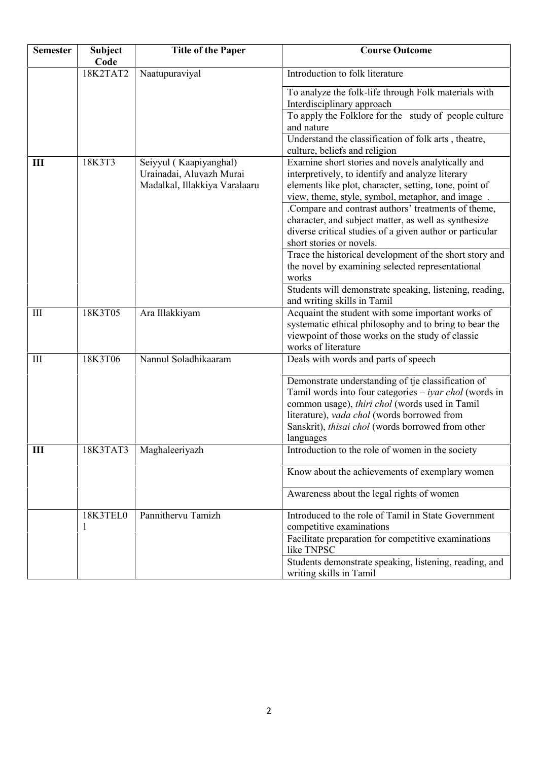| <b>Semester</b> | <b>Subject</b><br>Code | <b>Title of the Paper</b>                                                           | <b>Course Outcome</b>                                                                                                                                                                                                                                                                    |
|-----------------|------------------------|-------------------------------------------------------------------------------------|------------------------------------------------------------------------------------------------------------------------------------------------------------------------------------------------------------------------------------------------------------------------------------------|
|                 | 18K2TAT2               | Naatupuraviyal                                                                      | Introduction to folk literature                                                                                                                                                                                                                                                          |
|                 |                        |                                                                                     | To analyze the folk-life through Folk materials with<br>Interdisciplinary approach                                                                                                                                                                                                       |
|                 |                        |                                                                                     | To apply the Folklore for the study of people culture<br>and nature                                                                                                                                                                                                                      |
|                 |                        |                                                                                     | Understand the classification of folk arts, theatre,<br>culture, beliefs and religion                                                                                                                                                                                                    |
| III             | 18K3T3                 | Seiyyul (Kaapiyanghal)<br>Urainadai, Aluvazh Murai<br>Madalkal, Illakkiya Varalaaru | Examine short stories and novels analytically and<br>interpretively, to identify and analyze literary<br>elements like plot, character, setting, tone, point of<br>view, theme, style, symbol, metaphor, and image.                                                                      |
|                 |                        |                                                                                     | .Compare and contrast authors' treatments of theme,<br>character, and subject matter, as well as synthesize<br>diverse critical studies of a given author or particular<br>short stories or novels.<br>Trace the historical development of the short story and                           |
|                 |                        |                                                                                     | the novel by examining selected representational<br>works                                                                                                                                                                                                                                |
|                 |                        |                                                                                     | Students will demonstrate speaking, listening, reading,<br>and writing skills in Tamil                                                                                                                                                                                                   |
| III             | 18K3T05                | Ara Illakkiyam                                                                      | Acquaint the student with some important works of<br>systematic ethical philosophy and to bring to bear the<br>viewpoint of those works on the study of classic<br>works of literature                                                                                                   |
| III             | 18K3T06                | Nannul Soladhikaaram                                                                | Deals with words and parts of speech                                                                                                                                                                                                                                                     |
|                 |                        |                                                                                     | Demonstrate understanding of tje classification of<br>Tamil words into four categories $-$ <i>iyar chol</i> (words in<br>common usage), thiri chol (words used in Tamil<br>literature), vada chol (words borrowed from<br>Sanskrit), thisai chol (words borrowed from other<br>languages |
| Ш               | 18K3TAT3               | Maghaleeriyazh                                                                      | Introduction to the role of women in the society                                                                                                                                                                                                                                         |
|                 |                        |                                                                                     | Know about the achievements of exemplary women                                                                                                                                                                                                                                           |
|                 |                        |                                                                                     | Awareness about the legal rights of women                                                                                                                                                                                                                                                |
|                 | 18K3TEL0<br>1          | Pannithervu Tamizh                                                                  | Introduced to the role of Tamil in State Government<br>competitive examinations                                                                                                                                                                                                          |
|                 |                        |                                                                                     | Facilitate preparation for competitive examinations<br>like TNPSC                                                                                                                                                                                                                        |
|                 |                        |                                                                                     | Students demonstrate speaking, listening, reading, and<br>writing skills in Tamil                                                                                                                                                                                                        |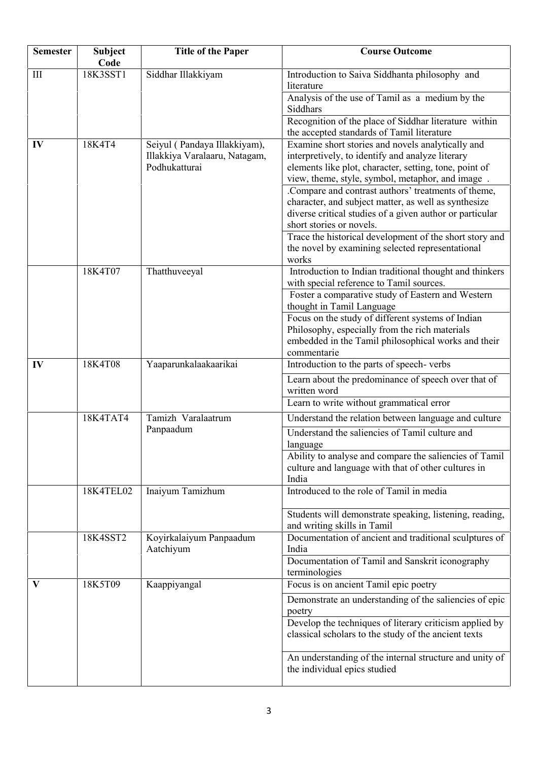| <b>Semester</b> | <b>Subject</b><br>Code | <b>Title of the Paper</b>            | <b>Course Outcome</b>                                                                                           |
|-----------------|------------------------|--------------------------------------|-----------------------------------------------------------------------------------------------------------------|
| III             | 18K3SST1               | Siddhar Illakkiyam                   | Introduction to Saiva Siddhanta philosophy and<br>literature                                                    |
|                 |                        |                                      | Analysis of the use of Tamil as a medium by the<br>Siddhars                                                     |
|                 |                        |                                      | Recognition of the place of Siddhar literature within                                                           |
|                 |                        |                                      | the accepted standards of Tamil literature                                                                      |
| IV              | 18K4T4                 | Seiyul (Pandaya Illakkiyam),         | Examine short stories and novels analytically and                                                               |
|                 |                        | Illakkiya Varalaaru, Natagam,        | interpretively, to identify and analyze literary                                                                |
|                 |                        | Podhukatturai                        | elements like plot, character, setting, tone, point of<br>view, theme, style, symbol, metaphor, and image.      |
|                 |                        |                                      | .Compare and contrast authors' treatments of theme,                                                             |
|                 |                        |                                      | character, and subject matter, as well as synthesize                                                            |
|                 |                        |                                      | diverse critical studies of a given author or particular                                                        |
|                 |                        |                                      | short stories or novels.                                                                                        |
|                 |                        |                                      | Trace the historical development of the short story and                                                         |
|                 |                        |                                      | the novel by examining selected representational                                                                |
|                 | 18K4T07                | Thatthuveeyal                        | works<br>Introduction to Indian traditional thought and thinkers                                                |
|                 |                        |                                      | with special reference to Tamil sources.                                                                        |
|                 |                        |                                      | Foster a comparative study of Eastern and Western                                                               |
|                 |                        |                                      | thought in Tamil Language                                                                                       |
|                 |                        |                                      | Focus on the study of different systems of Indian                                                               |
|                 |                        |                                      | Philosophy, especially from the rich materials                                                                  |
|                 |                        |                                      | embedded in the Tamil philosophical works and their                                                             |
| IV              | 18K4T08                | Yaaparunkalaakaarikai                | commentarie<br>Introduction to the parts of speech-verbs                                                        |
|                 |                        |                                      |                                                                                                                 |
|                 |                        |                                      | Learn about the predominance of speech over that of<br>written word                                             |
|                 |                        |                                      | Learn to write without grammatical error                                                                        |
|                 | 18K4TAT4               | Tamizh Varalaatrum                   | Understand the relation between language and culture                                                            |
|                 |                        | Panpaadum                            | Understand the saliencies of Tamil culture and<br>language                                                      |
|                 |                        |                                      | Ability to analyse and compare the saliencies of Tamil                                                          |
|                 |                        |                                      | culture and language with that of other cultures in                                                             |
|                 |                        |                                      | India                                                                                                           |
|                 | 18K4TEL02              | Inaiyum Tamizhum                     | Introduced to the role of Tamil in media                                                                        |
|                 |                        |                                      | Students will demonstrate speaking, listening, reading,<br>and writing skills in Tamil                          |
|                 | 18K4SST2               | Koyirkalaiyum Panpaadum<br>Aatchiyum | Documentation of ancient and traditional sculptures of<br>India                                                 |
|                 |                        |                                      | Documentation of Tamil and Sanskrit iconography<br>terminologies                                                |
| $\mathbf{V}$    | 18K5T09                | Kaappiyangal                         | Focus is on ancient Tamil epic poetry                                                                           |
|                 |                        |                                      | Demonstrate an understanding of the saliencies of epic                                                          |
|                 |                        |                                      | poetry                                                                                                          |
|                 |                        |                                      | Develop the techniques of literary criticism applied by<br>classical scholars to the study of the ancient texts |
|                 |                        |                                      | An understanding of the internal structure and unity of<br>the individual epics studied                         |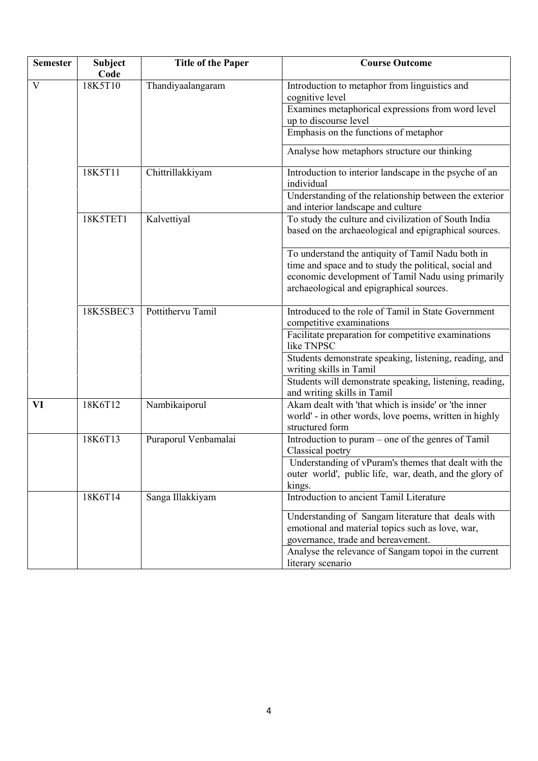| <b>Semester</b> | <b>Subject</b><br>Code | <b>Title of the Paper</b> | <b>Course Outcome</b>                                                                                                                                                                                        |
|-----------------|------------------------|---------------------------|--------------------------------------------------------------------------------------------------------------------------------------------------------------------------------------------------------------|
| V               | 18K5T10                | Thandiyaalangaram         | Introduction to metaphor from linguistics and<br>cognitive level                                                                                                                                             |
|                 |                        |                           | Examines metaphorical expressions from word level<br>up to discourse level                                                                                                                                   |
|                 |                        |                           | Emphasis on the functions of metaphor                                                                                                                                                                        |
|                 |                        |                           | Analyse how metaphors structure our thinking                                                                                                                                                                 |
|                 | 18K5T11                | Chittrillakkiyam          | Introduction to interior landscape in the psyche of an<br>individual                                                                                                                                         |
|                 |                        |                           | Understanding of the relationship between the exterior<br>and interior landscape and culture                                                                                                                 |
|                 | 18K5TET1               | Kalvettiyal               | To study the culture and civilization of South India<br>based on the archaeological and epigraphical sources.                                                                                                |
|                 |                        |                           | To understand the antiquity of Tamil Nadu both in<br>time and space and to study the political, social and<br>economic development of Tamil Nadu using primarily<br>archaeological and epigraphical sources. |
|                 | 18K5SBEC3              | Pottithervu Tamil         | Introduced to the role of Tamil in State Government<br>competitive examinations                                                                                                                              |
|                 |                        |                           | Facilitate preparation for competitive examinations<br>like TNPSC                                                                                                                                            |
|                 |                        |                           | Students demonstrate speaking, listening, reading, and<br>writing skills in Tamil                                                                                                                            |
|                 |                        |                           | Students will demonstrate speaking, listening, reading,<br>and writing skills in Tamil                                                                                                                       |
| VI              | 18K6T12                | Nambikaiporul             | Akam dealt with 'that which is inside' or 'the inner<br>world' - in other words, love poems, written in highly<br>structured form                                                                            |
|                 | 18K6T13                | Puraporul Venbamalai      | Introduction to puram – one of the genres of Tamil<br>Classical poetry                                                                                                                                       |
|                 |                        |                           | Understanding of vPuram's themes that dealt with the<br>outer world', public life, war, death, and the glory of<br>kings.                                                                                    |
|                 | 18K6T14                | Sanga Illakkiyam          | Introduction to ancient Tamil Literature                                                                                                                                                                     |
|                 |                        |                           | Understanding of Sangam literature that deals with<br>emotional and material topics such as love, war,<br>governance, trade and bereavement.                                                                 |
|                 |                        |                           | Analyse the relevance of Sangam topoi in the current<br>literary scenario                                                                                                                                    |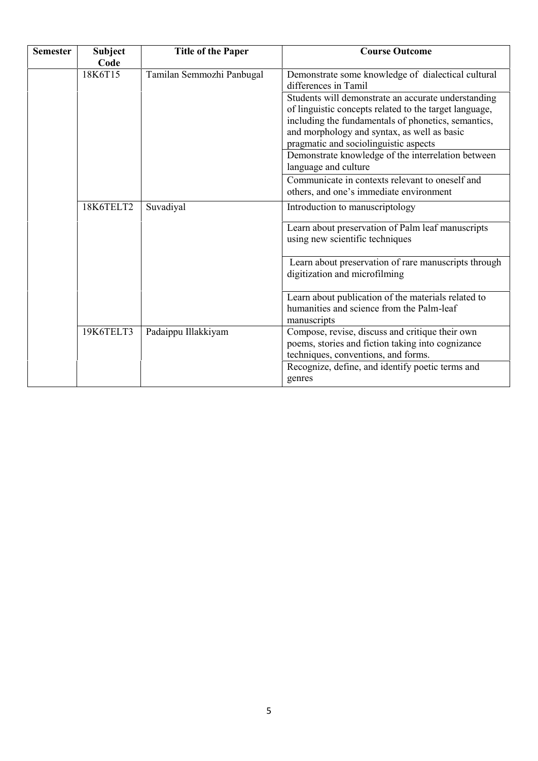| <b>Semester</b> | <b>Subject</b><br>Code | <b>Title of the Paper</b> | <b>Course Outcome</b>                                                                                                                                                                                                                                        |
|-----------------|------------------------|---------------------------|--------------------------------------------------------------------------------------------------------------------------------------------------------------------------------------------------------------------------------------------------------------|
|                 | 18K6T15                | Tamilan Semmozhi Panbugal | Demonstrate some knowledge of dialectical cultural<br>differences in Tamil                                                                                                                                                                                   |
|                 |                        |                           | Students will demonstrate an accurate understanding<br>of linguistic concepts related to the target language,<br>including the fundamentals of phonetics, semantics,<br>and morphology and syntax, as well as basic<br>pragmatic and sociolinguistic aspects |
|                 |                        |                           | Demonstrate knowledge of the interrelation between<br>language and culture                                                                                                                                                                                   |
|                 |                        |                           | Communicate in contexts relevant to oneself and<br>others, and one's immediate environment                                                                                                                                                                   |
|                 | 18K6TELT2              | Suvadiyal                 | Introduction to manuscriptology                                                                                                                                                                                                                              |
|                 |                        |                           | Learn about preservation of Palm leaf manuscripts<br>using new scientific techniques                                                                                                                                                                         |
|                 |                        |                           | Learn about preservation of rare manuscripts through<br>digitization and microfilming                                                                                                                                                                        |
|                 |                        |                           | Learn about publication of the materials related to<br>humanities and science from the Palm-leaf<br>manuscripts                                                                                                                                              |
|                 | 19K6TELT3              | Padaippu Illakkiyam       | Compose, revise, discuss and critique their own<br>poems, stories and fiction taking into cognizance<br>techniques, conventions, and forms.                                                                                                                  |
|                 |                        |                           | Recognize, define, and identify poetic terms and<br>genres                                                                                                                                                                                                   |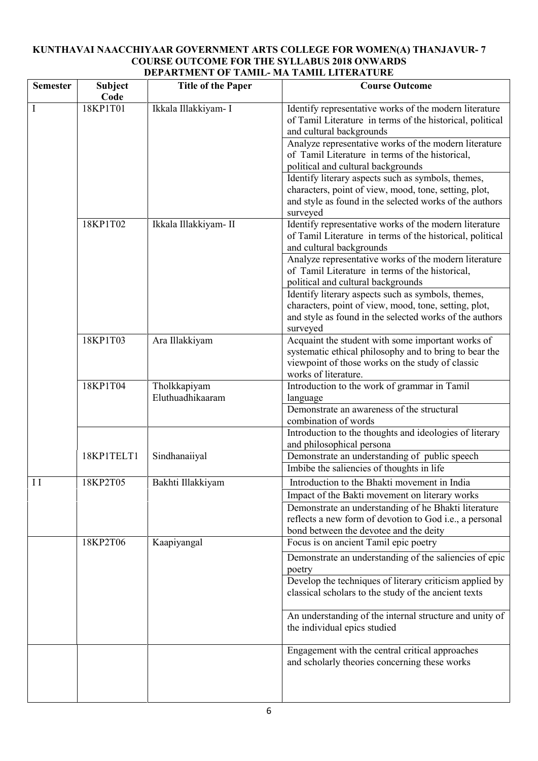## **KUNTHAVAI NAACCHIYAAR GOVERNMENT ARTS COLLEGE FOR WOMEN(A) THANJAVUR- 7 COURSE OUTCOME FOR THE SYLLABUS 2018 ONWARDS DEPARTMENT OF TAMIL- MA TAMIL LITERATURE**

| <b>Semester</b> | <b>Subject</b><br>Code | <b>Title of the Paper</b>        | <b>Course Outcome</b>                                                                                                                                                                   |
|-----------------|------------------------|----------------------------------|-----------------------------------------------------------------------------------------------------------------------------------------------------------------------------------------|
| I               | 18KP1T01               | Ikkala Illakkiyam- I             | Identify representative works of the modern literature<br>of Tamil Literature in terms of the historical, political<br>and cultural backgrounds                                         |
|                 |                        |                                  | Analyze representative works of the modern literature<br>of Tamil Literature in terms of the historical,<br>political and cultural backgrounds                                          |
|                 |                        |                                  | Identify literary aspects such as symbols, themes,<br>characters, point of view, mood, tone, setting, plot,<br>and style as found in the selected works of the authors<br>surveyed      |
|                 | 18KP1T02               | Ikkala Illakkiyam- II            | Identify representative works of the modern literature<br>of Tamil Literature in terms of the historical, political<br>and cultural backgrounds                                         |
|                 |                        |                                  | Analyze representative works of the modern literature<br>of Tamil Literature in terms of the historical,<br>political and cultural backgrounds                                          |
|                 |                        |                                  | Identify literary aspects such as symbols, themes,<br>characters, point of view, mood, tone, setting, plot,<br>and style as found in the selected works of the authors<br>surveyed      |
|                 | 18KP1T03               | Ara Illakkiyam                   | Acquaint the student with some important works of<br>systematic ethical philosophy and to bring to bear the<br>viewpoint of those works on the study of classic<br>works of literature. |
|                 | 18KP1T04               | Tholkkapiyam<br>Eluthuadhikaaram | Introduction to the work of grammar in Tamil<br>language<br>Demonstrate an awareness of the structural                                                                                  |
|                 |                        |                                  | combination of words<br>Introduction to the thoughts and ideologies of literary                                                                                                         |
|                 | 18KP1TELT1             | Sindhanaiiyal                    | and philosophical persona<br>Demonstrate an understanding of public speech<br>Imbibe the saliencies of thoughts in life                                                                 |
| $\prod$         | 18KP2T05               | Bakhti Illakkiyam                | Introduction to the Bhakti movement in India<br>Impact of the Bakti movement on literary works                                                                                          |
|                 |                        |                                  | Demonstrate an understanding of he Bhakti literature<br>reflects a new form of devotion to God <i>i.e.</i> , a personal<br>bond between the devotee and the deity                       |
|                 | 18KP2T06               | Kaapiyangal                      | Focus is on ancient Tamil epic poetry                                                                                                                                                   |
|                 |                        |                                  | Demonstrate an understanding of the saliencies of epic<br>poetry<br>Develop the techniques of literary criticism applied by<br>classical scholars to the study of the ancient texts     |
|                 |                        |                                  | An understanding of the internal structure and unity of<br>the individual epics studied                                                                                                 |
|                 |                        |                                  | Engagement with the central critical approaches<br>and scholarly theories concerning these works                                                                                        |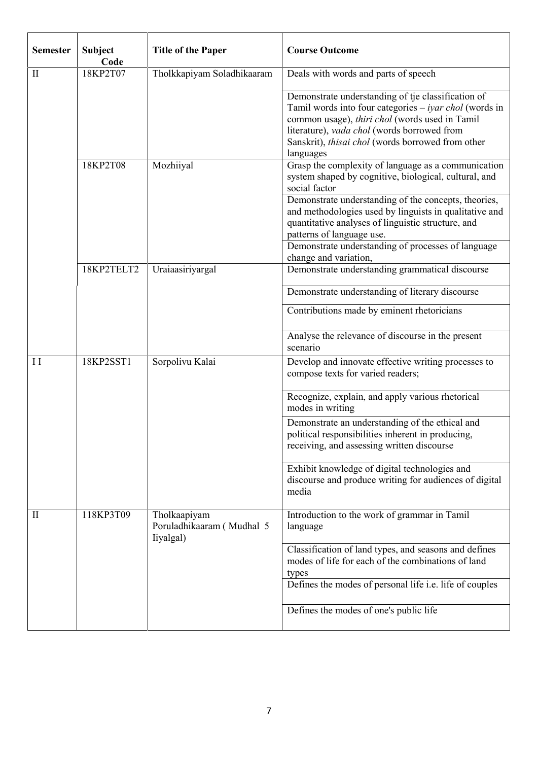| <b>Semester</b> | <b>Subject</b><br>Code | <b>Title of the Paper</b>                              | <b>Course Outcome</b>                                                                                                                                                                                                                                                                    |
|-----------------|------------------------|--------------------------------------------------------|------------------------------------------------------------------------------------------------------------------------------------------------------------------------------------------------------------------------------------------------------------------------------------------|
| $\mathbf{I}$    | 18KP2T07               | Tholkkapiyam Soladhikaaram                             | Deals with words and parts of speech                                                                                                                                                                                                                                                     |
|                 |                        |                                                        | Demonstrate understanding of tje classification of<br>Tamil words into four categories $-$ <i>iyar chol</i> (words in<br>common usage), thiri chol (words used in Tamil<br>literature), vada chol (words borrowed from<br>Sanskrit), thisai chol (words borrowed from other<br>languages |
|                 | 18KP2T08               | Mozhiiyal                                              | Grasp the complexity of language as a communication<br>system shaped by cognitive, biological, cultural, and<br>social factor                                                                                                                                                            |
|                 |                        |                                                        | Demonstrate understanding of the concepts, theories,<br>and methodologies used by linguists in qualitative and<br>quantitative analyses of linguistic structure, and<br>patterns of language use.                                                                                        |
|                 |                        |                                                        | Demonstrate understanding of processes of language<br>change and variation,                                                                                                                                                                                                              |
|                 | 18KP2TELT2             | Uraiaasiriyargal                                       | Demonstrate understanding grammatical discourse                                                                                                                                                                                                                                          |
|                 |                        |                                                        | Demonstrate understanding of literary discourse                                                                                                                                                                                                                                          |
|                 |                        |                                                        | Contributions made by eminent rhetoricians                                                                                                                                                                                                                                               |
|                 |                        |                                                        | Analyse the relevance of discourse in the present<br>scenario                                                                                                                                                                                                                            |
| $\mathbf{I}$    | 18KP2SST1              | Sorpolivu Kalai                                        | Develop and innovate effective writing processes to<br>compose texts for varied readers;                                                                                                                                                                                                 |
|                 |                        |                                                        | Recognize, explain, and apply various rhetorical<br>modes in writing                                                                                                                                                                                                                     |
|                 |                        |                                                        | Demonstrate an understanding of the ethical and<br>political responsibilities inherent in producing,<br>receiving, and assessing written discourse                                                                                                                                       |
|                 |                        |                                                        | Exhibit knowledge of digital technologies and<br>discourse and produce writing for audiences of digital<br>media                                                                                                                                                                         |
| $\mathbf{I}$    | 118KP3T09              | Tholkaapiyam<br>Poruladhikaaram (Mudhal 5<br>liyalgal) | Introduction to the work of grammar in Tamil<br>language                                                                                                                                                                                                                                 |
|                 |                        |                                                        | Classification of land types, and seasons and defines<br>modes of life for each of the combinations of land<br>types                                                                                                                                                                     |
|                 |                        |                                                        | Defines the modes of personal life i.e. life of couples                                                                                                                                                                                                                                  |
|                 |                        |                                                        | Defines the modes of one's public life                                                                                                                                                                                                                                                   |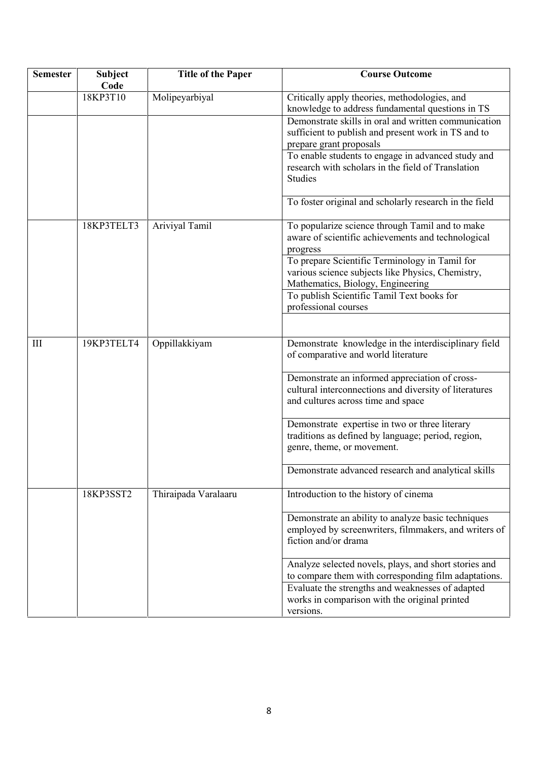| <b>Semester</b> | Subject<br>Code | <b>Title of the Paper</b> | <b>Course Outcome</b>                                                                                                                                                                                                           |
|-----------------|-----------------|---------------------------|---------------------------------------------------------------------------------------------------------------------------------------------------------------------------------------------------------------------------------|
|                 | 18KP3T10        | Molipeyarbiyal            | Critically apply theories, methodologies, and<br>knowledge to address fundamental questions in TS                                                                                                                               |
|                 |                 |                           | Demonstrate skills in oral and written communication<br>sufficient to publish and present work in TS and to<br>prepare grant proposals                                                                                          |
|                 |                 |                           | To enable students to engage in advanced study and<br>research with scholars in the field of Translation<br><b>Studies</b>                                                                                                      |
|                 |                 |                           | To foster original and scholarly research in the field                                                                                                                                                                          |
|                 | 18KP3TELT3      | Ariviyal Tamil            | To popularize science through Tamil and to make<br>aware of scientific achievements and technological<br>progress                                                                                                               |
|                 |                 |                           | To prepare Scientific Terminology in Tamil for<br>various science subjects like Physics, Chemistry,<br>Mathematics, Biology, Engineering                                                                                        |
|                 |                 |                           | To publish Scientific Tamil Text books for<br>professional courses                                                                                                                                                              |
| III             | 19KP3TELT4      | Oppillakkiyam             | Demonstrate knowledge in the interdisciplinary field<br>of comparative and world literature                                                                                                                                     |
|                 |                 |                           | Demonstrate an informed appreciation of cross-<br>cultural interconnections and diversity of literatures<br>and cultures across time and space                                                                                  |
|                 |                 |                           | Demonstrate expertise in two or three literary<br>traditions as defined by language; period, region,<br>genre, theme, or movement.                                                                                              |
|                 |                 |                           | Demonstrate advanced research and analytical skills                                                                                                                                                                             |
|                 | 18KP3SST2       | Thiraipada Varalaaru      | Introduction to the history of cinema                                                                                                                                                                                           |
|                 |                 |                           | Demonstrate an ability to analyze basic techniques<br>employed by screenwriters, filmmakers, and writers of<br>fiction and/or drama                                                                                             |
|                 |                 |                           | Analyze selected novels, plays, and short stories and<br>to compare them with corresponding film adaptations.<br>Evaluate the strengths and weaknesses of adapted<br>works in comparison with the original printed<br>versions. |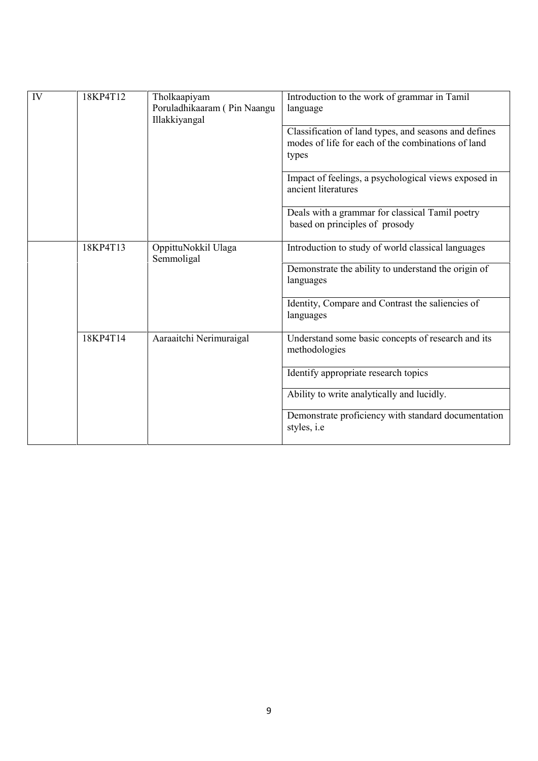| IV | 18KP4T12 | Tholkaapiyam<br>Poruladhikaaram (Pin Naangu<br>Illakkiyangal | Introduction to the work of grammar in Tamil<br>language                                                             |
|----|----------|--------------------------------------------------------------|----------------------------------------------------------------------------------------------------------------------|
|    |          |                                                              | Classification of land types, and seasons and defines<br>modes of life for each of the combinations of land<br>types |
|    |          |                                                              | Impact of feelings, a psychological views exposed in<br>ancient literatures                                          |
|    |          |                                                              | Deals with a grammar for classical Tamil poetry<br>based on principles of prosody                                    |
|    | 18KP4T13 | OppittuNokkil Ulaga<br>Semmoligal                            | Introduction to study of world classical languages                                                                   |
|    |          |                                                              | Demonstrate the ability to understand the origin of<br>languages                                                     |
|    |          |                                                              | Identity, Compare and Contrast the saliencies of<br>languages                                                        |
|    | 18KP4T14 | Aaraaitchi Nerimuraigal                                      | Understand some basic concepts of research and its<br>methodologies                                                  |
|    |          |                                                              | Identify appropriate research topics                                                                                 |
|    |          |                                                              | Ability to write analytically and lucidly.                                                                           |
|    |          |                                                              | Demonstrate proficiency with standard documentation<br>styles, <i>i.e</i>                                            |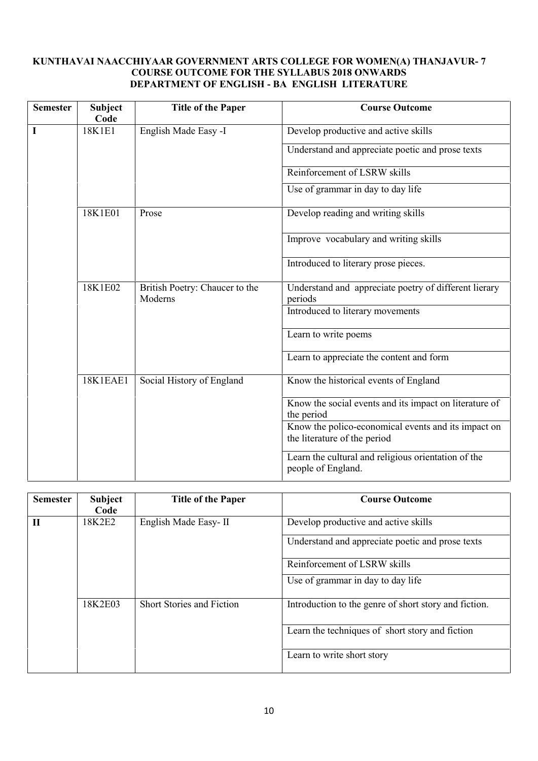## **KUNTHAVAI NAACCHIYAAR GOVERNMENT ARTS COLLEGE FOR WOMEN(A) THANJAVUR- 7 COURSE OUTCOME FOR THE SYLLABUS 2018 ONWARDS DEPARTMENT OF ENGLISH - BA ENGLISH LITERATURE**

| <b>Semester</b> | <b>Subject</b><br>Code                       | <b>Title of the Paper</b>                 | <b>Course Outcome</b>                                                               |
|-----------------|----------------------------------------------|-------------------------------------------|-------------------------------------------------------------------------------------|
| I               | 18K1E1                                       | English Made Easy -I                      | Develop productive and active skills                                                |
|                 |                                              |                                           | Understand and appreciate poetic and prose texts                                    |
|                 |                                              |                                           | Reinforcement of LSRW skills                                                        |
|                 |                                              |                                           | Use of grammar in day to day life                                                   |
|                 | 18K1E01                                      | Prose                                     | Develop reading and writing skills                                                  |
|                 |                                              |                                           | Improve vocabulary and writing skills                                               |
|                 |                                              |                                           | Introduced to literary prose pieces.                                                |
|                 | 18K1E02                                      | British Poetry: Chaucer to the<br>Moderns | Understand and appreciate poetry of different lierary<br>periods                    |
|                 |                                              |                                           | Introduced to literary movements                                                    |
|                 |                                              |                                           | Learn to write poems                                                                |
|                 |                                              |                                           | Learn to appreciate the content and form                                            |
|                 | <b>18K1EAE1</b><br>Social History of England | Know the historical events of England     |                                                                                     |
|                 |                                              |                                           | Know the social events and its impact on literature of<br>the period                |
|                 |                                              |                                           | Know the polico-economical events and its impact on<br>the literature of the period |
|                 |                                              |                                           | Learn the cultural and religious orientation of the<br>people of England.           |

| <b>Subject</b><br>Code | <b>Title of the Paper</b>        | <b>Course Outcome</b>                                 |
|------------------------|----------------------------------|-------------------------------------------------------|
| 18K2E2                 | English Made Easy-II             | Develop productive and active skills                  |
|                        |                                  | Understand and appreciate poetic and prose texts      |
|                        |                                  | Reinforcement of LSRW skills                          |
|                        |                                  | Use of grammar in day to day life                     |
| 18K2E03                | <b>Short Stories and Fiction</b> | Introduction to the genre of short story and fiction. |
|                        |                                  | Learn the techniques of short story and fiction       |
|                        |                                  | Learn to write short story                            |
|                        |                                  |                                                       |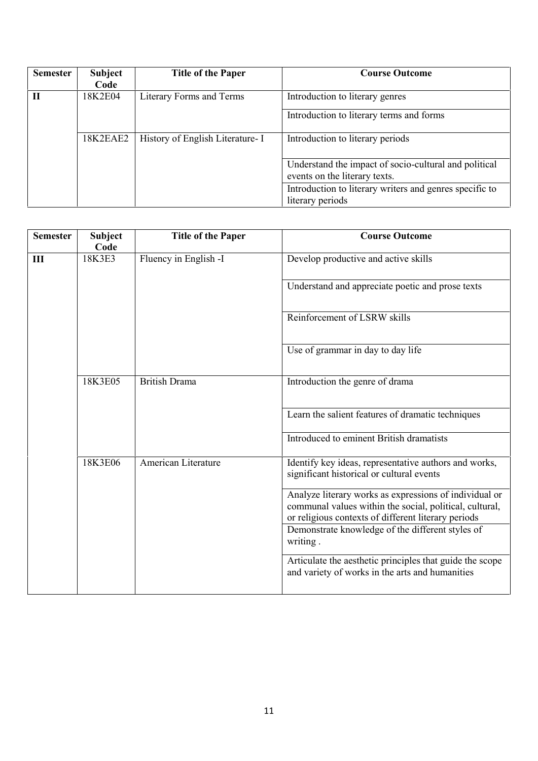| <b>Semester</b> | <b>Subject</b> | <b>Title of the Paper</b>        | <b>Course Outcome</b>                                                                  |
|-----------------|----------------|----------------------------------|----------------------------------------------------------------------------------------|
|                 | Code           |                                  |                                                                                        |
|                 | 18K2E04        | Literary Forms and Terms         | Introduction to literary genres                                                        |
|                 |                |                                  | Introduction to literary terms and forms                                               |
|                 | 18K2EAE2       | History of English Literature- I | Introduction to literary periods                                                       |
|                 |                |                                  | Understand the impact of socio-cultural and political<br>events on the literary texts. |
|                 |                |                                  | Introduction to literary writers and genres specific to<br>literary periods            |

| <b>Semester</b> | <b>Subject</b><br>Code | <b>Title of the Paper</b> | <b>Course Outcome</b>                                                                                                                                                    |
|-----------------|------------------------|---------------------------|--------------------------------------------------------------------------------------------------------------------------------------------------------------------------|
| III             | 18K3E3                 | Fluency in English -I     | Develop productive and active skills                                                                                                                                     |
|                 |                        |                           | Understand and appreciate poetic and prose texts                                                                                                                         |
|                 |                        |                           | Reinforcement of LSRW skills                                                                                                                                             |
|                 |                        |                           | Use of grammar in day to day life                                                                                                                                        |
|                 | 18K3E05                | <b>British Drama</b>      | Introduction the genre of drama                                                                                                                                          |
|                 |                        |                           | Learn the salient features of dramatic techniques                                                                                                                        |
|                 |                        |                           | Introduced to eminent British dramatists                                                                                                                                 |
|                 | 18K3E06                | American Literature       | Identify key ideas, representative authors and works,<br>significant historical or cultural events                                                                       |
|                 |                        |                           | Analyze literary works as expressions of individual or<br>communal values within the social, political, cultural,<br>or religious contexts of different literary periods |
|                 |                        |                           | Demonstrate knowledge of the different styles of<br>writing.                                                                                                             |
|                 |                        |                           | Articulate the aesthetic principles that guide the scope<br>and variety of works in the arts and humanities                                                              |
|                 |                        |                           |                                                                                                                                                                          |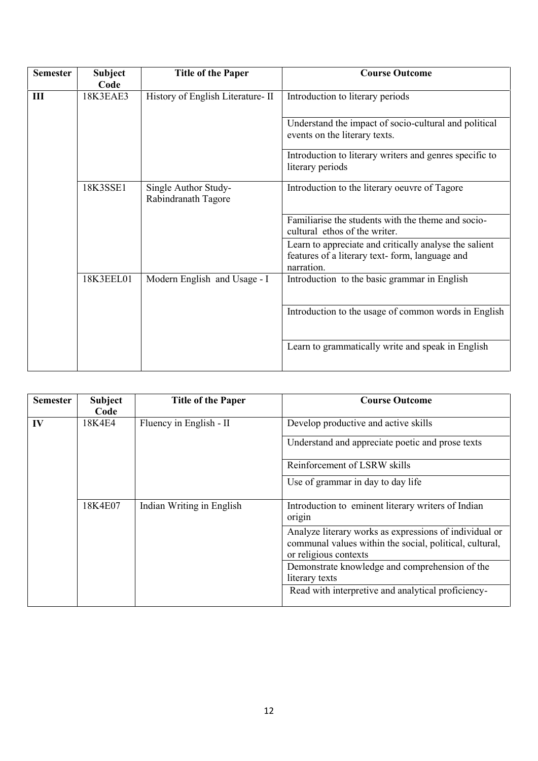| <b>Semester</b> | <b>Subject</b><br>Code | <b>Title of the Paper</b>                   | <b>Course Outcome</b>                                                                                                  |
|-----------------|------------------------|---------------------------------------------|------------------------------------------------------------------------------------------------------------------------|
| III             | 18K3EAE3               | History of English Literature-II            | Introduction to literary periods                                                                                       |
|                 |                        |                                             | Understand the impact of socio-cultural and political<br>events on the literary texts.                                 |
|                 |                        |                                             | Introduction to literary writers and genres specific to<br>literary periods                                            |
|                 | 18K3SSE1               | Single Author Study-<br>Rabindranath Tagore | Introduction to the literary oeuvre of Tagore                                                                          |
|                 |                        |                                             | Familiarise the students with the theme and socio-<br>cultural ethos of the writer.                                    |
|                 |                        |                                             | Learn to appreciate and critically analyse the salient<br>features of a literary text-form, language and<br>narration. |
|                 | 18K3EEL01              | Modern English and Usage - I                | Introduction to the basic grammar in English                                                                           |
|                 |                        |                                             | Introduction to the usage of common words in English                                                                   |
|                 |                        |                                             | Learn to grammatically write and speak in English                                                                      |

| <b>Semester</b> | <b>Subject</b><br>Code | <b>Title of the Paper</b> | <b>Course Outcome</b>                                                                                                                      |
|-----------------|------------------------|---------------------------|--------------------------------------------------------------------------------------------------------------------------------------------|
| IV              | 18K4E4                 | Fluency in English - II   | Develop productive and active skills                                                                                                       |
|                 |                        |                           | Understand and appreciate poetic and prose texts                                                                                           |
|                 |                        |                           | Reinforcement of LSRW skills                                                                                                               |
|                 |                        |                           | Use of grammar in day to day life                                                                                                          |
|                 | 18K4E07                | Indian Writing in English | Introduction to eminent literary writers of Indian<br>origin                                                                               |
|                 |                        |                           | Analyze literary works as expressions of individual or<br>communal values within the social, political, cultural,<br>or religious contexts |
|                 |                        |                           | Demonstrate knowledge and comprehension of the<br>literary texts                                                                           |
|                 |                        |                           | Read with interpretive and analytical proficiency-                                                                                         |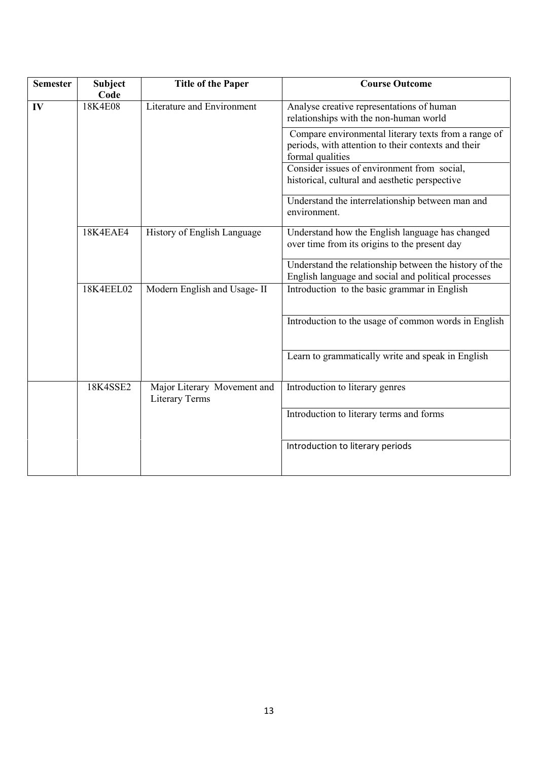| <b>Semester</b> | <b>Subject</b> | <b>Title of the Paper</b>                            | <b>Course Outcome</b>                                                                                                           |
|-----------------|----------------|------------------------------------------------------|---------------------------------------------------------------------------------------------------------------------------------|
|                 | Code           |                                                      |                                                                                                                                 |
| IV              | 18K4E08        | Literature and Environment                           | Analyse creative representations of human<br>relationships with the non-human world                                             |
|                 |                |                                                      | Compare environmental literary texts from a range of<br>periods, with attention to their contexts and their<br>formal qualities |
|                 |                |                                                      | Consider issues of environment from social,                                                                                     |
|                 |                |                                                      | historical, cultural and aesthetic perspective                                                                                  |
|                 |                |                                                      | Understand the interrelationship between man and<br>environment.                                                                |
|                 | 18K4EAE4       | History of English Language                          | Understand how the English language has changed<br>over time from its origins to the present day                                |
|                 |                |                                                      | Understand the relationship between the history of the<br>English language and social and political processes                   |
|                 | 18K4EEL02      | Modern English and Usage-II                          | Introduction to the basic grammar in English                                                                                    |
|                 |                |                                                      | Introduction to the usage of common words in English                                                                            |
|                 |                |                                                      | Learn to grammatically write and speak in English                                                                               |
|                 | 18K4SSE2       | Major Literary Movement and<br><b>Literary Terms</b> | Introduction to literary genres                                                                                                 |
|                 |                |                                                      | Introduction to literary terms and forms                                                                                        |
|                 |                |                                                      | Introduction to literary periods                                                                                                |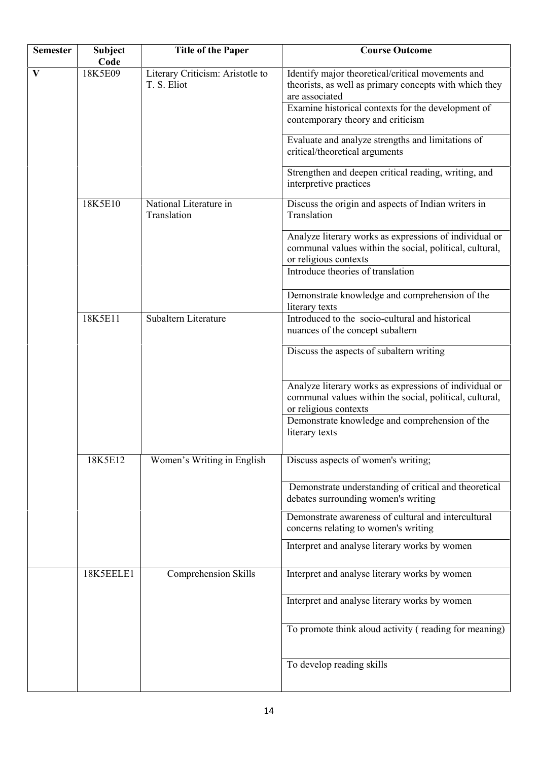| <b>Semester</b> | <b>Subject</b><br>Code | <b>Title of the Paper</b>                       | <b>Course Outcome</b>                                                                                                                                                                                                    |
|-----------------|------------------------|-------------------------------------------------|--------------------------------------------------------------------------------------------------------------------------------------------------------------------------------------------------------------------------|
| $\mathbf{V}$    | 18K5E09                | Literary Criticism: Aristotle to<br>T. S. Eliot | Identify major theoretical/critical movements and<br>theorists, as well as primary concepts with which they<br>are associated<br>Examine historical contexts for the development of<br>contemporary theory and criticism |
|                 |                        |                                                 | Evaluate and analyze strengths and limitations of<br>critical/theoretical arguments                                                                                                                                      |
|                 |                        |                                                 | Strengthen and deepen critical reading, writing, and<br>interpretive practices                                                                                                                                           |
|                 | 18K5E10                | National Literature in<br>Translation           | Discuss the origin and aspects of Indian writers in<br>Translation                                                                                                                                                       |
|                 |                        |                                                 | Analyze literary works as expressions of individual or<br>communal values within the social, political, cultural,<br>or religious contexts                                                                               |
|                 |                        |                                                 | Introduce theories of translation                                                                                                                                                                                        |
|                 |                        |                                                 | Demonstrate knowledge and comprehension of the<br>literary texts                                                                                                                                                         |
|                 | 18K5E11                | Subaltern Literature                            | Introduced to the socio-cultural and historical<br>nuances of the concept subaltern                                                                                                                                      |
|                 |                        |                                                 | Discuss the aspects of subaltern writing                                                                                                                                                                                 |
|                 |                        |                                                 | Analyze literary works as expressions of individual or<br>communal values within the social, political, cultural,<br>or religious contexts                                                                               |
|                 |                        |                                                 | Demonstrate knowledge and comprehension of the<br>literary texts                                                                                                                                                         |
|                 | 18K5E12                | Women's Writing in English                      | Discuss aspects of women's writing;                                                                                                                                                                                      |
|                 |                        |                                                 | Demonstrate understanding of critical and theoretical<br>debates surrounding women's writing                                                                                                                             |
|                 |                        |                                                 | Demonstrate awareness of cultural and intercultural<br>concerns relating to women's writing                                                                                                                              |
|                 |                        |                                                 | Interpret and analyse literary works by women                                                                                                                                                                            |
|                 | 18K5EELE1              | Comprehension Skills                            | Interpret and analyse literary works by women                                                                                                                                                                            |
|                 |                        |                                                 | Interpret and analyse literary works by women                                                                                                                                                                            |
|                 |                        |                                                 | To promote think aloud activity (reading for meaning)                                                                                                                                                                    |
|                 |                        |                                                 | To develop reading skills                                                                                                                                                                                                |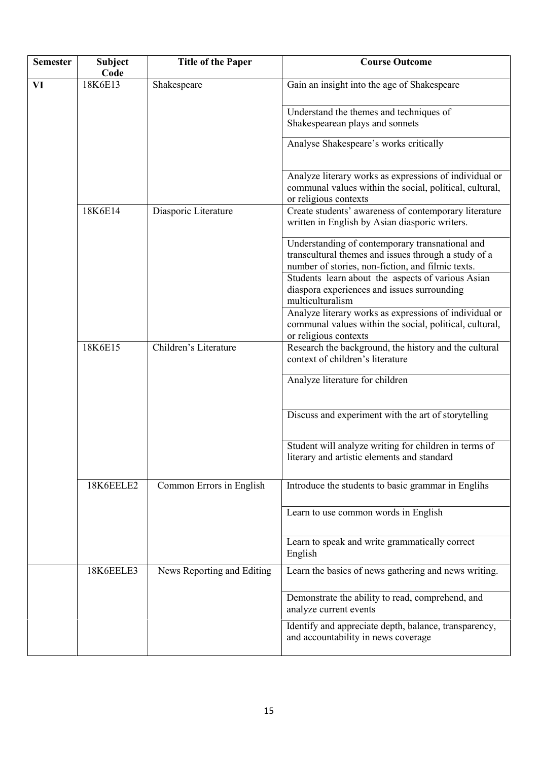| <b>Semester</b> | Subject<br>Code | <b>Title of the Paper</b>  | <b>Course Outcome</b>                                                                                                                                        |
|-----------------|-----------------|----------------------------|--------------------------------------------------------------------------------------------------------------------------------------------------------------|
| VI              | 18K6E13         | Shakespeare                | Gain an insight into the age of Shakespeare                                                                                                                  |
|                 |                 |                            |                                                                                                                                                              |
|                 |                 |                            | Understand the themes and techniques of                                                                                                                      |
|                 |                 |                            | Shakespearean plays and sonnets                                                                                                                              |
|                 |                 |                            | Analyse Shakespeare's works critically                                                                                                                       |
|                 |                 |                            | Analyze literary works as expressions of individual or<br>communal values within the social, political, cultural,<br>or religious contexts                   |
|                 | 18K6E14         | Diasporic Literature       | Create students' awareness of contemporary literature<br>written in English by Asian diasporic writers.                                                      |
|                 |                 |                            | Understanding of contemporary transnational and<br>transcultural themes and issues through a study of a<br>number of stories, non-fiction, and filmic texts. |
|                 |                 |                            | Students learn about the aspects of various Asian<br>diaspora experiences and issues surrounding<br>multiculturalism                                         |
|                 |                 |                            | Analyze literary works as expressions of individual or<br>communal values within the social, political, cultural,<br>or religious contexts                   |
|                 | 18K6E15         | Children's Literature      | Research the background, the history and the cultural<br>context of children's literature                                                                    |
|                 |                 |                            | Analyze literature for children                                                                                                                              |
|                 |                 |                            | Discuss and experiment with the art of storytelling                                                                                                          |
|                 |                 |                            | Student will analyze writing for children in terms of<br>literary and artistic elements and standard                                                         |
|                 | 18K6EELE2       | Common Errors in English   | Introduce the students to basic grammar in Englihs                                                                                                           |
|                 |                 |                            | Learn to use common words in English                                                                                                                         |
|                 |                 |                            | Learn to speak and write grammatically correct<br>English                                                                                                    |
|                 | 18K6EELE3       | News Reporting and Editing | Learn the basics of news gathering and news writing.                                                                                                         |
|                 |                 |                            | Demonstrate the ability to read, comprehend, and<br>analyze current events                                                                                   |
|                 |                 |                            | Identify and appreciate depth, balance, transparency,<br>and accountability in news coverage                                                                 |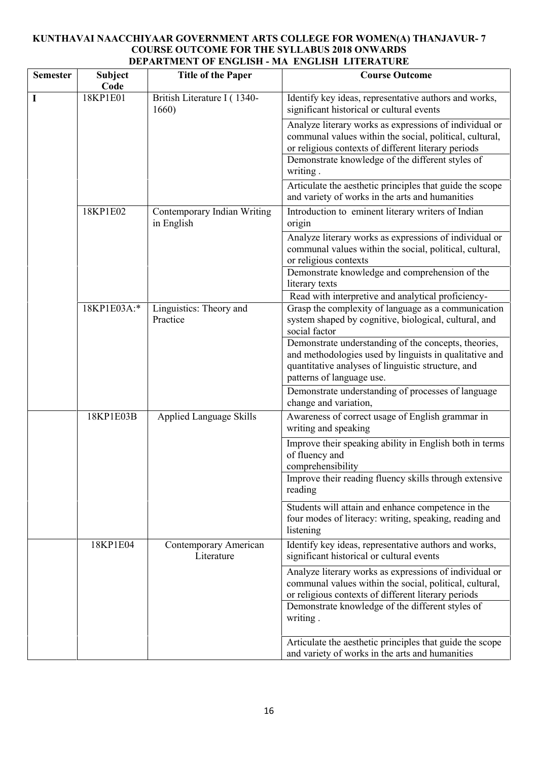## **KUNTHAVAI NAACCHIYAAR GOVERNMENT ARTS COLLEGE FOR WOMEN(A) THANJAVUR- 7 COURSE OUTCOME FOR THE SYLLABUS 2018 ONWARDS DEPARTMENT OF ENGLISH - MA ENGLISH LITERATURE**

| <b>Semester</b> | <b>Subject</b><br>Code | <b>Title of the Paper</b>                 | <b>Course Outcome</b>                                                                                                                                                                                                        |
|-----------------|------------------------|-------------------------------------------|------------------------------------------------------------------------------------------------------------------------------------------------------------------------------------------------------------------------------|
| I               | 18KP1E01               | British Literature I (1340-<br>1660)      | Identify key ideas, representative authors and works,<br>significant historical or cultural events                                                                                                                           |
|                 |                        |                                           | Analyze literary works as expressions of individual or<br>communal values within the social, political, cultural,<br>or religious contexts of different literary periods<br>Demonstrate knowledge of the different styles of |
|                 |                        |                                           | writing.                                                                                                                                                                                                                     |
|                 |                        |                                           | Articulate the aesthetic principles that guide the scope<br>and variety of works in the arts and humanities                                                                                                                  |
|                 | 18KP1E02               | Contemporary Indian Writing<br>in English | Introduction to eminent literary writers of Indian<br>origin                                                                                                                                                                 |
|                 |                        |                                           | Analyze literary works as expressions of individual or<br>communal values within the social, political, cultural,<br>or religious contexts                                                                                   |
|                 |                        |                                           | Demonstrate knowledge and comprehension of the<br>literary texts                                                                                                                                                             |
|                 |                        |                                           | Read with interpretive and analytical proficiency-                                                                                                                                                                           |
|                 | 18KP1E03A:*            | Linguistics: Theory and<br>Practice       | Grasp the complexity of language as a communication<br>system shaped by cognitive, biological, cultural, and<br>social factor                                                                                                |
|                 |                        |                                           | Demonstrate understanding of the concepts, theories,<br>and methodologies used by linguists in qualitative and<br>quantitative analyses of linguistic structure, and<br>patterns of language use.                            |
|                 |                        |                                           | Demonstrate understanding of processes of language<br>change and variation,                                                                                                                                                  |
|                 | 18KP1E03B              | <b>Applied Language Skills</b>            | Awareness of correct usage of English grammar in<br>writing and speaking                                                                                                                                                     |
|                 |                        |                                           | Improve their speaking ability in English both in terms<br>of fluency and<br>comprehensibility                                                                                                                               |
|                 |                        |                                           | Improve their reading fluency skills through extensive<br>reading                                                                                                                                                            |
|                 |                        |                                           | Students will attain and enhance competence in the<br>four modes of literacy: writing, speaking, reading and<br>listening                                                                                                    |
|                 | 18KP1E04               | Contemporary American<br>Literature       | Identify key ideas, representative authors and works,<br>significant historical or cultural events                                                                                                                           |
|                 |                        |                                           | Analyze literary works as expressions of individual or<br>communal values within the social, political, cultural,<br>or religious contexts of different literary periods                                                     |
|                 |                        |                                           | Demonstrate knowledge of the different styles of<br>writing.                                                                                                                                                                 |
|                 |                        |                                           | Articulate the aesthetic principles that guide the scope<br>and variety of works in the arts and humanities                                                                                                                  |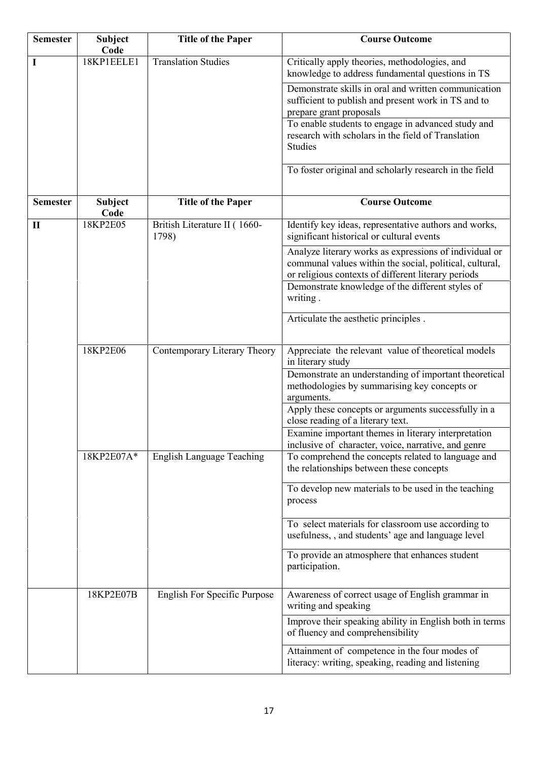| <b>Semester</b> | <b>Subject</b><br>Code | <b>Title of the Paper</b>             | <b>Course Outcome</b>                                                                                                                                                    |
|-----------------|------------------------|---------------------------------------|--------------------------------------------------------------------------------------------------------------------------------------------------------------------------|
| I               | 18KP1EELE1             | <b>Translation Studies</b>            | Critically apply theories, methodologies, and<br>knowledge to address fundamental questions in TS                                                                        |
|                 |                        |                                       | Demonstrate skills in oral and written communication<br>sufficient to publish and present work in TS and to<br>prepare grant proposals                                   |
|                 |                        |                                       | To enable students to engage in advanced study and<br>research with scholars in the field of Translation<br><b>Studies</b>                                               |
|                 |                        |                                       | To foster original and scholarly research in the field                                                                                                                   |
| <b>Semester</b> | Subject<br>Code        | <b>Title of the Paper</b>             | <b>Course Outcome</b>                                                                                                                                                    |
| $\mathbf{I}$    | 18KP2E05               | British Literature II (1660-<br>1798) | Identify key ideas, representative authors and works,<br>significant historical or cultural events                                                                       |
|                 |                        |                                       | Analyze literary works as expressions of individual or<br>communal values within the social, political, cultural,<br>or religious contexts of different literary periods |
|                 |                        |                                       | Demonstrate knowledge of the different styles of<br>writing.                                                                                                             |
|                 |                        |                                       | Articulate the aesthetic principles.                                                                                                                                     |
|                 | 18KP2E06               | Contemporary Literary Theory          | Appreciate the relevant value of theoretical models<br>in literary study                                                                                                 |
|                 |                        |                                       | Demonstrate an understanding of important theoretical<br>methodologies by summarising key concepts or<br>arguments.                                                      |
|                 |                        |                                       | Apply these concepts or arguments successfully in a<br>close reading of a literary text.                                                                                 |
|                 |                        |                                       | Examine important themes in literary interpretation<br>inclusive of character, voice, narrative, and genre                                                               |
|                 | 18KP2E07A*             | <b>English Language Teaching</b>      | To comprehend the concepts related to language and<br>the relationships between these concepts                                                                           |
|                 |                        |                                       | To develop new materials to be used in the teaching<br>process                                                                                                           |
|                 |                        |                                       | To select materials for classroom use according to<br>usefulness, , and students' age and language level                                                                 |
|                 |                        |                                       | To provide an atmosphere that enhances student<br>participation.                                                                                                         |
|                 | 18KP2E07B              | <b>English For Specific Purpose</b>   | Awareness of correct usage of English grammar in<br>writing and speaking                                                                                                 |
|                 |                        |                                       | Improve their speaking ability in English both in terms<br>of fluency and comprehensibility                                                                              |
|                 |                        |                                       | Attainment of competence in the four modes of<br>literacy: writing, speaking, reading and listening                                                                      |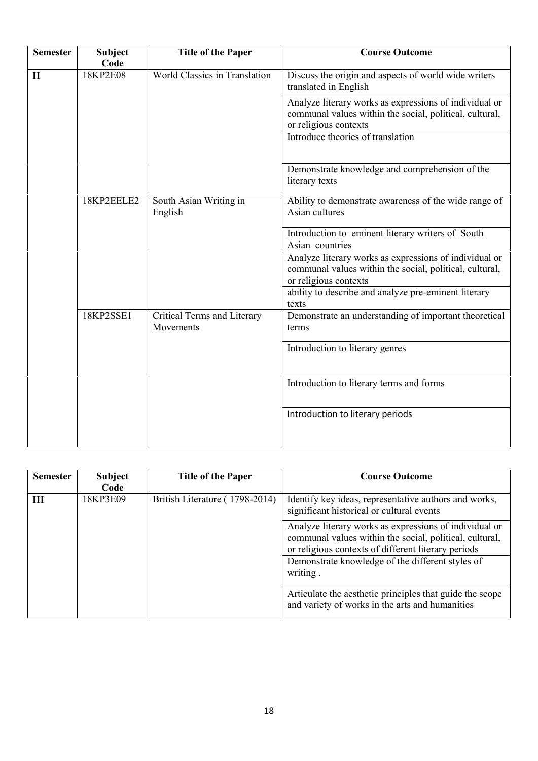| <b>Semester</b> | <b>Subject</b>   | <b>Title of the Paper</b>                | <b>Course Outcome</b>                                                                                                                      |
|-----------------|------------------|------------------------------------------|--------------------------------------------------------------------------------------------------------------------------------------------|
| $\mathbf{I}$    | Code<br>18KP2E08 | <b>World Classics in Translation</b>     | Discuss the origin and aspects of world wide writers<br>translated in English                                                              |
|                 |                  |                                          | Analyze literary works as expressions of individual or<br>communal values within the social, political, cultural,<br>or religious contexts |
|                 |                  |                                          | Introduce theories of translation                                                                                                          |
|                 |                  |                                          | Demonstrate knowledge and comprehension of the<br>literary texts                                                                           |
|                 | 18KP2EELE2       | South Asian Writing in<br>English        | Ability to demonstrate awareness of the wide range of<br>Asian cultures                                                                    |
|                 |                  |                                          | Introduction to eminent literary writers of South<br>Asian countries                                                                       |
|                 |                  |                                          | Analyze literary works as expressions of individual or<br>communal values within the social, political, cultural,<br>or religious contexts |
|                 |                  |                                          | ability to describe and analyze pre-eminent literary<br>texts                                                                              |
|                 | 18KP2SSE1        | Critical Terms and Literary<br>Movements | Demonstrate an understanding of important theoretical<br>terms                                                                             |
|                 |                  |                                          | Introduction to literary genres                                                                                                            |
|                 |                  |                                          | Introduction to literary terms and forms                                                                                                   |
|                 |                  |                                          | Introduction to literary periods                                                                                                           |
|                 |                  |                                          |                                                                                                                                            |

| <b>Semester</b> | Subject<br>Code | <b>Title of the Paper</b>      | <b>Course Outcome</b>                                                                                                                                                                                                                    |
|-----------------|-----------------|--------------------------------|------------------------------------------------------------------------------------------------------------------------------------------------------------------------------------------------------------------------------------------|
| Ш               | 18KP3E09        | British Literature (1798-2014) | Identify key ideas, representative authors and works,<br>significant historical or cultural events                                                                                                                                       |
|                 |                 |                                | Analyze literary works as expressions of individual or<br>communal values within the social, political, cultural,<br>or religious contexts of different literary periods<br>Demonstrate knowledge of the different styles of<br>writing. |
|                 |                 |                                | Articulate the aesthetic principles that guide the scope<br>and variety of works in the arts and humanities                                                                                                                              |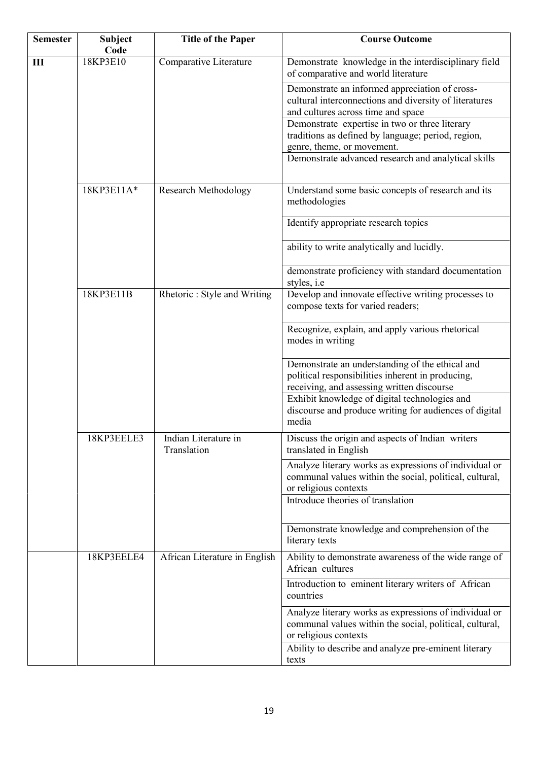| <b>Semester</b> | <b>Subject</b><br>Code | <b>Title of the Paper</b>           | <b>Course Outcome</b>                                                                                                                                                           |
|-----------------|------------------------|-------------------------------------|---------------------------------------------------------------------------------------------------------------------------------------------------------------------------------|
| $\mathbf{III}$  | 18KP3E10               | Comparative Literature              | Demonstrate knowledge in the interdisciplinary field<br>of comparative and world literature                                                                                     |
|                 |                        |                                     | Demonstrate an informed appreciation of cross-<br>cultural interconnections and diversity of literatures<br>and cultures across time and space                                  |
|                 |                        |                                     | Demonstrate expertise in two or three literary<br>traditions as defined by language; period, region,<br>genre, theme, or movement.                                              |
|                 |                        |                                     | Demonstrate advanced research and analytical skills                                                                                                                             |
|                 | 18KP3E11A*             | <b>Research Methodology</b>         | Understand some basic concepts of research and its<br>methodologies                                                                                                             |
|                 |                        |                                     | Identify appropriate research topics                                                                                                                                            |
|                 |                        |                                     | ability to write analytically and lucidly.                                                                                                                                      |
|                 |                        |                                     | demonstrate proficiency with standard documentation<br>styles, <i>i.e</i>                                                                                                       |
|                 | 18KP3E11B              | Rhetoric: Style and Writing         | Develop and innovate effective writing processes to<br>compose texts for varied readers;                                                                                        |
|                 |                        |                                     | Recognize, explain, and apply various rhetorical<br>modes in writing                                                                                                            |
|                 |                        |                                     | Demonstrate an understanding of the ethical and<br>political responsibilities inherent in producing,<br>receiving, and assessing written discourse                              |
|                 |                        |                                     | Exhibit knowledge of digital technologies and<br>discourse and produce writing for audiences of digital<br>media                                                                |
|                 | 18KP3EELE3             | Indian Literature in<br>Translation | Discuss the origin and aspects of Indian writers<br>translated in English                                                                                                       |
|                 |                        |                                     | Analyze literary works as expressions of individual or<br>communal values within the social, political, cultural,<br>or religious contexts<br>Introduce theories of translation |
|                 |                        |                                     | Demonstrate knowledge and comprehension of the<br>literary texts                                                                                                                |
|                 | 18KP3EELE4             | African Literature in English       | Ability to demonstrate awareness of the wide range of<br>African cultures                                                                                                       |
|                 |                        |                                     | Introduction to eminent literary writers of African<br>countries                                                                                                                |
|                 |                        |                                     | Analyze literary works as expressions of individual or<br>communal values within the social, political, cultural,<br>or religious contexts                                      |
|                 |                        |                                     | Ability to describe and analyze pre-eminent literary<br>texts                                                                                                                   |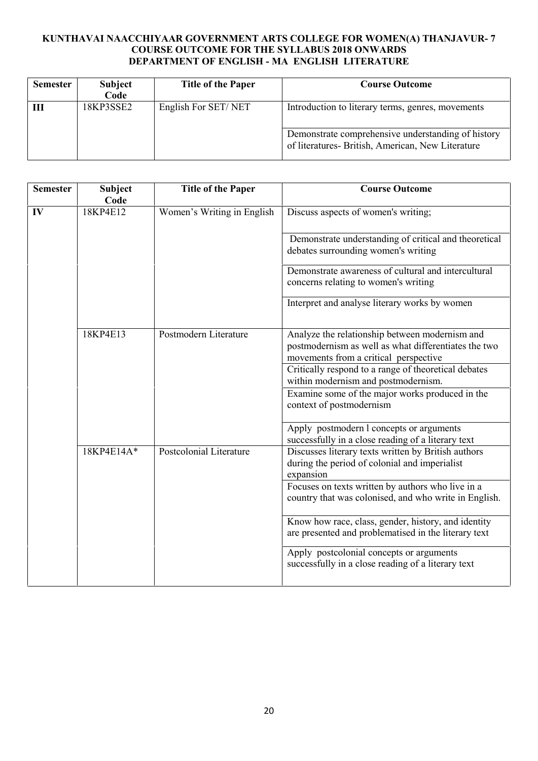## **KUNTHAVAI NAACCHIYAAR GOVERNMENT ARTS COLLEGE FOR WOMEN(A) THANJAVUR- 7 COURSE OUTCOME FOR THE SYLLABUS 2018 ONWARDS DEPARTMENT OF ENGLISH - MA ENGLISH LITERATURE**

| <b>Semester</b> | <b>Subject</b><br>Code | <b>Title of the Paper</b> | <b>Course Outcome</b>                                                                                                                                        |
|-----------------|------------------------|---------------------------|--------------------------------------------------------------------------------------------------------------------------------------------------------------|
|                 | 18KP3SSE2              | English For SET/NET       | Introduction to literary terms, genres, movements<br>Demonstrate comprehensive understanding of history<br>of literatures- British, American, New Literature |

| <b>Semester</b> | <b>Subject</b><br>Code | <b>Title of the Paper</b>                                                   | <b>Course Outcome</b>                                                                                                                           |
|-----------------|------------------------|-----------------------------------------------------------------------------|-------------------------------------------------------------------------------------------------------------------------------------------------|
| IV              | 18KP4E12               | Women's Writing in English                                                  | Discuss aspects of women's writing;                                                                                                             |
|                 |                        |                                                                             | Demonstrate understanding of critical and theoretical<br>debates surrounding women's writing                                                    |
|                 |                        |                                                                             | Demonstrate awareness of cultural and intercultural<br>concerns relating to women's writing                                                     |
|                 |                        |                                                                             | Interpret and analyse literary works by women                                                                                                   |
|                 | 18KP4E13               | Postmodern Literature                                                       | Analyze the relationship between modernism and<br>postmodernism as well as what differentiates the two<br>movements from a critical perspective |
|                 |                        |                                                                             | Critically respond to a range of theoretical debates<br>within modernism and postmodernism.                                                     |
|                 |                        | Examine some of the major works produced in the<br>context of postmodernism |                                                                                                                                                 |
|                 |                        |                                                                             | Apply postmodern l concepts or arguments<br>successfully in a close reading of a literary text                                                  |
|                 | 18KP4E14A*             | Postcolonial Literature                                                     | Discusses literary texts written by British authors<br>during the period of colonial and imperialist<br>expansion                               |
|                 |                        |                                                                             | Focuses on texts written by authors who live in a<br>country that was colonised, and who write in English.                                      |
|                 |                        |                                                                             | Know how race, class, gender, history, and identity<br>are presented and problematised in the literary text                                     |
|                 |                        |                                                                             | Apply postcolonial concepts or arguments<br>successfully in a close reading of a literary text                                                  |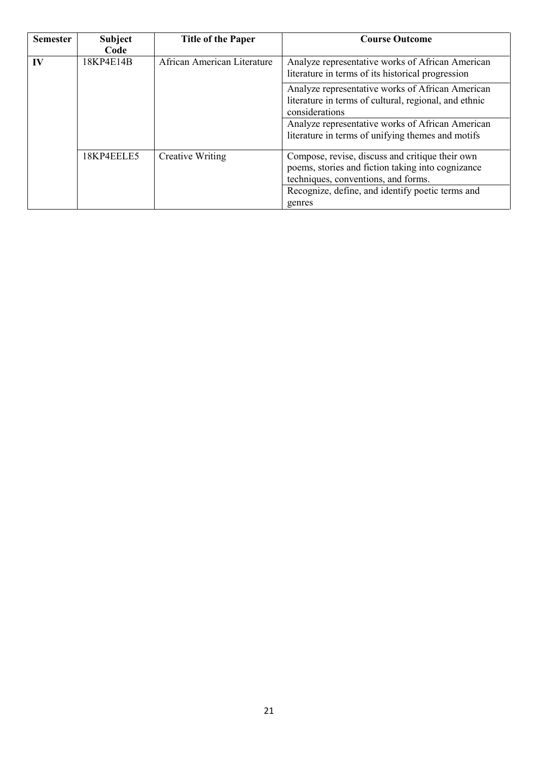| <b>Semester</b> | <b>Subject</b><br>Code | <b>Title of the Paper</b>   | <b>Course Outcome</b>                                                                                                                       |
|-----------------|------------------------|-----------------------------|---------------------------------------------------------------------------------------------------------------------------------------------|
| IV              | 18KP4E14B              | African American Literature | Analyze representative works of African American<br>literature in terms of its historical progression                                       |
|                 |                        |                             | Analyze representative works of African American<br>literature in terms of cultural, regional, and ethnic<br>considerations                 |
|                 |                        |                             | Analyze representative works of African American<br>literature in terms of unifying themes and motifs                                       |
|                 | 18KP4EELE5             | <b>Creative Writing</b>     | Compose, revise, discuss and critique their own<br>poems, stories and fiction taking into cognizance<br>techniques, conventions, and forms. |
|                 |                        |                             | Recognize, define, and identify poetic terms and                                                                                            |
|                 |                        |                             | genres                                                                                                                                      |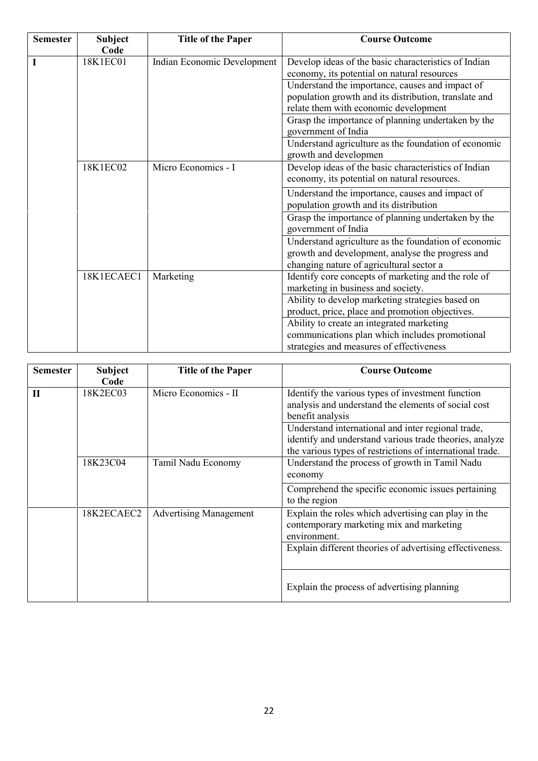| <b>Semester</b> | <b>Subject</b><br>Code  | <b>Title of the Paper</b>   | <b>Course Outcome</b>                                                                                                                                |
|-----------------|-------------------------|-----------------------------|------------------------------------------------------------------------------------------------------------------------------------------------------|
|                 | 18K1EC01                | Indian Economic Development | Develop ideas of the basic characteristics of Indian<br>economy, its potential on natural resources                                                  |
|                 |                         |                             | Understand the importance, causes and impact of<br>population growth and its distribution, translate and<br>relate them with economic development    |
|                 |                         |                             | Grasp the importance of planning undertaken by the<br>government of India                                                                            |
|                 |                         |                             | Understand agriculture as the foundation of economic<br>growth and developmen                                                                        |
|                 | 18K1EC02                | Micro Economics - I         | Develop ideas of the basic characteristics of Indian<br>economy, its potential on natural resources.                                                 |
|                 |                         |                             | Understand the importance, causes and impact of<br>population growth and its distribution                                                            |
|                 |                         |                             | Grasp the importance of planning undertaken by the<br>government of India                                                                            |
|                 |                         |                             | Understand agriculture as the foundation of economic<br>growth and development, analyse the progress and<br>changing nature of agricultural sector a |
|                 | 18K1ECAEC1<br>Marketing |                             | Identify core concepts of marketing and the role of<br>marketing in business and society.                                                            |
|                 |                         |                             | Ability to develop marketing strategies based on<br>product, price, place and promotion objectives.                                                  |
|                 |                         |                             | Ability to create an integrated marketing<br>communications plan which includes promotional<br>strategies and measures of effectiveness              |

| <b>Semester</b> | <b>Subject</b><br>Code | <b>Title of the Paper</b>     | <b>Course Outcome</b>                                                                                                                                                                                                                                                                                      |
|-----------------|------------------------|-------------------------------|------------------------------------------------------------------------------------------------------------------------------------------------------------------------------------------------------------------------------------------------------------------------------------------------------------|
| П               | 18K2EC03               | Micro Economics - II          | Identify the various types of investment function<br>analysis and understand the elements of social cost<br>benefit analysis<br>Understand international and inter regional trade,<br>identify and understand various trade theories, analyze<br>the various types of restrictions of international trade. |
|                 | 18K23C04               | Tamil Nadu Economy            | Understand the process of growth in Tamil Nadu<br>economy<br>Comprehend the specific economic issues pertaining                                                                                                                                                                                            |
|                 | 18K2ECAEC2             | <b>Advertising Management</b> | to the region<br>Explain the roles which advertising can play in the<br>contemporary marketing mix and marketing<br>environment.<br>Explain different theories of advertising effectiveness.                                                                                                               |
|                 |                        |                               | Explain the process of advertising planning                                                                                                                                                                                                                                                                |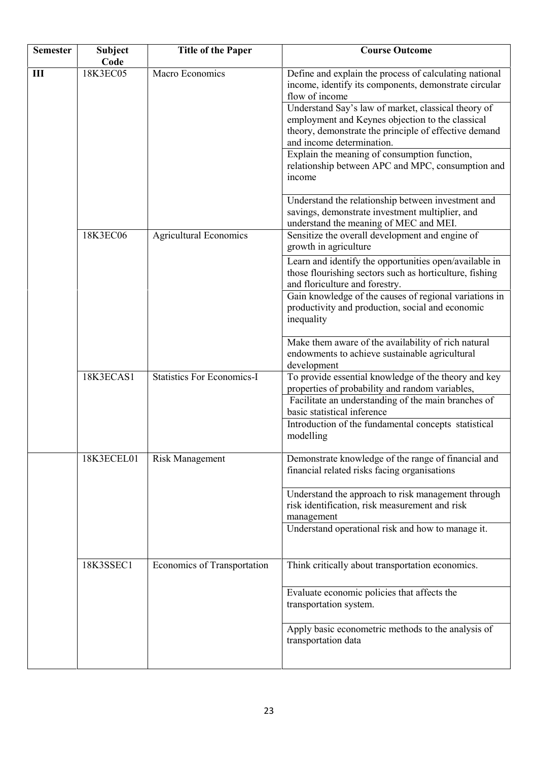| <b>Semester</b> | Subject<br>Code | <b>Title of the Paper</b>         | <b>Course Outcome</b>                                                                                                                                                                                                                                                                                                                                                                                                                                                                                                                                      |
|-----------------|-----------------|-----------------------------------|------------------------------------------------------------------------------------------------------------------------------------------------------------------------------------------------------------------------------------------------------------------------------------------------------------------------------------------------------------------------------------------------------------------------------------------------------------------------------------------------------------------------------------------------------------|
| Ш               | 18K3EC05        | Macro Economics                   | Define and explain the process of calculating national<br>income, identify its components, demonstrate circular<br>flow of income<br>Understand Say's law of market, classical theory of<br>employment and Keynes objection to the classical<br>theory, demonstrate the principle of effective demand<br>and income determination.<br>Explain the meaning of consumption function,<br>relationship between APC and MPC, consumption and<br>income<br>Understand the relationship between investment and<br>savings, demonstrate investment multiplier, and |
|                 | 18K3EC06        | <b>Agricultural Economics</b>     | understand the meaning of MEC and MEI.<br>Sensitize the overall development and engine of<br>growth in agriculture<br>Learn and identify the opportunities open/available in                                                                                                                                                                                                                                                                                                                                                                               |
|                 |                 |                                   | those flourishing sectors such as horticulture, fishing<br>and floriculture and forestry.<br>Gain knowledge of the causes of regional variations in<br>productivity and production, social and economic<br>inequality                                                                                                                                                                                                                                                                                                                                      |
|                 |                 |                                   | Make them aware of the availability of rich natural<br>endowments to achieve sustainable agricultural<br>development                                                                                                                                                                                                                                                                                                                                                                                                                                       |
|                 | 18K3ECAS1       | <b>Statistics For Economics-I</b> | To provide essential knowledge of the theory and key<br>properties of probability and random variables,<br>Facilitate an understanding of the main branches of<br>basic statistical inference<br>Introduction of the fundamental concepts statistical<br>modelling                                                                                                                                                                                                                                                                                         |
|                 | 18K3ECEL01      | <b>Risk Management</b>            | Demonstrate knowledge of the range of financial and<br>financial related risks facing organisations                                                                                                                                                                                                                                                                                                                                                                                                                                                        |
|                 |                 |                                   | Understand the approach to risk management through<br>risk identification, risk measurement and risk<br>management<br>Understand operational risk and how to manage it.                                                                                                                                                                                                                                                                                                                                                                                    |
|                 | 18K3SSEC1       | Economics of Transportation       | Think critically about transportation economics.                                                                                                                                                                                                                                                                                                                                                                                                                                                                                                           |
|                 |                 |                                   | Evaluate economic policies that affects the<br>transportation system.                                                                                                                                                                                                                                                                                                                                                                                                                                                                                      |
|                 |                 |                                   | Apply basic econometric methods to the analysis of<br>transportation data                                                                                                                                                                                                                                                                                                                                                                                                                                                                                  |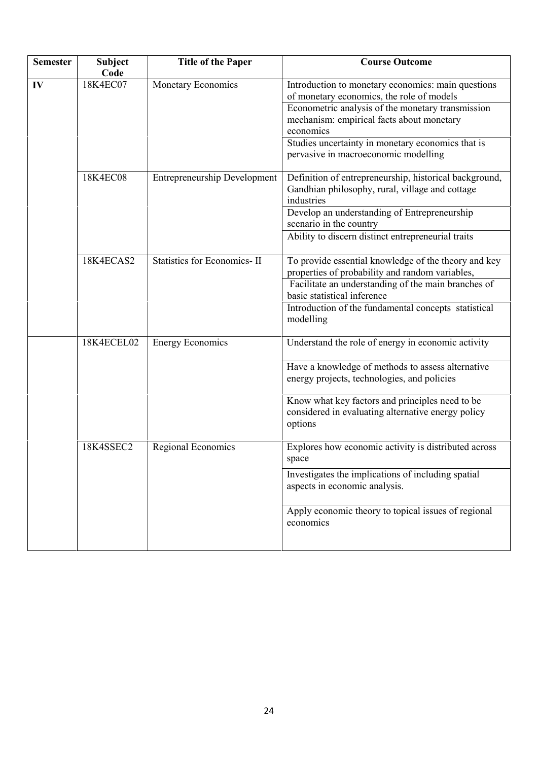| <b>Semester</b> | <b>Subject</b><br>Code | <b>Title of the Paper</b>           | <b>Course Outcome</b>                                                                                                                                                                                                                                                                                       |
|-----------------|------------------------|-------------------------------------|-------------------------------------------------------------------------------------------------------------------------------------------------------------------------------------------------------------------------------------------------------------------------------------------------------------|
| IV              | 18K4EC07               | Monetary Economics                  | Introduction to monetary economics: main questions<br>of monetary economics, the role of models<br>Econometric analysis of the monetary transmission<br>mechanism: empirical facts about monetary<br>economics<br>Studies uncertainty in monetary economics that is<br>pervasive in macroeconomic modelling |
|                 | 18K4EC08               | <b>Entrepreneurship Development</b> | Definition of entrepreneurship, historical background,<br>Gandhian philosophy, rural, village and cottage<br>industries<br>Develop an understanding of Entrepreneurship<br>scenario in the country<br>Ability to discern distinct entrepreneurial traits                                                    |
|                 | 18K4ECAS2              | <b>Statistics for Economics-II</b>  | To provide essential knowledge of the theory and key<br>properties of probability and random variables,<br>Facilitate an understanding of the main branches of<br>basic statistical inference<br>Introduction of the fundamental concepts statistical<br>modelling                                          |
|                 | 18K4ECEL02             | <b>Energy Economics</b>             | Understand the role of energy in economic activity<br>Have a knowledge of methods to assess alternative<br>energy projects, technologies, and policies<br>Know what key factors and principles need to be<br>considered in evaluating alternative energy policy<br>options                                  |
|                 | 18K4SSEC2              | Regional Economics                  | Explores how economic activity is distributed across<br>space<br>Investigates the implications of including spatial<br>aspects in economic analysis.<br>Apply economic theory to topical issues of regional<br>economics                                                                                    |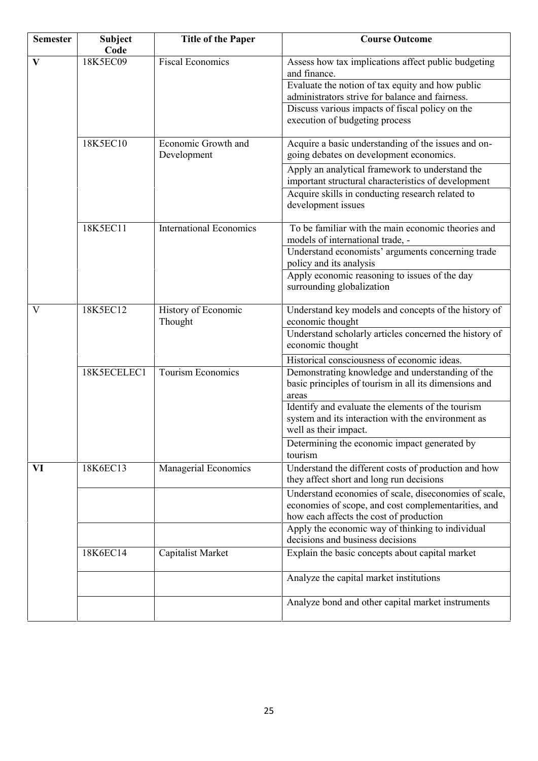| <b>Semester</b> | <b>Subject</b><br>Code | <b>Title of the Paper</b>          | <b>Course Outcome</b>                                                                                                                                   |
|-----------------|------------------------|------------------------------------|---------------------------------------------------------------------------------------------------------------------------------------------------------|
| $\mathbf{V}$    | 18K5EC09               | <b>Fiscal Economics</b>            | Assess how tax implications affect public budgeting<br>and finance.                                                                                     |
|                 |                        |                                    | Evaluate the notion of tax equity and how public<br>administrators strive for balance and fairness.                                                     |
|                 |                        |                                    | Discuss various impacts of fiscal policy on the<br>execution of budgeting process                                                                       |
|                 | 18K5EC10               | Economic Growth and<br>Development | Acquire a basic understanding of the issues and on-<br>going debates on development economics.                                                          |
|                 |                        |                                    | Apply an analytical framework to understand the<br>important structural characteristics of development                                                  |
|                 |                        |                                    | Acquire skills in conducting research related to<br>development issues                                                                                  |
|                 | 18K5EC11               | <b>International Economics</b>     | To be familiar with the main economic theories and<br>models of international trade, -                                                                  |
|                 |                        |                                    | Understand economists' arguments concerning trade<br>policy and its analysis                                                                            |
|                 |                        |                                    | Apply economic reasoning to issues of the day<br>surrounding globalization                                                                              |
| V               | 18K5EC12               | History of Economic<br>Thought     | Understand key models and concepts of the history of<br>economic thought                                                                                |
|                 |                        |                                    | Understand scholarly articles concerned the history of<br>economic thought                                                                              |
|                 |                        |                                    | Historical consciousness of economic ideas.                                                                                                             |
|                 | 18K5ECELEC1            | <b>Tourism Economics</b>           | Demonstrating knowledge and understanding of the<br>basic principles of tourism in all its dimensions and<br>areas                                      |
|                 |                        |                                    | Identify and evaluate the elements of the tourism<br>system and its interaction with the environment as<br>well as their impact.                        |
|                 |                        |                                    | Determining the economic impact generated by<br>tourism                                                                                                 |
| VI              | 18K6EC13               | Managerial Economics               | Understand the different costs of production and how<br>they affect short and long run decisions                                                        |
|                 |                        |                                    | Understand economies of scale, diseconomies of scale,<br>economies of scope, and cost complementarities, and<br>how each affects the cost of production |
|                 |                        |                                    | Apply the economic way of thinking to individual<br>decisions and business decisions                                                                    |
|                 | 18K6EC14               | <b>Capitalist Market</b>           | Explain the basic concepts about capital market                                                                                                         |
|                 |                        |                                    | Analyze the capital market institutions                                                                                                                 |
|                 |                        |                                    | Analyze bond and other capital market instruments                                                                                                       |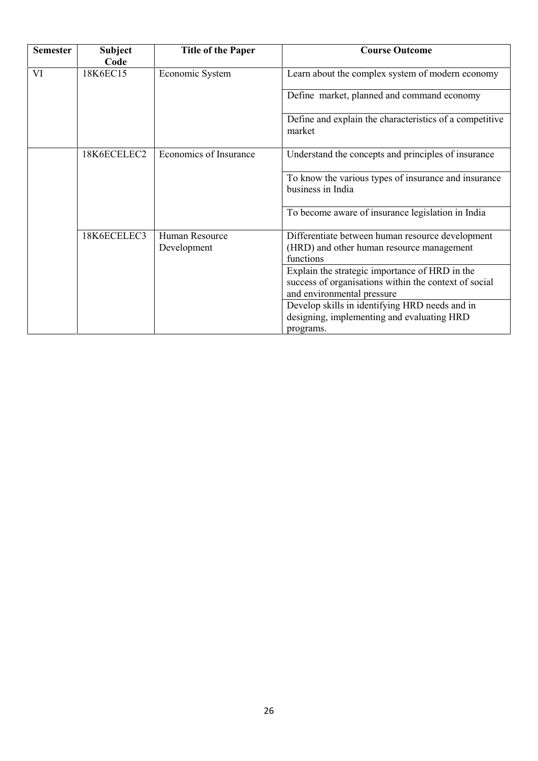| <b>Semester</b> | <b>Subject</b> | <b>Title of the Paper</b>     | <b>Course Outcome</b>                                                                                                                 |
|-----------------|----------------|-------------------------------|---------------------------------------------------------------------------------------------------------------------------------------|
|                 | Code           |                               |                                                                                                                                       |
| VI              | 18K6EC15       | Economic System               | Learn about the complex system of modern economy                                                                                      |
|                 |                |                               | Define market, planned and command economy                                                                                            |
|                 |                |                               | Define and explain the characteristics of a competitive<br>market                                                                     |
|                 | 18K6ECELEC2    | Economics of Insurance        | Understand the concepts and principles of insurance                                                                                   |
|                 |                |                               | To know the various types of insurance and insurance<br>business in India                                                             |
|                 |                |                               | To become aware of insurance legislation in India                                                                                     |
|                 | 18K6ECELEC3    | Human Resource<br>Development | Differentiate between human resource development<br>(HRD) and other human resource management<br>functions                            |
|                 |                |                               | Explain the strategic importance of HRD in the<br>success of organisations within the context of social<br>and environmental pressure |
|                 |                |                               | Develop skills in identifying HRD needs and in<br>designing, implementing and evaluating HRD<br>programs.                             |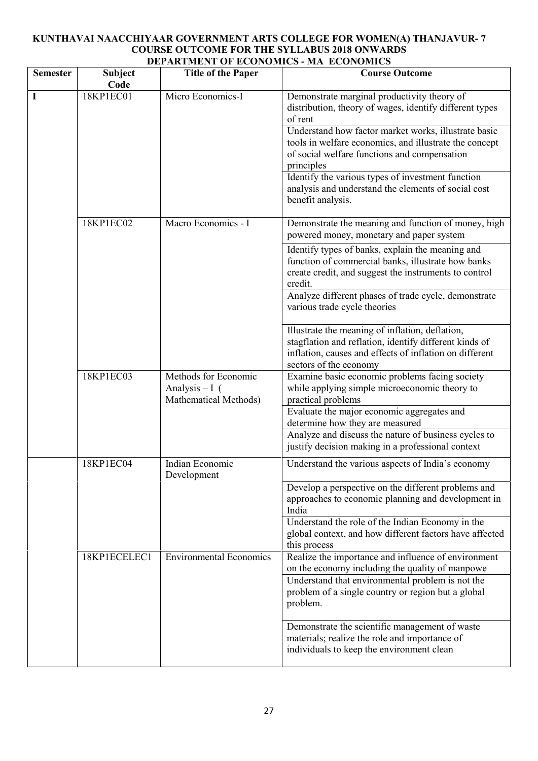## **KUNTHAVAI NAACCHIYAAR GOVERNMENT ARTS COLLEGE FOR WOMEN(A) THANJAVUR- 7 COURSE OUTCOME FOR THE SYLLABUS 2018 ONWARDS DEPARTMENT OF ECONOMICS - MA ECONOMICS**

| Code         |                                                                 |                                                                                                                                                                                                |
|--------------|-----------------------------------------------------------------|------------------------------------------------------------------------------------------------------------------------------------------------------------------------------------------------|
| 18KP1EC01    | Micro Economics-I                                               | Demonstrate marginal productivity theory of<br>distribution, theory of wages, identify different types<br>of rent                                                                              |
|              |                                                                 | Understand how factor market works, illustrate basic<br>tools in welfare economics, and illustrate the concept<br>of social welfare functions and compensation<br>principles                   |
|              |                                                                 | Identify the various types of investment function<br>analysis and understand the elements of social cost<br>benefit analysis.                                                                  |
| 18KP1EC02    | Macro Economics - I                                             | Demonstrate the meaning and function of money, high<br>powered money, monetary and paper system                                                                                                |
|              |                                                                 | Identify types of banks, explain the meaning and<br>function of commercial banks, illustrate how banks<br>create credit, and suggest the instruments to control<br>credit.                     |
|              |                                                                 | Analyze different phases of trade cycle, demonstrate<br>various trade cycle theories                                                                                                           |
|              |                                                                 | Illustrate the meaning of inflation, deflation,<br>stagflation and reflation, identify different kinds of<br>inflation, causes and effects of inflation on different<br>sectors of the economy |
| 18KP1EC03    | Methods for Economic<br>Analysis $-I($<br>Mathematical Methods) | Examine basic economic problems facing society<br>while applying simple microeconomic theory to<br>practical problems                                                                          |
|              |                                                                 | Evaluate the major economic aggregates and<br>determine how they are measured                                                                                                                  |
|              |                                                                 | Analyze and discuss the nature of business cycles to<br>justify decision making in a professional context                                                                                      |
| 18KP1EC04    | Indian Economic                                                 | Understand the various aspects of India's economy                                                                                                                                              |
|              |                                                                 | Develop a perspective on the different problems and<br>approaches to economic planning and development in<br>India                                                                             |
|              |                                                                 | Understand the role of the Indian Economy in the<br>global context, and how different factors have affected<br>this process                                                                    |
| 18KP1ECELEC1 | <b>Environmental Economics</b>                                  | Realize the importance and influence of environment<br>on the economy including the quality of manpowe<br>Understand that environmental problem is not the                                     |
|              |                                                                 | problem of a single country or region but a global<br>problem.                                                                                                                                 |
|              |                                                                 | Demonstrate the scientific management of waste<br>materials; realize the role and importance of<br>individuals to keep the environment clean                                                   |
|              |                                                                 | Development                                                                                                                                                                                    |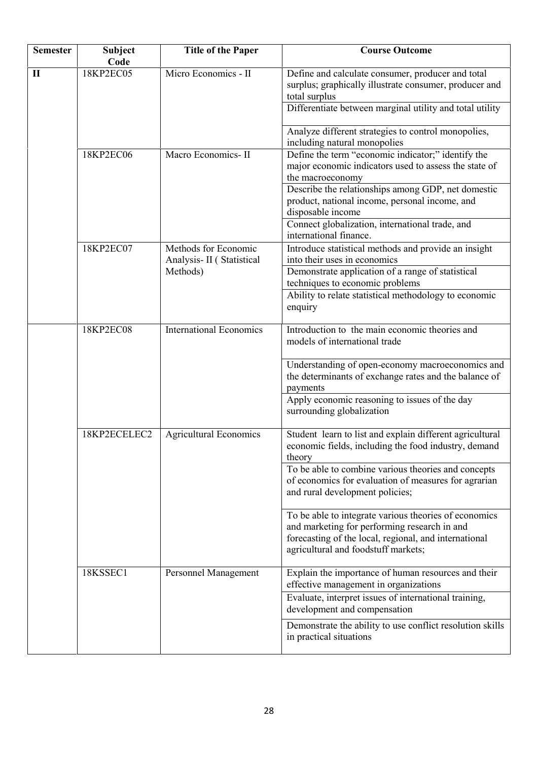| <b>Semester</b> | <b>Subject</b><br>Code | <b>Title of the Paper</b>                         | <b>Course Outcome</b>                                                                                                                                                                                 |
|-----------------|------------------------|---------------------------------------------------|-------------------------------------------------------------------------------------------------------------------------------------------------------------------------------------------------------|
| $\mathbf{I}$    | 18KP2EC05              | Micro Economics - II                              | Define and calculate consumer, producer and total<br>surplus; graphically illustrate consumer, producer and<br>total surplus                                                                          |
|                 |                        |                                                   | Differentiate between marginal utility and total utility                                                                                                                                              |
|                 |                        |                                                   | Analyze different strategies to control monopolies,<br>including natural monopolies                                                                                                                   |
|                 | 18KP2EC06              | Macro Economics-II                                | Define the term "economic indicator;" identify the<br>major economic indicators used to assess the state of<br>the macroeconomy                                                                       |
|                 |                        |                                                   | Describe the relationships among GDP, net domestic<br>product, national income, personal income, and<br>disposable income                                                                             |
|                 |                        |                                                   | Connect globalization, international trade, and<br>international finance.                                                                                                                             |
|                 | 18KP2EC07              | Methods for Economic<br>Analysis- II (Statistical | Introduce statistical methods and provide an insight<br>into their uses in economics                                                                                                                  |
|                 |                        | Methods)                                          | Demonstrate application of a range of statistical<br>techniques to economic problems                                                                                                                  |
|                 |                        |                                                   | Ability to relate statistical methodology to economic<br>enquiry                                                                                                                                      |
|                 | 18KP2EC08              | <b>International Economics</b>                    | Introduction to the main economic theories and<br>models of international trade                                                                                                                       |
|                 |                        |                                                   | Understanding of open-economy macroeconomics and<br>the determinants of exchange rates and the balance of<br>payments<br>Apply economic reasoning to issues of the day<br>surrounding globalization   |
|                 | 18KP2ECELEC2           | <b>Agricultural Economics</b>                     | Student learn to list and explain different agricultural<br>economic fields, including the food industry, demand<br>theory                                                                            |
|                 |                        |                                                   | To be able to combine various theories and concepts<br>of economics for evaluation of measures for agrarian<br>and rural development policies;                                                        |
|                 |                        |                                                   | To be able to integrate various theories of economics<br>and marketing for performing research in and<br>forecasting of the local, regional, and international<br>agricultural and foodstuff markets; |
|                 | 18KSSEC1               | Personnel Management                              | Explain the importance of human resources and their<br>effective management in organizations                                                                                                          |
|                 |                        |                                                   | Evaluate, interpret issues of international training,<br>development and compensation                                                                                                                 |
|                 |                        |                                                   | Demonstrate the ability to use conflict resolution skills<br>in practical situations                                                                                                                  |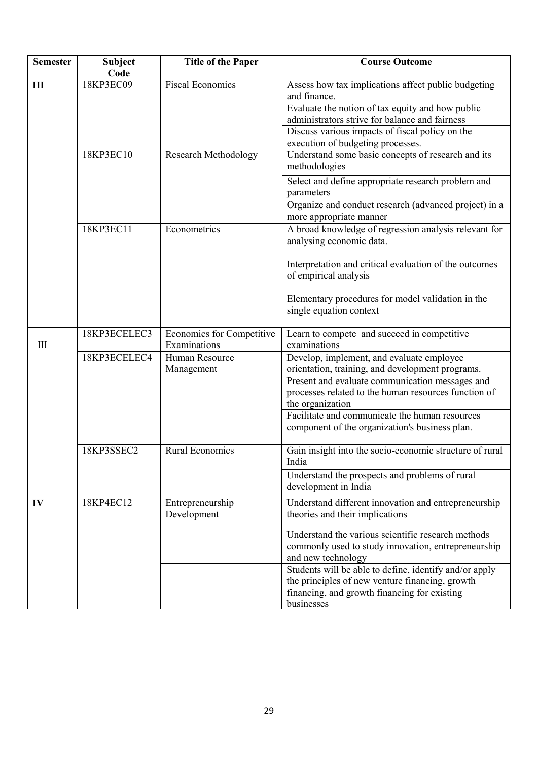| <b>Semester</b> | Subject<br>Code | <b>Title of the Paper</b>                 | <b>Course Outcome</b>                                                                                                                                                                                                                                             |
|-----------------|-----------------|-------------------------------------------|-------------------------------------------------------------------------------------------------------------------------------------------------------------------------------------------------------------------------------------------------------------------|
| III             | 18KP3EC09       | <b>Fiscal Economics</b>                   | Assess how tax implications affect public budgeting<br>and finance.<br>Evaluate the notion of tax equity and how public<br>administrators strive for balance and fairness<br>Discuss various impacts of fiscal policy on the<br>execution of budgeting processes. |
|                 | 18KP3EC10       | <b>Research Methodology</b>               | Understand some basic concepts of research and its<br>methodologies                                                                                                                                                                                               |
|                 |                 |                                           | Select and define appropriate research problem and<br>parameters                                                                                                                                                                                                  |
|                 |                 |                                           | Organize and conduct research (advanced project) in a<br>more appropriate manner                                                                                                                                                                                  |
|                 | 18KP3EC11       | Econometrics                              | A broad knowledge of regression analysis relevant for<br>analysing economic data.                                                                                                                                                                                 |
|                 |                 |                                           | Interpretation and critical evaluation of the outcomes<br>of empirical analysis                                                                                                                                                                                   |
|                 |                 |                                           | Elementary procedures for model validation in the<br>single equation context                                                                                                                                                                                      |
| III             | 18KP3ECELEC3    | Economics for Competitive<br>Examinations | Learn to compete and succeed in competitive<br>examinations                                                                                                                                                                                                       |
|                 | 18KP3ECELEC4    | Human Resource<br>Management              | Develop, implement, and evaluate employee<br>orientation, training, and development programs.                                                                                                                                                                     |
|                 |                 |                                           | Present and evaluate communication messages and<br>processes related to the human resources function of<br>the organization                                                                                                                                       |
|                 |                 |                                           | Facilitate and communicate the human resources<br>component of the organization's business plan.                                                                                                                                                                  |
|                 | 18KP3SSEC2      | <b>Rural Economics</b>                    | Gain insight into the socio-economic structure of rural<br>India                                                                                                                                                                                                  |
|                 |                 |                                           | Understand the prospects and problems of rural<br>development in India                                                                                                                                                                                            |
| IV              | 18KP4EC12       | Entrepreneurship<br>Development           | Understand different innovation and entrepreneurship<br>theories and their implications                                                                                                                                                                           |
|                 |                 |                                           | Understand the various scientific research methods<br>commonly used to study innovation, entrepreneurship<br>and new technology                                                                                                                                   |
|                 |                 |                                           | Students will be able to define, identify and/or apply<br>the principles of new venture financing, growth<br>financing, and growth financing for existing<br>businesses                                                                                           |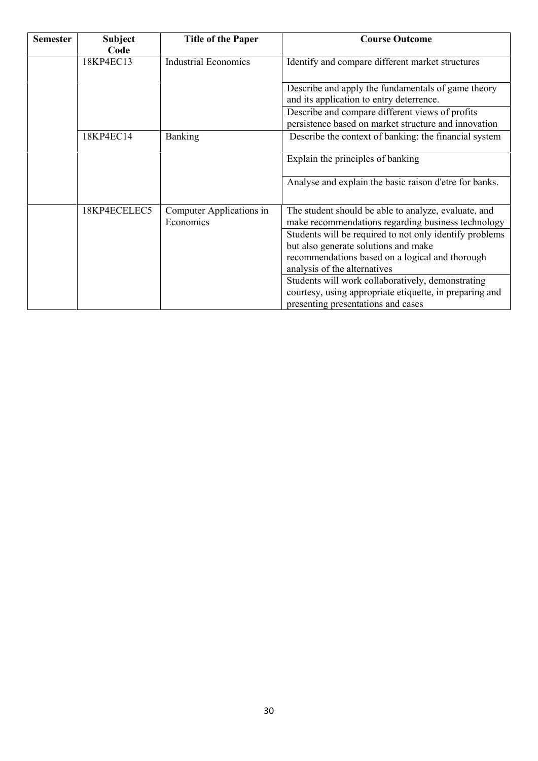| <b>Semester</b> | <b>Subject</b><br>Code | <b>Title of the Paper</b>             | <b>Course Outcome</b>                                                                                                                                                              |
|-----------------|------------------------|---------------------------------------|------------------------------------------------------------------------------------------------------------------------------------------------------------------------------------|
|                 | 18KP4EC13              | <b>Industrial Economics</b>           | Identify and compare different market structures                                                                                                                                   |
|                 |                        |                                       | Describe and apply the fundamentals of game theory<br>and its application to entry deterrence.                                                                                     |
|                 |                        |                                       | Describe and compare different views of profits<br>persistence based on market structure and innovation                                                                            |
|                 | 18KP4EC14              | <b>Banking</b>                        | Describe the context of banking: the financial system                                                                                                                              |
|                 |                        |                                       | Explain the principles of banking                                                                                                                                                  |
|                 |                        |                                       | Analyse and explain the basic raison d'etre for banks.                                                                                                                             |
|                 | 18KP4ECELEC5           | Computer Applications in<br>Economics | The student should be able to analyze, evaluate, and<br>make recommendations regarding business technology                                                                         |
|                 |                        |                                       | Students will be required to not only identify problems<br>but also generate solutions and make<br>recommendations based on a logical and thorough<br>analysis of the alternatives |
|                 |                        |                                       | Students will work collaboratively, demonstrating<br>courtesy, using appropriate etiquette, in preparing and<br>presenting presentations and cases                                 |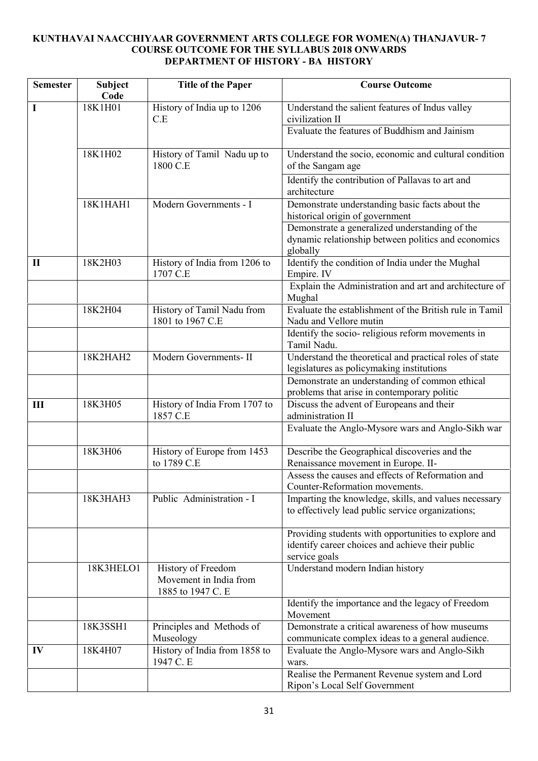# **KUNTHAVAI NAACCHIYAAR GOVERNMENT ARTS COLLEGE FOR WOMEN(A) THANJAVUR- 7 COURSE OUTCOME FOR THE SYLLABUS 2018 ONWARDS DEPARTMENT OF HISTORY - BA HISTORY**

| <b>Semester</b> | Subject<br>Code | <b>Title of the Paper</b>                                         | <b>Course Outcome</b>                                                                                                     |
|-----------------|-----------------|-------------------------------------------------------------------|---------------------------------------------------------------------------------------------------------------------------|
| I               | 18K1H01         | History of India up to 1206<br>C.E                                | Understand the salient features of Indus valley<br>civilization II                                                        |
|                 |                 |                                                                   | Evaluate the features of Buddhism and Jainism                                                                             |
|                 | 18K1H02         | History of Tamil Nadu up to<br>1800 C.E                           | Understand the socio, economic and cultural condition<br>of the Sangam age                                                |
|                 |                 |                                                                   | Identify the contribution of Pallavas to art and<br>architecture                                                          |
|                 | 18K1HAH1        | Modern Governments - I                                            | Demonstrate understanding basic facts about the<br>historical origin of government                                        |
|                 |                 |                                                                   | Demonstrate a generalized understanding of the<br>dynamic relationship between politics and economics<br>globally         |
| $\mathbf{I}$    | 18K2H03         | History of India from 1206 to<br>1707 C.E                         | Identify the condition of India under the Mughal<br>Empire. IV                                                            |
|                 |                 |                                                                   | Explain the Administration and art and architecture of<br>Mughal                                                          |
|                 | 18K2H04         | History of Tamil Nadu from<br>1801 to 1967 C.E                    | Evaluate the establishment of the British rule in Tamil<br>Nadu and Vellore mutin                                         |
|                 |                 |                                                                   | Identify the socio-religious reform movements in<br>Tamil Nadu.                                                           |
|                 | 18K2HAH2        | Modern Governments- II                                            | Understand the theoretical and practical roles of state<br>legislatures as policymaking institutions                      |
|                 |                 |                                                                   | Demonstrate an understanding of common ethical<br>problems that arise in contemporary politic                             |
| III             | 18K3H05         | History of India From 1707 to<br>1857 C.E                         | Discuss the advent of Europeans and their<br>administration II                                                            |
|                 |                 |                                                                   | Evaluate the Anglo-Mysore wars and Anglo-Sikh war                                                                         |
|                 | 18K3H06         | History of Europe from 1453<br>to 1789 C.E                        | Describe the Geographical discoveries and the<br>Renaissance movement in Europe. II-                                      |
|                 |                 |                                                                   | Assess the causes and effects of Reformation and<br>Counter-Reformation movements.                                        |
|                 | 18K3HAH3        | Public Administration - I                                         | Imparting the knowledge, skills, and values necessary<br>to effectively lead public service organizations;                |
|                 |                 |                                                                   | Providing students with opportunities to explore and<br>identify career choices and achieve their public<br>service goals |
|                 | 18K3HELO1       | History of Freedom<br>Movement in India from<br>1885 to 1947 C. E | Understand modern Indian history                                                                                          |
|                 |                 |                                                                   | Identify the importance and the legacy of Freedom<br>Movement                                                             |
|                 | 18K3SSH1        | Principles and Methods of<br>Museology                            | Demonstrate a critical awareness of how museums<br>communicate complex ideas to a general audience.                       |
| IV              | 18K4H07         | History of India from 1858 to<br>1947 C. E                        | Evaluate the Anglo-Mysore wars and Anglo-Sikh<br>wars.                                                                    |
|                 |                 |                                                                   | Realise the Permanent Revenue system and Lord<br>Ripon's Local Self Government                                            |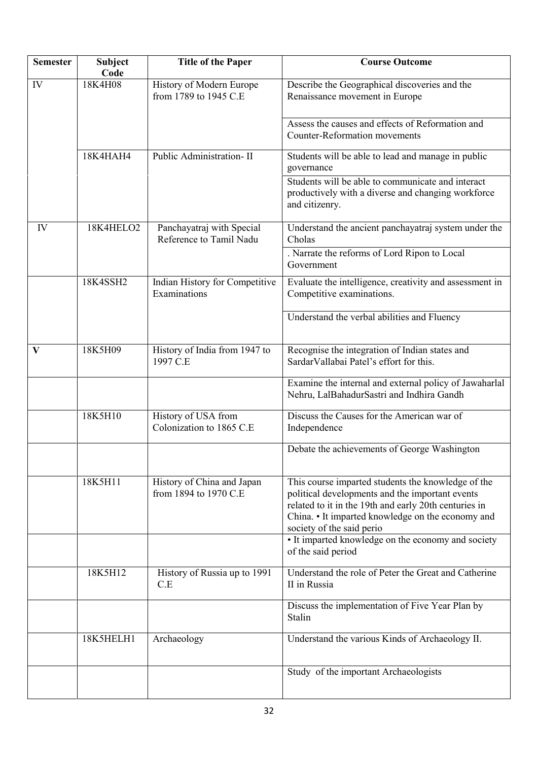| <b>Semester</b> | Subject<br>Code | <b>Title of the Paper</b>                            | <b>Course Outcome</b>                                                                                                                                                                                                                            |
|-----------------|-----------------|------------------------------------------------------|--------------------------------------------------------------------------------------------------------------------------------------------------------------------------------------------------------------------------------------------------|
| IV              | 18K4H08         | History of Modern Europe<br>from 1789 to 1945 C.E    | Describe the Geographical discoveries and the<br>Renaissance movement in Europe                                                                                                                                                                  |
|                 |                 |                                                      | Assess the causes and effects of Reformation and<br><b>Counter-Reformation movements</b>                                                                                                                                                         |
|                 | 18K4HAH4        | Public Administration-II                             | Students will be able to lead and manage in public<br>governance                                                                                                                                                                                 |
|                 |                 |                                                      | Students will be able to communicate and interact<br>productively with a diverse and changing workforce<br>and citizenry.                                                                                                                        |
| IV              | 18K4HELO2       | Panchayatraj with Special<br>Reference to Tamil Nadu | Understand the ancient panchayatraj system under the<br>Cholas                                                                                                                                                                                   |
|                 |                 |                                                      | . Narrate the reforms of Lord Ripon to Local<br>Government                                                                                                                                                                                       |
|                 | 18K4SSH2        | Indian History for Competitive<br>Examinations       | Evaluate the intelligence, creativity and assessment in<br>Competitive examinations.                                                                                                                                                             |
|                 |                 |                                                      | Understand the verbal abilities and Fluency                                                                                                                                                                                                      |
| $\mathbf{V}$    | 18K5H09         | History of India from 1947 to<br>1997 C.E            | Recognise the integration of Indian states and<br>SardarVallabai Patel's effort for this.                                                                                                                                                        |
|                 |                 |                                                      | Examine the internal and external policy of Jawaharlal<br>Nehru, LalBahadurSastri and Indhira Gandh                                                                                                                                              |
|                 | 18K5H10         | History of USA from<br>Colonization to 1865 C.E.     | Discuss the Causes for the American war of<br>Independence                                                                                                                                                                                       |
|                 |                 |                                                      | Debate the achievements of George Washington                                                                                                                                                                                                     |
|                 | 18K5H11         | History of China and Japan<br>from 1894 to 1970 C.E. | This course imparted students the knowledge of the<br>political developments and the important events<br>related to it in the 19th and early 20th centuries in<br>China. • It imparted knowledge on the economy and<br>society of the said perio |
|                 |                 |                                                      | • It imparted knowledge on the economy and society<br>of the said period                                                                                                                                                                         |
|                 | 18K5H12         | History of Russia up to 1991<br>C.E                  | Understand the role of Peter the Great and Catherine<br>II in Russia                                                                                                                                                                             |
|                 |                 |                                                      | Discuss the implementation of Five Year Plan by<br>Stalin                                                                                                                                                                                        |
|                 | 18K5HELH1       | Archaeology                                          | Understand the various Kinds of Archaeology II.                                                                                                                                                                                                  |
|                 |                 |                                                      | Study of the important Archaeologists                                                                                                                                                                                                            |
|                 |                 |                                                      |                                                                                                                                                                                                                                                  |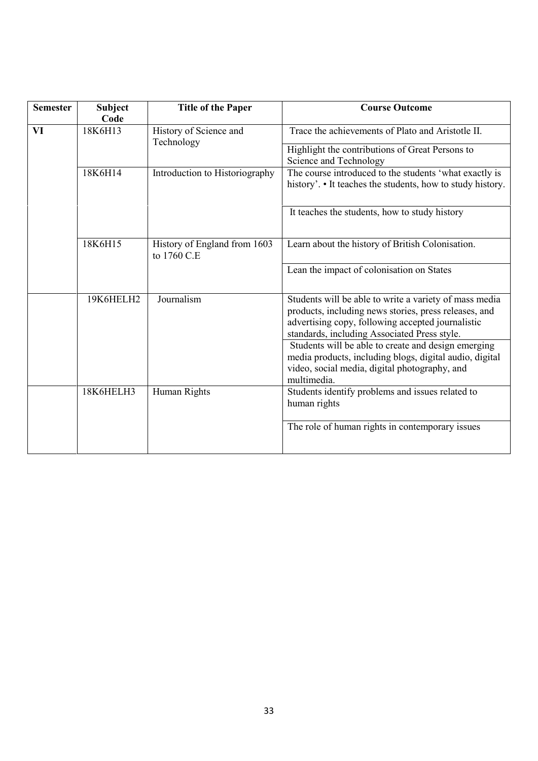| <b>Semester</b> | <b>Subject</b><br>Code | <b>Title of the Paper</b>                   | <b>Course Outcome</b>                                                                                                                                                                                                |
|-----------------|------------------------|---------------------------------------------|----------------------------------------------------------------------------------------------------------------------------------------------------------------------------------------------------------------------|
| VI              | 18K6H13                | History of Science and<br>Technology        | Trace the achievements of Plato and Aristotle II.<br>Highlight the contributions of Great Persons to<br>Science and Technology                                                                                       |
|                 | 18K6H14                | Introduction to Historiography              | The course introduced to the students 'what exactly is<br>history'. • It teaches the students, how to study history.                                                                                                 |
|                 |                        |                                             | It teaches the students, how to study history                                                                                                                                                                        |
|                 | 18K6H15                | History of England from 1603<br>to 1760 C.E | Learn about the history of British Colonisation.                                                                                                                                                                     |
|                 |                        |                                             | Lean the impact of colonisation on States                                                                                                                                                                            |
|                 | 19K6HELH2              | Journalism                                  | Students will be able to write a variety of mass media<br>products, including news stories, press releases, and<br>advertising copy, following accepted journalistic<br>standards, including Associated Press style. |
|                 |                        |                                             | Students will be able to create and design emerging<br>media products, including blogs, digital audio, digital<br>video, social media, digital photography, and<br>multimedia.                                       |
|                 | 18K6HELH3              | Human Rights                                | Students identify problems and issues related to<br>human rights                                                                                                                                                     |
|                 |                        |                                             | The role of human rights in contemporary issues                                                                                                                                                                      |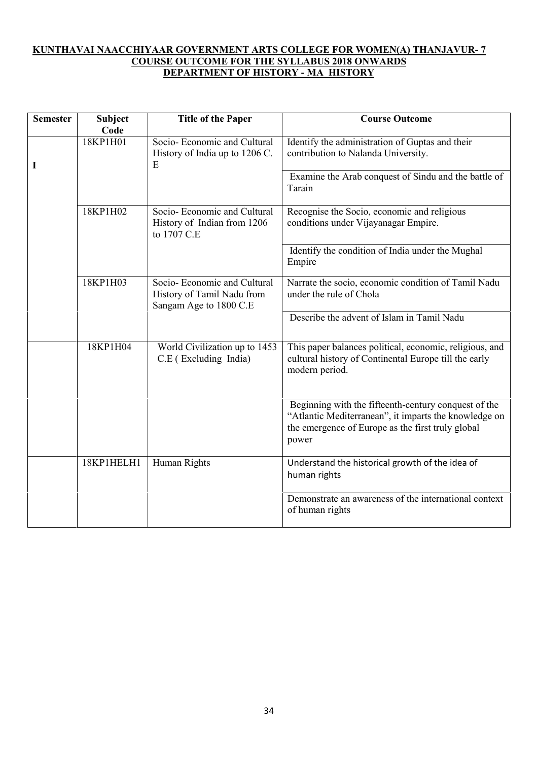# **KUNTHAVAI NAACCHIYAAR GOVERNMENT ARTS COLLEGE FOR WOMEN(A) THANJAVUR- 7 COURSE OUTCOME FOR THE SYLLABUS 2018 ONWARDS DEPARTMENT OF HISTORY - MA HISTORY**

| <b>Semester</b> | <b>Subject</b><br>Code | <b>Title of the Paper</b>                                                           | <b>Course Outcome</b>                                                                                                                                                       |
|-----------------|------------------------|-------------------------------------------------------------------------------------|-----------------------------------------------------------------------------------------------------------------------------------------------------------------------------|
| 1               | 18KP1H01               | Socio-Economic and Cultural<br>History of India up to 1206 C.<br>Ε                  | Identify the administration of Guptas and their<br>contribution to Nalanda University.<br>Examine the Arab conquest of Sindu and the battle of<br>Tarain                    |
|                 | 18KP1H02               | Socio-Economic and Cultural<br>History of Indian from 1206<br>to 1707 C.E.          | Recognise the Socio, economic and religious<br>conditions under Vijayanagar Empire.                                                                                         |
|                 |                        |                                                                                     | Identify the condition of India under the Mughal<br>Empire                                                                                                                  |
|                 | 18KP1H03               | Socio-Economic and Cultural<br>History of Tamil Nadu from<br>Sangam Age to 1800 C.E | Narrate the socio, economic condition of Tamil Nadu<br>under the rule of Chola                                                                                              |
|                 |                        |                                                                                     | Describe the advent of Islam in Tamil Nadu                                                                                                                                  |
|                 | 18KP1H04               | World Civilization up to 1453<br>C.E (Excluding India)                              | This paper balances political, economic, religious, and<br>cultural history of Continental Europe till the early<br>modern period.                                          |
|                 |                        |                                                                                     | Beginning with the fifteenth-century conquest of the<br>"Atlantic Mediterranean", it imparts the knowledge on<br>the emergence of Europe as the first truly global<br>power |
|                 | 18KP1HELH1             | Human Rights                                                                        | Understand the historical growth of the idea of<br>human rights                                                                                                             |
|                 |                        |                                                                                     | Demonstrate an awareness of the international context<br>of human rights                                                                                                    |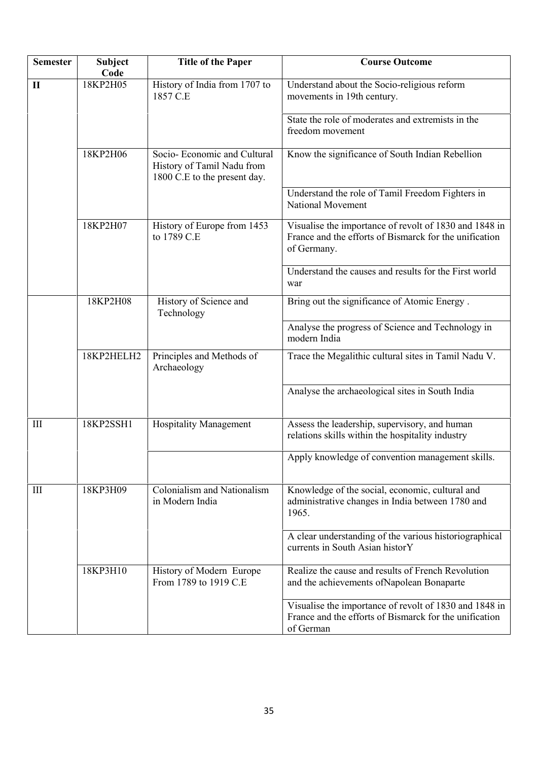| <b>Semester</b>    | Subject<br>Code | <b>Title of the Paper</b>                                                                  | <b>Course Outcome</b>                                                                                                           |
|--------------------|-----------------|--------------------------------------------------------------------------------------------|---------------------------------------------------------------------------------------------------------------------------------|
| $\mathbf{I}$       | 18KP2H05        | History of India from 1707 to<br>1857 C.E                                                  | Understand about the Socio-religious reform<br>movements in 19th century.                                                       |
|                    |                 |                                                                                            | State the role of moderates and extremists in the<br>freedom movement                                                           |
|                    | 18KP2H06        | Socio- Economic and Cultural<br>History of Tamil Nadu from<br>1800 C.E to the present day. | Know the significance of South Indian Rebellion                                                                                 |
|                    |                 |                                                                                            | Understand the role of Tamil Freedom Fighters in<br>National Movement                                                           |
|                    | 18KP2H07        | History of Europe from 1453<br>to 1789 C.E                                                 | Visualise the importance of revolt of 1830 and 1848 in<br>France and the efforts of Bismarck for the unification<br>of Germany. |
|                    |                 |                                                                                            | Understand the causes and results for the First world<br>war                                                                    |
|                    | 18KP2H08        | History of Science and<br>Technology                                                       | Bring out the significance of Atomic Energy.                                                                                    |
|                    |                 |                                                                                            | Analyse the progress of Science and Technology in<br>modern India                                                               |
|                    | 18KP2HELH2      | Principles and Methods of<br>Archaeology                                                   | Trace the Megalithic cultural sites in Tamil Nadu V.                                                                            |
|                    |                 |                                                                                            | Analyse the archaeological sites in South India                                                                                 |
| Ш                  | 18KP2SSH1       | <b>Hospitality Management</b>                                                              | Assess the leadership, supervisory, and human<br>relations skills within the hospitality industry                               |
|                    |                 |                                                                                            | Apply knowledge of convention management skills.                                                                                |
| $\mathop{\rm III}$ | 18KP3H09        | Colonialism and Nationalism<br>in Modern India                                             | Knowledge of the social, economic, cultural and<br>administrative changes in India between 1780 and<br>1965.                    |
|                    |                 |                                                                                            | A clear understanding of the various historiographical<br>currents in South Asian historY                                       |
|                    | 18KP3H10        | History of Modern Europe<br>From 1789 to 1919 C.E                                          | Realize the cause and results of French Revolution<br>and the achievements of Napolean Bonaparte                                |
|                    |                 |                                                                                            | Visualise the importance of revolt of 1830 and 1848 in<br>France and the efforts of Bismarck for the unification<br>of German   |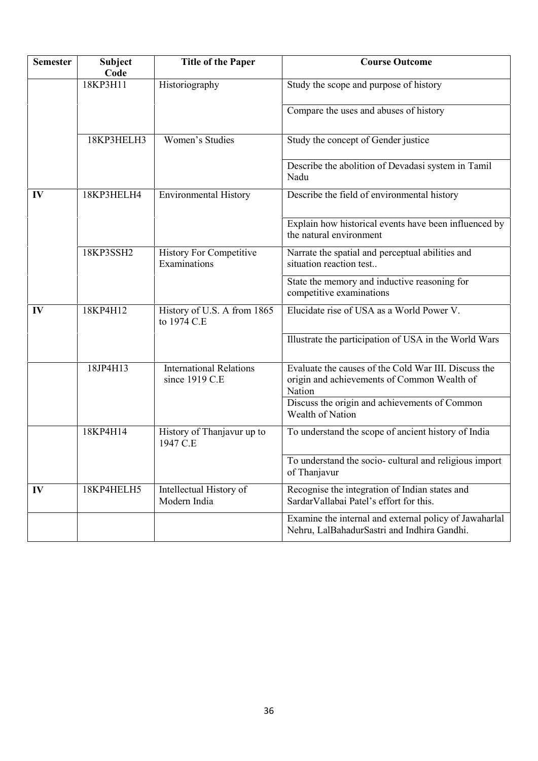| <b>Semester</b> | <b>Subject</b><br>Code | <b>Title of the Paper</b>                        | <b>Course Outcome</b>                                                                                         |
|-----------------|------------------------|--------------------------------------------------|---------------------------------------------------------------------------------------------------------------|
|                 | 18KP3H11               | Historiography                                   | Study the scope and purpose of history                                                                        |
|                 |                        |                                                  | Compare the uses and abuses of history                                                                        |
|                 | 18KP3HELH3             | Women's Studies                                  | Study the concept of Gender justice                                                                           |
|                 |                        |                                                  | Describe the abolition of Devadasi system in Tamil<br>Nadu                                                    |
| IV              | 18KP3HELH4             | <b>Environmental History</b>                     | Describe the field of environmental history                                                                   |
|                 |                        |                                                  | Explain how historical events have been influenced by<br>the natural environment                              |
|                 | 18KP3SSH2              | <b>History For Competitive</b><br>Examinations   | Narrate the spatial and perceptual abilities and<br>situation reaction test                                   |
|                 |                        |                                                  | State the memory and inductive reasoning for<br>competitive examinations                                      |
| IV              | 18KP4H12               | History of U.S. A from 1865<br>to 1974 C.E       | Elucidate rise of USA as a World Power V.                                                                     |
|                 |                        |                                                  | Illustrate the participation of USA in the World Wars                                                         |
|                 | 18JP4H13               | <b>International Relations</b><br>since 1919 C.E | Evaluate the causes of the Cold War III. Discuss the<br>origin and achievements of Common Wealth of<br>Nation |
|                 |                        |                                                  | Discuss the origin and achievements of Common<br>Wealth of Nation                                             |
|                 | 18KP4H14               | History of Thanjavur up to<br>1947 C.E           | To understand the scope of ancient history of India                                                           |
|                 |                        |                                                  | To understand the socio-cultural and religious import<br>of Thanjavur                                         |
| $\mathbf{IV}$   | 18KP4HELH5             | Intellectual History of<br>Modern India          | Recognise the integration of Indian states and<br>SardarVallabai Patel's effort for this.                     |
|                 |                        |                                                  | Examine the internal and external policy of Jawaharlal<br>Nehru, LalBahadurSastri and Indhira Gandhi.         |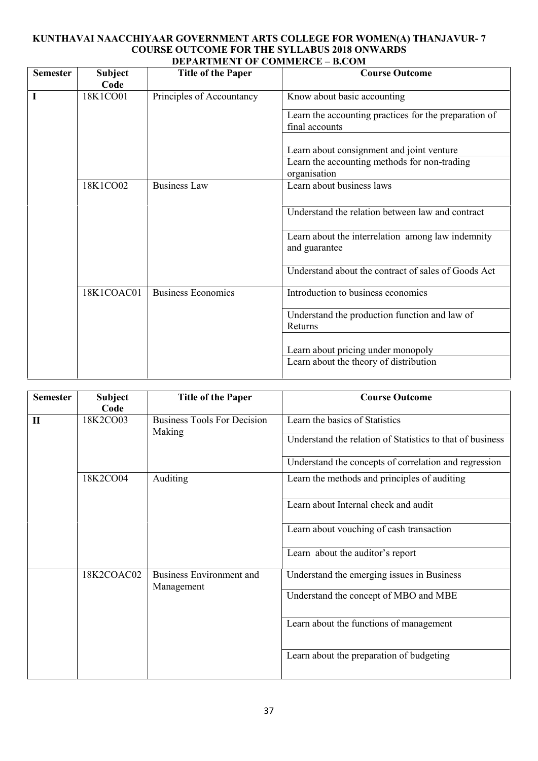#### **KUNTHAVAI NAACCHIYAAR GOVERNMENT ARTS COLLEGE FOR WOMEN(A) THANJAVUR- 7 COURSE OUTCOME FOR THE SYLLABUS 2018 ONWARDS DEPARTMENT OF COMMERCE – B.COM**

| <b>Semester</b> | <b>Subject</b><br>Code | <b>Title of the Paper</b> | <b>Course Outcome</b>                                                                     |
|-----------------|------------------------|---------------------------|-------------------------------------------------------------------------------------------|
|                 | 18K1CO01               | Principles of Accountancy | Know about basic accounting                                                               |
|                 |                        |                           | Learn the accounting practices for the preparation of<br>final accounts                   |
|                 |                        |                           | Learn about consignment and joint venture<br>Learn the accounting methods for non-trading |
|                 |                        |                           | organisation                                                                              |
|                 | 18K1CO02               | <b>Business Law</b>       | Learn about business laws                                                                 |
|                 |                        |                           | Understand the relation between law and contract                                          |
|                 |                        |                           | Learn about the interrelation among law indemnity<br>and guarantee                        |
|                 |                        |                           | Understand about the contract of sales of Goods Act                                       |
|                 | 18K1COAC01             | <b>Business Economics</b> | Introduction to business economics                                                        |
|                 |                        |                           | Understand the production function and law of<br>Returns                                  |
|                 |                        |                           | Learn about pricing under monopoly                                                        |
|                 |                        |                           | Learn about the theory of distribution                                                    |

| <b>Semester</b> | <b>Subject</b><br>Code                               | <b>Title of the Paper</b>                    | <b>Course Outcome</b>                                     |
|-----------------|------------------------------------------------------|----------------------------------------------|-----------------------------------------------------------|
| $\mathbf{I}$    | 18K2CO03                                             | <b>Business Tools For Decision</b><br>Making | Learn the basics of Statistics                            |
|                 |                                                      |                                              | Understand the relation of Statistics to that of business |
|                 |                                                      |                                              | Understand the concepts of correlation and regression     |
|                 | 18K2CO04                                             | <b>Auditing</b>                              | Learn the methods and principles of auditing              |
|                 |                                                      |                                              | Learn about Internal check and audit                      |
|                 |                                                      |                                              | Learn about vouching of cash transaction                  |
|                 |                                                      |                                              | Learn about the auditor's report                          |
|                 | 18K2COAC02<br>Business Environment and<br>Management | Understand the emerging issues in Business   |                                                           |
|                 |                                                      |                                              | Understand the concept of MBO and MBE                     |
|                 |                                                      |                                              | Learn about the functions of management                   |
|                 |                                                      |                                              | Learn about the preparation of budgeting                  |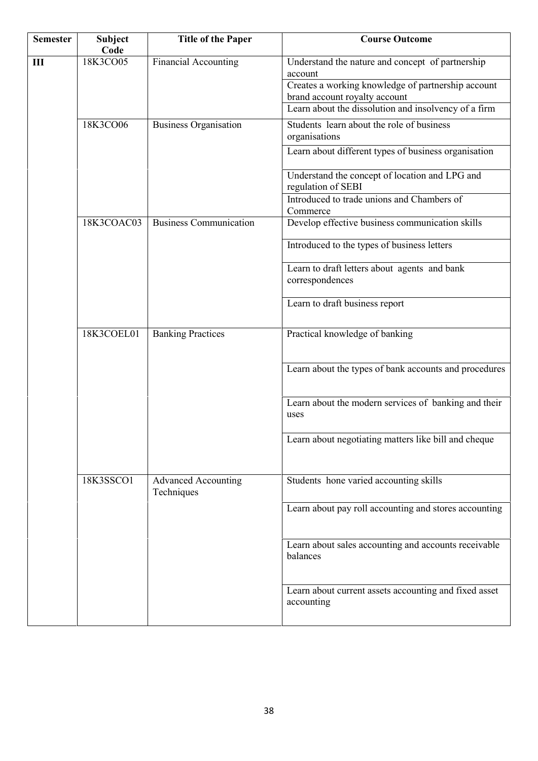| <b>Semester</b> | <b>Subject</b><br>Code | <b>Title of the Paper</b>                | <b>Course Outcome</b>                                                               |
|-----------------|------------------------|------------------------------------------|-------------------------------------------------------------------------------------|
| $\mathbf{III}$  | 18K3CO05               | <b>Financial Accounting</b>              | Understand the nature and concept of partnership<br>account                         |
|                 |                        |                                          | Creates a working knowledge of partnership account<br>brand account royalty account |
|                 |                        |                                          | Learn about the dissolution and insolvency of a firm                                |
|                 | 18K3CO06               | <b>Business Organisation</b>             | Students learn about the role of business<br>organisations                          |
|                 |                        |                                          | Learn about different types of business organisation                                |
|                 |                        |                                          | Understand the concept of location and LPG and<br>regulation of SEBI                |
|                 |                        |                                          | Introduced to trade unions and Chambers of<br>Commerce                              |
|                 | 18K3COAC03             | <b>Business Communication</b>            | Develop effective business communication skills                                     |
|                 |                        |                                          | Introduced to the types of business letters                                         |
|                 |                        |                                          | Learn to draft letters about agents and bank<br>correspondences                     |
|                 |                        |                                          | Learn to draft business report                                                      |
|                 | 18K3COEL01             | <b>Banking Practices</b>                 | Practical knowledge of banking                                                      |
|                 |                        |                                          | Learn about the types of bank accounts and procedures                               |
|                 |                        |                                          | Learn about the modern services of banking and their<br>uses                        |
|                 |                        |                                          | Learn about negotiating matters like bill and cheque                                |
|                 | 18K3SSCO1              | <b>Advanced Accounting</b><br>Techniques | Students hone varied accounting skills                                              |
|                 |                        |                                          | Learn about pay roll accounting and stores accounting                               |
|                 |                        |                                          | Learn about sales accounting and accounts receivable<br>balances                    |
|                 |                        |                                          | Learn about current assets accounting and fixed asset<br>accounting                 |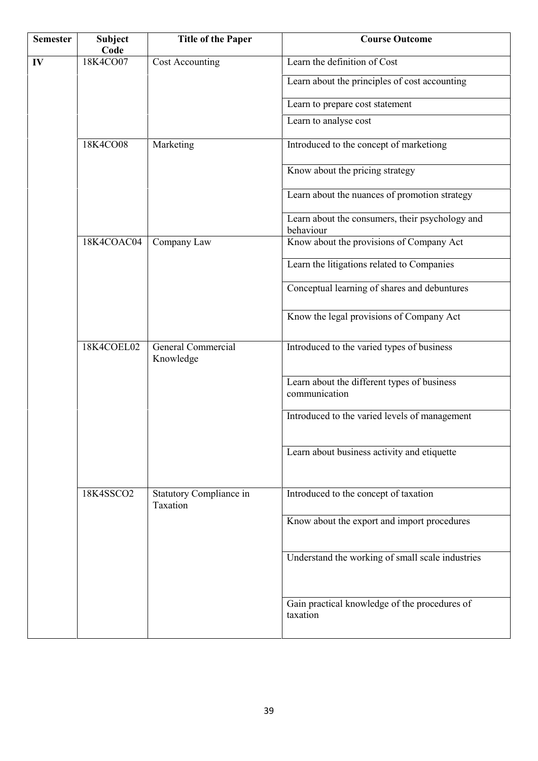| <b>Semester</b> | Subject<br>Code | <b>Title of the Paper</b>           | <b>Course Outcome</b>                                        |
|-----------------|-----------------|-------------------------------------|--------------------------------------------------------------|
| IV              | 18K4CO07        | <b>Cost Accounting</b>              | Learn the definition of Cost                                 |
|                 |                 |                                     | Learn about the principles of cost accounting                |
|                 |                 |                                     | Learn to prepare cost statement                              |
|                 |                 |                                     | Learn to analyse cost                                        |
|                 | 18K4CO08        | Marketing                           | Introduced to the concept of marketiong                      |
|                 |                 |                                     | Know about the pricing strategy                              |
|                 |                 |                                     | Learn about the nuances of promotion strategy                |
|                 |                 |                                     | Learn about the consumers, their psychology and<br>behaviour |
|                 | 18K4COAC04      | Company Law                         | Know about the provisions of Company Act                     |
|                 |                 |                                     | Learn the litigations related to Companies                   |
|                 |                 |                                     | Conceptual learning of shares and debuntures                 |
|                 |                 |                                     | Know the legal provisions of Company Act                     |
|                 | 18K4COEL02      | General Commercial<br>Knowledge     | Introduced to the varied types of business                   |
|                 |                 |                                     | Learn about the different types of business<br>communication |
|                 |                 |                                     | Introduced to the varied levels of management                |
|                 |                 |                                     | Learn about business activity and etiquette                  |
|                 | 18K4SSCO2       | Statutory Compliance in<br>Taxation | Introduced to the concept of taxation                        |
|                 |                 |                                     | Know about the export and import procedures                  |
|                 |                 |                                     | Understand the working of small scale industries             |
|                 |                 |                                     | Gain practical knowledge of the procedures of<br>taxation    |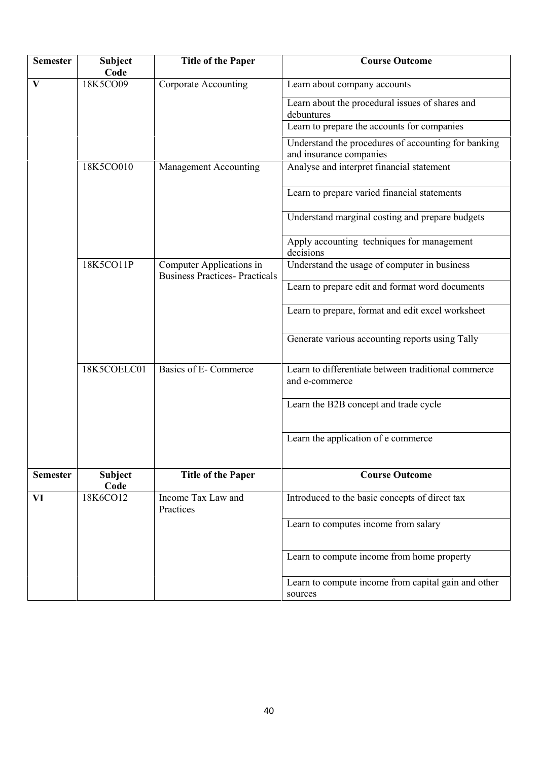| <b>Semester</b> | <b>Subject</b><br>Code | <b>Title of the Paper</b>                                         | <b>Course Outcome</b>                                                          |
|-----------------|------------------------|-------------------------------------------------------------------|--------------------------------------------------------------------------------|
| $\mathbf{V}$    | 18K5CO09               | <b>Corporate Accounting</b>                                       | Learn about company accounts                                                   |
|                 |                        |                                                                   | Learn about the procedural issues of shares and<br>debuntures                  |
|                 |                        |                                                                   | Learn to prepare the accounts for companies                                    |
|                 |                        |                                                                   | Understand the procedures of accounting for banking<br>and insurance companies |
|                 | 18K5CO010              | Management Accounting                                             | Analyse and interpret financial statement                                      |
|                 |                        |                                                                   | Learn to prepare varied financial statements                                   |
|                 |                        |                                                                   | Understand marginal costing and prepare budgets                                |
|                 |                        |                                                                   | Apply accounting techniques for management<br>decisions                        |
|                 | 18K5CO11P              | Computer Applications in<br><b>Business Practices- Practicals</b> | Understand the usage of computer in business                                   |
|                 |                        |                                                                   | Learn to prepare edit and format word documents                                |
|                 |                        |                                                                   | Learn to prepare, format and edit excel worksheet                              |
|                 |                        |                                                                   | Generate various accounting reports using Tally                                |
|                 | 18K5COELC01            | Basics of E-Commerce                                              | Learn to differentiate between traditional commerce<br>and e-commerce          |
|                 |                        |                                                                   | Learn the B2B concept and trade cycle                                          |
|                 |                        |                                                                   | Learn the application of e commerce                                            |
| <b>Semester</b> | <b>Subject</b><br>Code | <b>Title of the Paper</b>                                         | <b>Course Outcome</b>                                                          |
| VI              | 18K6CO12               | Income Tax Law and<br>Practices                                   | Introduced to the basic concepts of direct tax                                 |
|                 |                        |                                                                   | Learn to computes income from salary                                           |
|                 |                        |                                                                   | Learn to compute income from home property                                     |
|                 |                        |                                                                   | Learn to compute income from capital gain and other<br>sources                 |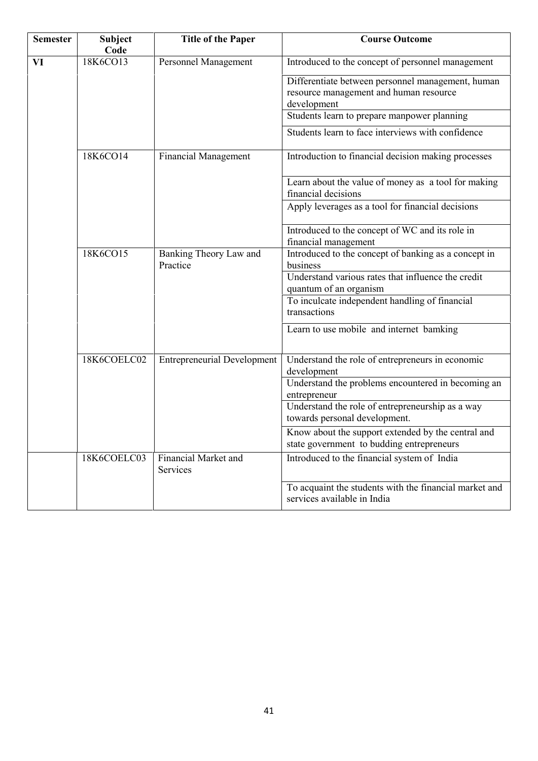| <b>Semester</b> | <b>Subject</b><br>Code | <b>Title of the Paper</b>          | <b>Course Outcome</b>                                                                                      |
|-----------------|------------------------|------------------------------------|------------------------------------------------------------------------------------------------------------|
| VI              | 18K6CO13               | <b>Personnel Management</b>        | Introduced to the concept of personnel management                                                          |
|                 |                        |                                    | Differentiate between personnel management, human<br>resource management and human resource<br>development |
|                 |                        |                                    | Students learn to prepare manpower planning                                                                |
|                 |                        |                                    | Students learn to face interviews with confidence                                                          |
|                 | 18K6CO14               | <b>Financial Management</b>        | Introduction to financial decision making processes                                                        |
|                 |                        |                                    | Learn about the value of money as a tool for making<br>financial decisions                                 |
|                 |                        |                                    | Apply leverages as a tool for financial decisions                                                          |
|                 |                        |                                    | Introduced to the concept of WC and its role in<br>financial management                                    |
|                 | 18K6CO15               | Banking Theory Law and<br>Practice | Introduced to the concept of banking as a concept in<br>business                                           |
|                 |                        |                                    | Understand various rates that influence the credit<br>quantum of an organism                               |
|                 |                        |                                    | To inculcate independent handling of financial<br>transactions                                             |
|                 |                        |                                    | Learn to use mobile and internet bamking                                                                   |
|                 | 18K6COELC02            | <b>Entrepreneurial Development</b> | Understand the role of entrepreneurs in economic<br>development                                            |
|                 |                        |                                    | Understand the problems encountered in becoming an<br>entrepreneur                                         |
|                 |                        |                                    | Understand the role of entrepreneurship as a way<br>towards personal development.                          |
|                 |                        |                                    | Know about the support extended by the central and<br>state government to budding entrepreneurs            |
|                 | 18K6COELC03            | Financial Market and<br>Services   | Introduced to the financial system of India                                                                |
|                 |                        |                                    | To acquaint the students with the financial market and<br>services available in India                      |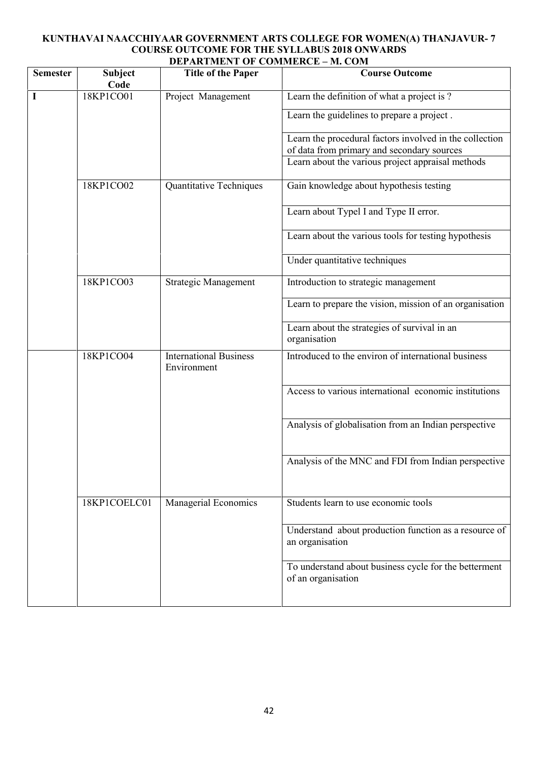# **KUNTHAVAI NAACCHIYAAR GOVERNMENT ARTS COLLEGE FOR WOMEN(A) THANJAVUR- 7 COURSE OUTCOME FOR THE SYLLABUS 2018 ONWARDS DEPARTMENT OF COMMERCE – M. COM**

| <b>Semester</b> | Subject<br>Code | <b>Title of the Paper</b>                    | <b>Course Outcome</b>                                                                                 |
|-----------------|-----------------|----------------------------------------------|-------------------------------------------------------------------------------------------------------|
| I               | 18KP1CO01       | Project Management                           | Learn the definition of what a project is?                                                            |
|                 |                 |                                              | Learn the guidelines to prepare a project.                                                            |
|                 |                 |                                              | Learn the procedural factors involved in the collection<br>of data from primary and secondary sources |
|                 |                 |                                              | Learn about the various project appraisal methods                                                     |
|                 | 18KP1CO02       | Quantitative Techniques                      | Gain knowledge about hypothesis testing                                                               |
|                 |                 |                                              | Learn about Typel I and Type II error.                                                                |
|                 |                 |                                              | Learn about the various tools for testing hypothesis                                                  |
|                 |                 |                                              | Under quantitative techniques                                                                         |
|                 | 18KP1CO03       | <b>Strategic Management</b>                  | Introduction to strategic management                                                                  |
|                 |                 |                                              | Learn to prepare the vision, mission of an organisation                                               |
|                 |                 |                                              | Learn about the strategies of survival in an<br>organisation                                          |
|                 | 18KP1CO04       | <b>International Business</b><br>Environment | Introduced to the environ of international business                                                   |
|                 |                 |                                              | Access to various international economic institutions                                                 |
|                 |                 |                                              | Analysis of globalisation from an Indian perspective                                                  |
|                 |                 |                                              | Analysis of the MNC and FDI from Indian perspective                                                   |
|                 | 18KP1COELC01    | <b>Managerial Economics</b>                  | Students learn to use economic tools                                                                  |
|                 |                 |                                              | Understand about production function as a resource of<br>an organisation                              |
|                 |                 |                                              | To understand about business cycle for the betterment<br>of an organisation                           |
|                 |                 |                                              |                                                                                                       |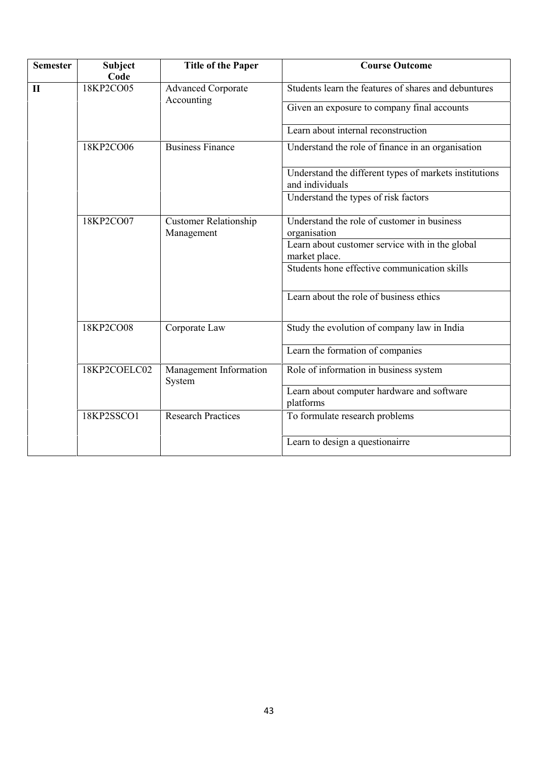| <b>Semester</b> | <b>Subject</b><br>Code | <b>Title of the Paper</b>                  | <b>Course Outcome</b>                                                     |
|-----------------|------------------------|--------------------------------------------|---------------------------------------------------------------------------|
| $\mathbf{I}$    | 18KP2CO05              | <b>Advanced Corporate</b><br>Accounting    | Students learn the features of shares and debuntures                      |
|                 |                        |                                            | Given an exposure to company final accounts                               |
|                 |                        |                                            | Learn about internal reconstruction                                       |
|                 | 18KP2CO06              | <b>Business Finance</b>                    | Understand the role of finance in an organisation                         |
|                 |                        |                                            | Understand the different types of markets institutions<br>and individuals |
|                 |                        |                                            | Understand the types of risk factors                                      |
|                 | 18KP2CO07              | <b>Customer Relationship</b><br>Management | Understand the role of customer in business<br>organisation               |
|                 |                        |                                            | Learn about customer service with in the global<br>market place.          |
|                 |                        |                                            | Students hone effective communication skills                              |
|                 |                        |                                            | Learn about the role of business ethics                                   |
|                 | 18KP2CO08              | Corporate Law                              | Study the evolution of company law in India                               |
|                 |                        |                                            | Learn the formation of companies                                          |
|                 | 18KP2COELC02           | Management Information<br>System           | Role of information in business system                                    |
|                 |                        |                                            | Learn about computer hardware and software<br>platforms                   |
|                 | 18KP2SSCO1             | <b>Research Practices</b>                  | To formulate research problems                                            |
|                 |                        |                                            | Learn to design a questionairre                                           |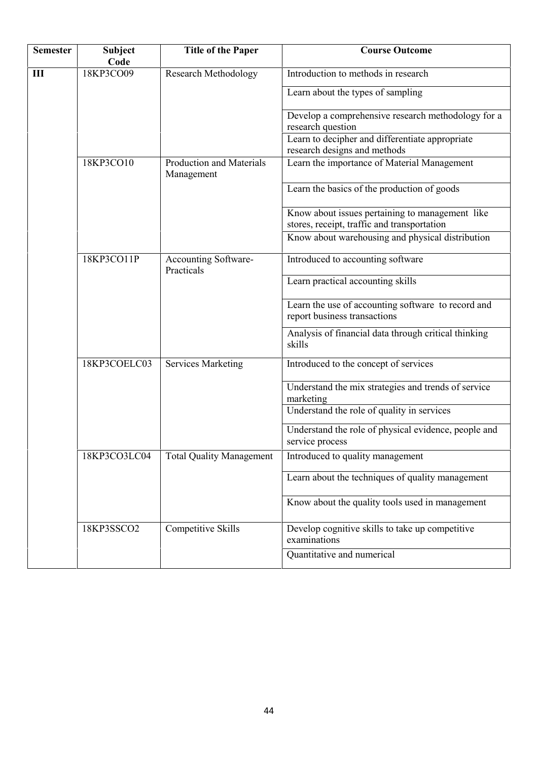| <b>Semester</b> | Subject<br>Code | <b>Title of the Paper</b>                     | <b>Course Outcome</b>                                                                          |
|-----------------|-----------------|-----------------------------------------------|------------------------------------------------------------------------------------------------|
| Ш               | 18KP3CO09       | <b>Research Methodology</b>                   | Introduction to methods in research                                                            |
|                 |                 |                                               | Learn about the types of sampling                                                              |
|                 |                 |                                               | Develop a comprehensive research methodology for a<br>research question                        |
|                 |                 |                                               | Learn to decipher and differentiate appropriate<br>research designs and methods                |
|                 | 18KP3CO10       | <b>Production and Materials</b><br>Management | Learn the importance of Material Management                                                    |
|                 |                 |                                               | Learn the basics of the production of goods                                                    |
|                 |                 |                                               | Know about issues pertaining to management like<br>stores, receipt, traffic and transportation |
|                 |                 |                                               | Know about warehousing and physical distribution                                               |
|                 | 18KP3CO11P      | <b>Accounting Software-</b><br>Practicals     | Introduced to accounting software                                                              |
|                 |                 |                                               | Learn practical accounting skills                                                              |
|                 |                 |                                               | Learn the use of accounting software to record and<br>report business transactions             |
|                 |                 |                                               | Analysis of financial data through critical thinking<br>skills                                 |
|                 | 18KP3COELC03    | <b>Services Marketing</b>                     | Introduced to the concept of services                                                          |
|                 |                 |                                               | Understand the mix strategies and trends of service<br>marketing                               |
|                 |                 |                                               | Understand the role of quality in services                                                     |
|                 |                 |                                               | Understand the role of physical evidence, people and<br>service process                        |
|                 | 18KP3CO3LC04    | <b>Total Quality Management</b>               | Introduced to quality management                                                               |
|                 |                 |                                               | Learn about the techniques of quality management                                               |
|                 |                 |                                               | Know about the quality tools used in management                                                |
|                 | 18KP3SSCO2      | Competitive Skills                            | Develop cognitive skills to take up competitive<br>examinations                                |
|                 |                 |                                               | Quantitative and numerical                                                                     |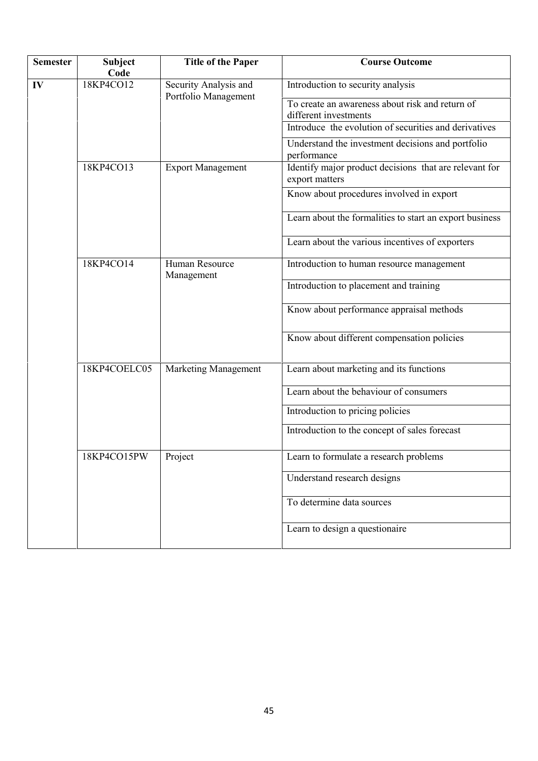| <b>Semester</b> | <b>Subject</b><br>Code | <b>Title of the Paper</b>                     | <b>Course Outcome</b>                                                    |
|-----------------|------------------------|-----------------------------------------------|--------------------------------------------------------------------------|
| IV              | 18KP4CO12              | Security Analysis and<br>Portfolio Management | Introduction to security analysis                                        |
|                 |                        |                                               | To create an awareness about risk and return of<br>different investments |
|                 |                        |                                               | Introduce the evolution of securities and derivatives                    |
|                 |                        |                                               | Understand the investment decisions and portfolio<br>performance         |
|                 | 18KP4CO13              | <b>Export Management</b>                      | Identify major product decisions that are relevant for<br>export matters |
|                 |                        |                                               | Know about procedures involved in export                                 |
|                 |                        |                                               | Learn about the formalities to start an export business                  |
|                 |                        |                                               | Learn about the various incentives of exporters                          |
|                 | 18KP4CO14              | Human Resource<br>Management                  | Introduction to human resource management                                |
|                 |                        |                                               | Introduction to placement and training                                   |
|                 |                        |                                               | Know about performance appraisal methods                                 |
|                 |                        |                                               | Know about different compensation policies                               |
|                 | 18KP4COELC05           | <b>Marketing Management</b>                   | Learn about marketing and its functions                                  |
|                 |                        |                                               | Learn about the behaviour of consumers                                   |
|                 |                        |                                               | Introduction to pricing policies                                         |
|                 |                        |                                               | Introduction to the concept of sales forecast                            |
|                 | 18KP4CO15PW            | Project                                       | Learn to formulate a research problems                                   |
|                 |                        |                                               | Understand research designs                                              |
|                 |                        |                                               | To determine data sources                                                |
|                 |                        |                                               | Learn to design a questionaire                                           |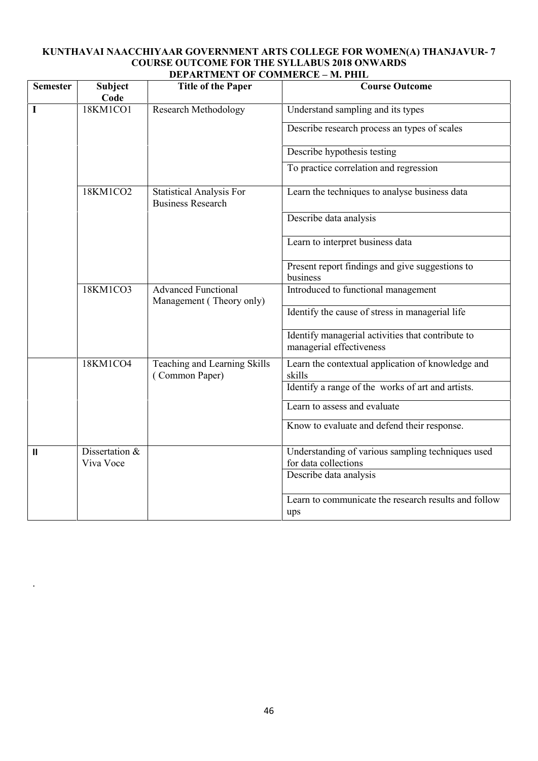#### **KUNTHAVAI NAACCHIYAAR GOVERNMENT ARTS COLLEGE FOR WOMEN(A) THANJAVUR- 7 COURSE OUTCOME FOR THE SYLLABUS 2018 ONWARDS DEPARTMENT OF COMMERCE – M. PHIL**

| <b>Semester</b> | <b>Subject</b><br>Code | <b>Title of the Paper</b>                                   | <b>Course Outcome</b>                                                         |
|-----------------|------------------------|-------------------------------------------------------------|-------------------------------------------------------------------------------|
| $\mathbf I$     | 18KM1CO1               | <b>Research Methodology</b>                                 | Understand sampling and its types                                             |
|                 |                        |                                                             | Describe research process an types of scales                                  |
|                 |                        |                                                             | Describe hypothesis testing                                                   |
|                 |                        |                                                             | To practice correlation and regression                                        |
|                 | 18KM1CO2               | <b>Statistical Analysis For</b><br><b>Business Research</b> | Learn the techniques to analyse business data                                 |
|                 |                        |                                                             | Describe data analysis                                                        |
|                 |                        |                                                             | Learn to interpret business data                                              |
|                 |                        |                                                             | Present report findings and give suggestions to<br>business                   |
|                 | 18KM1CO3               | <b>Advanced Functional</b>                                  | Introduced to functional management                                           |
|                 |                        | Management (Theory only)                                    | Identify the cause of stress in managerial life                               |
|                 |                        |                                                             | Identify managerial activities that contribute to<br>managerial effectiveness |
|                 | 18KM1CO4               | Teaching and Learning Skills<br>(Common Paper)              | Learn the contextual application of knowledge and<br>skills                   |
|                 |                        |                                                             | Identify a range of the works of art and artists.                             |
|                 |                        |                                                             | Learn to assess and evaluate                                                  |
|                 |                        |                                                             | Know to evaluate and defend their response.                                   |
| $\mathbf{II}$   | Dissertation &         |                                                             | Understanding of various sampling techniques used                             |
|                 | Viva Voce              |                                                             | for data collections                                                          |
|                 |                        |                                                             | Describe data analysis                                                        |
|                 |                        |                                                             | Learn to communicate the research results and follow<br>ups                   |

.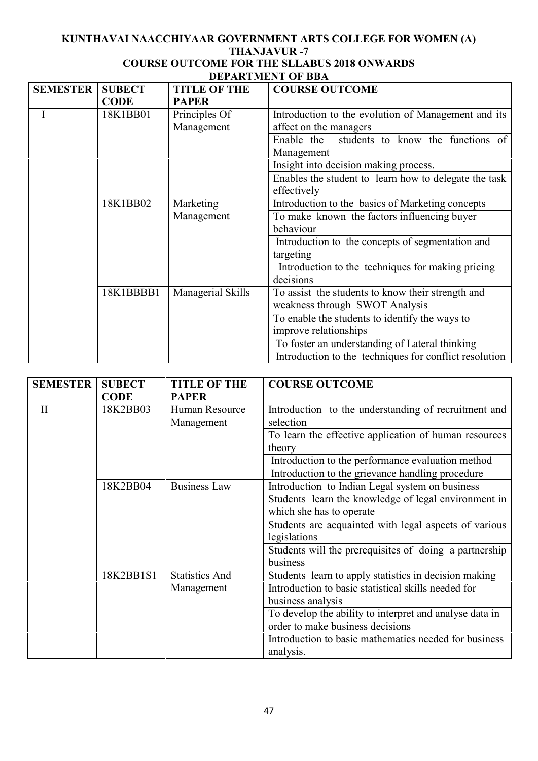# **KUNTHAVAI NAACCHIYAAR GOVERNMENT ARTS COLLEGE FOR WOMEN (A) THANJAVUR -7**

# **COURSE OUTCOME FOR THE SLLABUS 2018 ONWARDS DEPARTMENT OF BBA**

| <b>SEMESTER</b> | <b>SUBECT</b> | <b>TITLE OF THE</b> | <b>COURSE OUTCOME</b>                                  |
|-----------------|---------------|---------------------|--------------------------------------------------------|
|                 | <b>CODE</b>   | <b>PAPER</b>        |                                                        |
|                 | 18K1BB01      | Principles Of       | Introduction to the evolution of Management and its    |
|                 |               | Management          | affect on the managers                                 |
|                 |               |                     | students to know the functions of<br>Enable the        |
|                 |               |                     | Management                                             |
|                 |               |                     | Insight into decision making process.                  |
|                 |               |                     | Enables the student to learn how to delegate the task  |
|                 |               |                     | effectively                                            |
|                 | 18K1BB02      | Marketing           | Introduction to the basics of Marketing concepts       |
|                 |               | Management          | To make known the factors influencing buyer            |
|                 |               |                     | behaviour                                              |
|                 |               |                     | Introduction to the concepts of segmentation and       |
|                 |               |                     | targeting                                              |
|                 |               |                     | Introduction to the techniques for making pricing      |
|                 |               |                     | decisions                                              |
|                 | 18K1BBBB1     | Managerial Skills   | To assist the students to know their strength and      |
|                 |               |                     | weakness through SWOT Analysis                         |
|                 |               |                     | To enable the students to identify the ways to         |
|                 |               |                     | improve relationships                                  |
|                 |               |                     | To foster an understanding of Lateral thinking         |
|                 |               |                     | Introduction to the techniques for conflict resolution |

| <b>SEMESTER</b> | <b>SUBECT</b> | <b>TITLE OF THE</b>          | <b>COURSE OUTCOME</b>                                              |
|-----------------|---------------|------------------------------|--------------------------------------------------------------------|
|                 | <b>CODE</b>   | <b>PAPER</b>                 |                                                                    |
| $\mathbf{I}$    | 18K2BB03      | Human Resource<br>Management | Introduction to the understanding of recruitment and<br>selection  |
|                 |               |                              | To learn the effective application of human resources<br>theory    |
|                 |               |                              | Introduction to the performance evaluation method                  |
|                 |               |                              | Introduction to the grievance handling procedure                   |
|                 | 18K2BB04      | <b>Business Law</b>          | Introduction to Indian Legal system on business                    |
|                 |               |                              | Students learn the knowledge of legal environment in               |
|                 |               |                              | which she has to operate                                           |
|                 |               |                              | Students are acquainted with legal aspects of various              |
|                 |               |                              | legislations                                                       |
|                 |               |                              | Students will the prerequisites of doing a partnership<br>business |
|                 | 18K2BB1S1     | <b>Statistics And</b>        | Students learn to apply statistics in decision making              |
|                 |               | Management                   | Introduction to basic statistical skills needed for                |
|                 |               |                              | business analysis                                                  |
|                 |               |                              | To develop the ability to interpret and analyse data in            |
|                 |               |                              | order to make business decisions                                   |
|                 |               |                              | Introduction to basic mathematics needed for business<br>analysis. |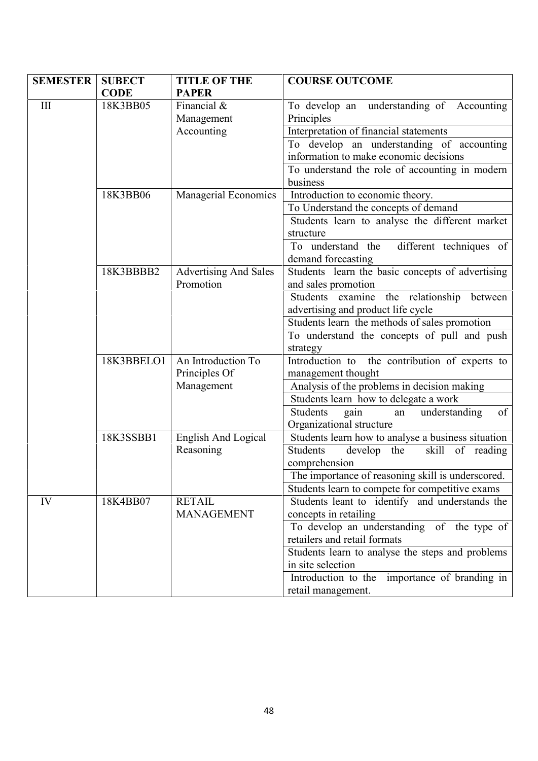| <b>SEMESTER</b>    | <b>SUBECT</b><br><b>CODE</b> | <b>TITLE OF THE</b><br><b>PAPER</b>       | <b>COURSE OUTCOME</b>                                                               |
|--------------------|------------------------------|-------------------------------------------|-------------------------------------------------------------------------------------|
| $\mathop{\rm III}$ | 18K3BB05                     | Financial $\&$<br>Management              | To develop an understanding of Accounting<br>Principles                             |
|                    |                              | Accounting                                | Interpretation of financial statements                                              |
|                    |                              |                                           | To develop an understanding of accounting<br>information to make economic decisions |
|                    |                              |                                           | To understand the role of accounting in modern                                      |
|                    |                              |                                           | business                                                                            |
|                    | 18K3BB06                     | Managerial Economics                      | Introduction to economic theory.                                                    |
|                    |                              |                                           | To Understand the concepts of demand                                                |
|                    |                              |                                           | Students learn to analyse the different market<br>structure                         |
|                    |                              |                                           | To understand the different techniques of                                           |
|                    |                              |                                           | demand forecasting                                                                  |
|                    | 18K3BBBB2                    | <b>Advertising And Sales</b><br>Promotion | Students learn the basic concepts of advertising<br>and sales promotion             |
|                    |                              |                                           | Students examine the relationship between<br>advertising and product life cycle     |
|                    |                              |                                           | Students learn the methods of sales promotion                                       |
|                    |                              |                                           | To understand the concepts of pull and push                                         |
|                    |                              |                                           | strategy                                                                            |
|                    | 18K3BBELO1                   | An Introduction To<br>Principles Of       | Introduction to the contribution of experts to<br>management thought                |
|                    |                              | Management                                | Analysis of the problems in decision making                                         |
|                    |                              |                                           | Students learn how to delegate a work                                               |
|                    |                              |                                           | Students<br>of<br>understanding<br>gain<br>an<br>Organizational structure           |
|                    | 18K3SSBB1                    | <b>English And Logical</b>                | Students learn how to analyse a business situation                                  |
|                    |                              | Reasoning                                 | Students<br>develop the<br>skill of reading                                         |
|                    |                              |                                           | comprehension                                                                       |
|                    |                              |                                           | The importance of reasoning skill is underscored.                                   |
|                    |                              |                                           | Students learn to compete for competitive exams                                     |
| IV                 | 18K4BB07                     | <b>RETAIL</b><br><b>MANAGEMENT</b>        | Students leant to identify and understands the<br>concepts in retailing             |
|                    |                              |                                           | To develop an understanding<br>of the type of                                       |
|                    |                              |                                           | retailers and retail formats                                                        |
|                    |                              |                                           | Students learn to analyse the steps and problems                                    |
|                    |                              |                                           | in site selection<br>Introduction to the                                            |
|                    |                              |                                           | importance of branding in<br>retail management.                                     |
|                    |                              |                                           |                                                                                     |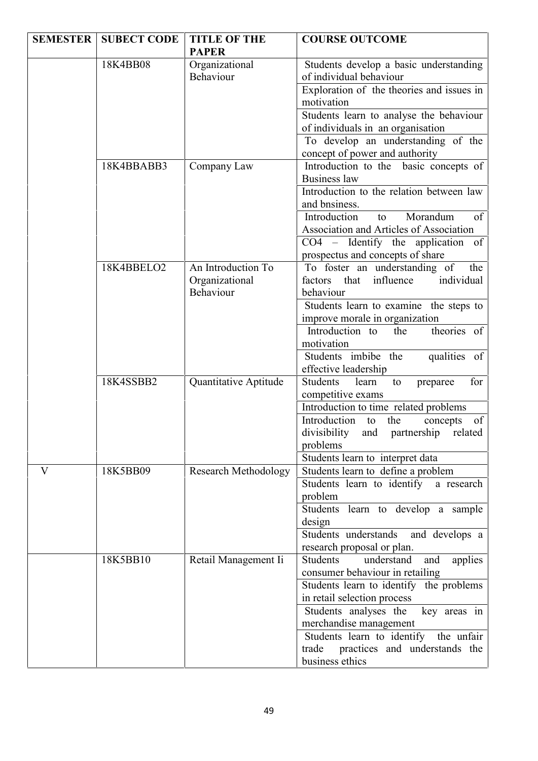| <b>SEMESTER</b> | <b>SUBECT CODE</b> | <b>TITLE OF THE</b>                               | <b>COURSE OUTCOME</b>                                                                                                                                                 |  |
|-----------------|--------------------|---------------------------------------------------|-----------------------------------------------------------------------------------------------------------------------------------------------------------------------|--|
|                 |                    | <b>PAPER</b>                                      |                                                                                                                                                                       |  |
|                 | 18K4BB08           | Organizational<br>Behaviour                       | Students develop a basic understanding<br>of individual behaviour                                                                                                     |  |
|                 |                    |                                                   | Exploration of the theories and issues in<br>motivation                                                                                                               |  |
|                 |                    |                                                   | Students learn to analyse the behaviour<br>of individuals in an organisation                                                                                          |  |
|                 |                    |                                                   | To develop an understanding of the<br>concept of power and authority                                                                                                  |  |
|                 | 18K4BBABB3         | Company Law                                       | Introduction to the basic concepts of<br><b>Business law</b><br>Introduction to the relation between law<br>and bnsiness.                                             |  |
|                 |                    |                                                   | Morandum<br>Introduction<br>of<br>to<br>Association and Articles of Association<br>$CO4$ – Identify the application<br>of<br>prospectus and concepts of share         |  |
|                 | 18K4BBELO2         | An Introduction To<br>Organizational<br>Behaviour | To foster an understanding of<br>the<br>individual<br>that influence<br>factors<br>behaviour<br>Students learn to examine the steps to                                |  |
|                 |                    |                                                   | improve morale in organization<br>theories of<br>Introduction to<br>the<br>motivation<br>Students imbibe the<br>qualities of<br>effective leadership                  |  |
|                 | 18K4SSBB2          | Quantitative Aptitude                             | Students<br>for<br>learn<br>to<br>preparee<br>competitive exams                                                                                                       |  |
|                 |                    |                                                   | Introduction to time related problems<br>Introduction to<br>the<br>of<br>concepts<br>divisibility<br>partnership related<br>and<br>problems                           |  |
| V               | 18K5BB09           | <b>Research Methodology</b>                       | Students learn to interpret data<br>Students learn to define a problem<br>Students learn to identify a research<br>problem                                            |  |
|                 |                    |                                                   | Students learn to develop a sample<br>design                                                                                                                          |  |
|                 |                    |                                                   | Students understands<br>and develops a<br>research proposal or plan.                                                                                                  |  |
|                 | 18K5BB10           | Retail Management Ii                              | Students<br>understand<br>and<br>applies<br>consumer behaviour in retailing<br>Students learn to identify the problems<br>in retail selection process                 |  |
|                 |                    |                                                   | Students analyses the<br>key areas in<br>merchandise management<br>Students learn to identify the unfair<br>practices and understands the<br>trade<br>business ethics |  |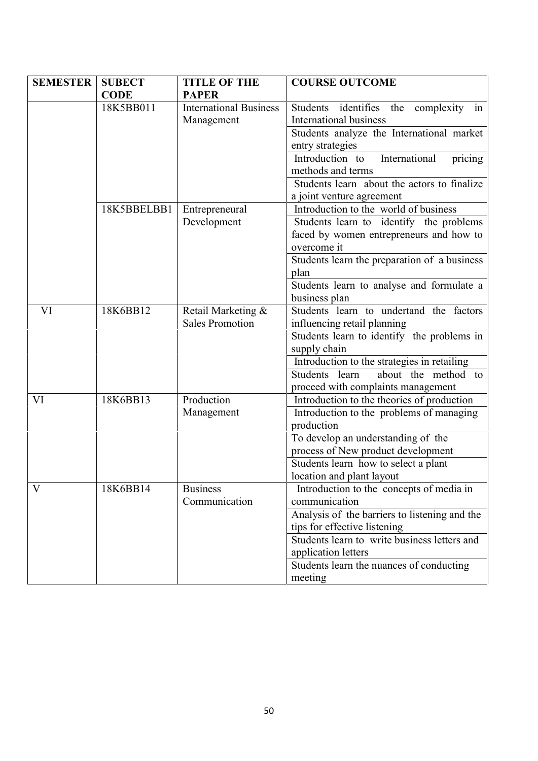| <b>SEMESTER</b> | <b>SUBECT</b> | <b>TITLE OF THE</b>           | <b>COURSE OUTCOME</b>                         |
|-----------------|---------------|-------------------------------|-----------------------------------------------|
|                 | <b>CODE</b>   | <b>PAPER</b>                  |                                               |
|                 | 18K5BB011     | <b>International Business</b> | Students identifies the complexity<br>1n      |
|                 |               | Management                    | International business                        |
|                 |               |                               | Students analyze the International market     |
|                 |               |                               | entry strategies                              |
|                 |               |                               | International<br>Introduction to<br>pricing   |
|                 |               |                               | methods and terms                             |
|                 |               |                               | Students learn about the actors to finalize   |
|                 |               |                               | a joint venture agreement                     |
|                 | 18K5BBELBB1   | Entrepreneural                | Introduction to the world of business         |
|                 |               | Development                   | Students learn to identify the problems       |
|                 |               |                               | faced by women entrepreneurs and how to       |
|                 |               |                               | overcome it                                   |
|                 |               |                               | Students learn the preparation of a business  |
|                 |               |                               | plan                                          |
|                 |               |                               | Students learn to analyse and formulate a     |
|                 |               |                               | business plan                                 |
| VI              | 18K6BB12      | Retail Marketing &            | Students learn to undertand the factors       |
|                 |               | <b>Sales Promotion</b>        | influencing retail planning                   |
|                 |               |                               | Students learn to identify the problems in    |
|                 |               |                               | supply chain                                  |
|                 |               |                               | Introduction to the strategies in retailing   |
|                 |               |                               | about the method to<br>Students learn         |
|                 |               |                               | proceed with complaints management            |
| VI              | 18K6BB13      | Production                    | Introduction to the theories of production    |
|                 |               | Management                    | Introduction to the problems of managing      |
|                 |               |                               | production                                    |
|                 |               |                               | To develop an understanding of the            |
|                 |               |                               | process of New product development            |
|                 |               |                               | Students learn how to select a plant          |
|                 |               |                               | location and plant layout                     |
| $\rm V$         | 18K6BB14      | <b>Business</b>               | Introduction to the concepts of media in      |
|                 |               | Communication                 | communication                                 |
|                 |               |                               | Analysis of the barriers to listening and the |
|                 |               |                               | tips for effective listening                  |
|                 |               |                               | Students learn to write business letters and  |
|                 |               |                               | application letters                           |
|                 |               |                               | Students learn the nuances of conducting      |
|                 |               |                               | meeting                                       |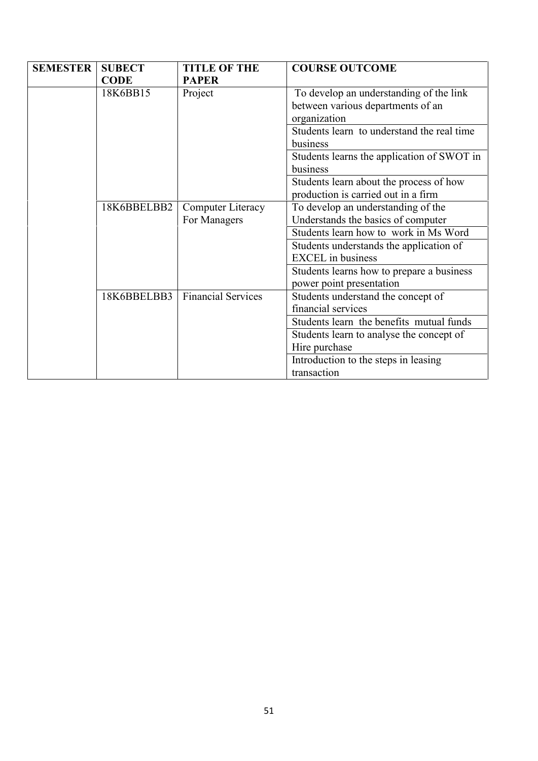| <b>SEMESTER</b> | <b>SUBECT</b> | <b>TITLE OF THE</b>       | <b>COURSE OUTCOME</b>                      |
|-----------------|---------------|---------------------------|--------------------------------------------|
|                 | <b>CODE</b>   | <b>PAPER</b>              |                                            |
|                 | 18K6BB15      | Project                   | To develop an understanding of the link    |
|                 |               |                           | between various departments of an          |
|                 |               |                           | organization                               |
|                 |               |                           | Students learn to understand the real time |
|                 |               |                           | business                                   |
|                 |               |                           | Students learns the application of SWOT in |
|                 |               |                           | business                                   |
|                 |               |                           | Students learn about the process of how    |
|                 |               |                           | production is carried out in a firm        |
|                 | 18K6BBELBB2   | Computer Literacy         | To develop an understanding of the         |
|                 |               | For Managers              | Understands the basics of computer         |
|                 |               |                           | Students learn how to work in Ms Word      |
|                 |               |                           | Students understands the application of    |
|                 |               |                           | <b>EXCEL</b> in business                   |
|                 |               |                           | Students learns how to prepare a business  |
|                 |               |                           | power point presentation                   |
|                 | 18K6BBELBB3   | <b>Financial Services</b> | Students understand the concept of         |
|                 |               |                           | financial services                         |
|                 |               |                           | Students learn the benefits mutual funds   |
|                 |               |                           | Students learn to analyse the concept of   |
|                 |               |                           | Hire purchase                              |
|                 |               |                           | Introduction to the steps in leasing       |
|                 |               |                           | transaction                                |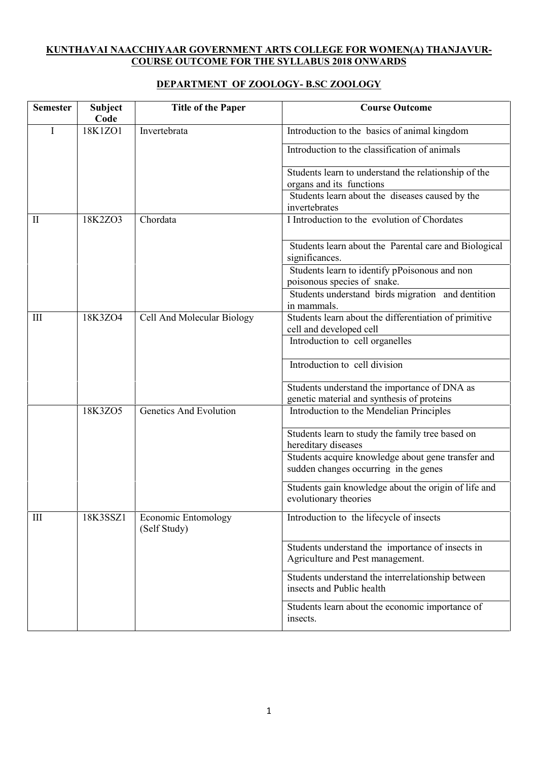# **KUNTHAVAI NAACCHIYAAR GOVERNMENT ARTS COLLEGE FOR WOMEN(A) THANJAVUR- COURSE OUTCOME FOR THE SYLLABUS 2018 ONWARDS**

# **DEPARTMENT OF ZOOLOGY- B.SC ZOOLOGY**

| <b>Semester</b> | <b>Subject</b><br>Code | <b>Title of the Paper</b>                  | <b>Course Outcome</b>                                                                       |
|-----------------|------------------------|--------------------------------------------|---------------------------------------------------------------------------------------------|
| Ι               | 18K1ZO1                | Invertebrata                               | Introduction to the basics of animal kingdom                                                |
|                 |                        |                                            | Introduction to the classification of animals                                               |
|                 |                        |                                            | Students learn to understand the relationship of the<br>organs and its functions            |
|                 |                        |                                            | Students learn about the diseases caused by the<br>invertebrates                            |
| П               | 18K2ZO3                | Chordata                                   | I Introduction to the evolution of Chordates                                                |
|                 |                        |                                            | Students learn about the Parental care and Biological<br>significances.                     |
|                 |                        |                                            | Students learn to identify pPoisonous and non<br>poisonous species of snake.                |
|                 |                        |                                            | Students understand birds migration and dentition<br>in mammals.                            |
| III             | 18K3ZO4                | Cell And Molecular Biology                 | Students learn about the differentiation of primitive<br>cell and developed cell            |
|                 |                        |                                            | Introduction to cell organelles                                                             |
|                 |                        |                                            | Introduction to cell division                                                               |
|                 |                        |                                            | Students understand the importance of DNA as<br>genetic material and synthesis of proteins  |
|                 | 18K3ZO5                | <b>Genetics And Evolution</b>              | Introduction to the Mendelian Principles                                                    |
|                 |                        |                                            | Students learn to study the family tree based on<br>hereditary diseases                     |
|                 |                        |                                            | Students acquire knowledge about gene transfer and<br>sudden changes occurring in the genes |
|                 |                        |                                            | Students gain knowledge about the origin of life and<br>evolutionary theories               |
| III             | 18K3SSZ1               | <b>Economic Entomology</b><br>(Self Study) | Introduction to the lifecycle of insects                                                    |
|                 |                        |                                            | Students understand the importance of insects in<br>Agriculture and Pest management.        |
|                 |                        |                                            | Students understand the interrelationship between<br>insects and Public health              |
|                 |                        |                                            | Students learn about the economic importance of<br>insects.                                 |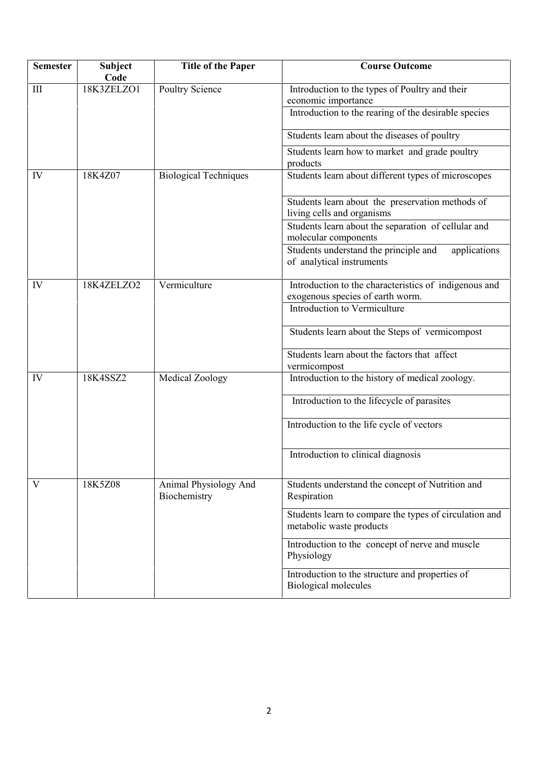| <b>Semester</b> | <b>Subject</b><br>Code | <b>Title of the Paper</b>             | <b>Course Outcome</b>                                                                     |
|-----------------|------------------------|---------------------------------------|-------------------------------------------------------------------------------------------|
| III             | 18K3ZELZO1             | Poultry Science                       | Introduction to the types of Poultry and their<br>economic importance                     |
|                 |                        |                                       | Introduction to the rearing of the desirable species                                      |
|                 |                        |                                       | Students learn about the diseases of poultry                                              |
|                 |                        |                                       | Students learn how to market and grade poultry<br>products                                |
| IV              | 18K4Z07                | <b>Biological Techniques</b>          | Students learn about different types of microscopes                                       |
|                 |                        |                                       | Students learn about the preservation methods of<br>living cells and organisms            |
|                 |                        |                                       | Students learn about the separation of cellular and<br>molecular components               |
|                 |                        |                                       | Students understand the principle and<br>applications<br>of analytical instruments        |
| IV              | 18K4ZELZO2             | Vermiculture                          | Introduction to the characteristics of indigenous and<br>exogenous species of earth worm. |
|                 |                        |                                       | Introduction to Vermiculture                                                              |
|                 |                        |                                       | Students learn about the Steps of vermicompost                                            |
|                 |                        |                                       | Students learn about the factors that affect<br>vermicompost                              |
| IV              | 18K4SSZ2               | Medical Zoology                       | Introduction to the history of medical zoology.                                           |
|                 |                        |                                       | Introduction to the lifecycle of parasites                                                |
|                 |                        |                                       | Introduction to the life cycle of vectors                                                 |
|                 |                        |                                       | Introduction to clinical diagnosis                                                        |
| V               | 18K5Z08                | Animal Physiology And<br>Biochemistry | Students understand the concept of Nutrition and<br>Respiration                           |
|                 |                        |                                       | Students learn to compare the types of circulation and<br>metabolic waste products        |
|                 |                        |                                       | Introduction to the concept of nerve and muscle<br>Physiology                             |
|                 |                        |                                       | Introduction to the structure and properties of<br><b>Biological molecules</b>            |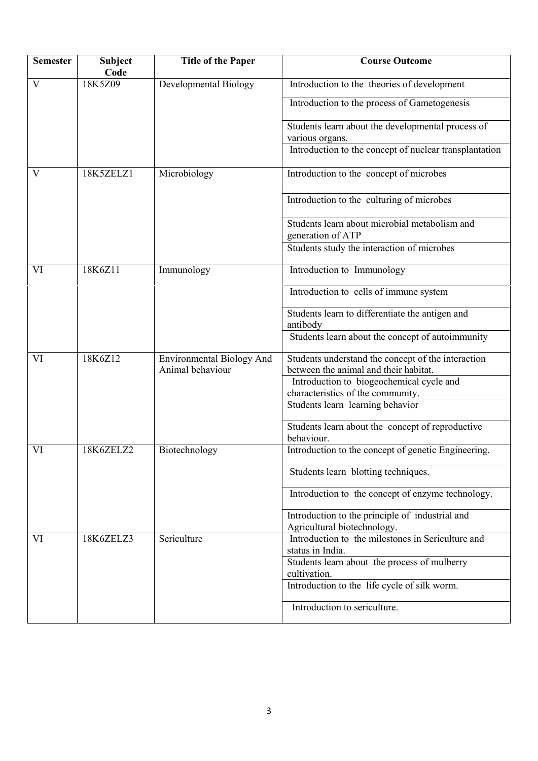| <b>Semester</b> | <b>Subject</b><br>Code | <b>Title of the Paper</b>                            | <b>Course Outcome</b>                                                                       |
|-----------------|------------------------|------------------------------------------------------|---------------------------------------------------------------------------------------------|
| V               | 18K5Z09                | Developmental Biology                                | Introduction to the theories of development                                                 |
|                 |                        |                                                      | Introduction to the process of Gametogenesis                                                |
|                 |                        |                                                      | Students learn about the developmental process of<br>various organs.                        |
|                 |                        |                                                      | Introduction to the concept of nuclear transplantation                                      |
| V               | 18K5ZELZ1              | Microbiology                                         | Introduction to the concept of microbes                                                     |
|                 |                        |                                                      | Introduction to the culturing of microbes                                                   |
|                 |                        |                                                      | Students learn about microbial metabolism and<br>generation of ATP                          |
|                 |                        |                                                      | Students study the interaction of microbes                                                  |
| VI              | 18K6Z11                | Immunology                                           | Introduction to Immunology                                                                  |
|                 |                        |                                                      | Introduction to cells of immune system                                                      |
|                 |                        |                                                      | Students learn to differentiate the antigen and<br>antibody                                 |
|                 |                        |                                                      | Students learn about the concept of autoimmunity                                            |
| VI              | 18K6Z12                | <b>Environmental Biology And</b><br>Animal behaviour | Students understand the concept of the interaction<br>between the animal and their habitat. |
|                 |                        |                                                      | Introduction to biogeochemical cycle and<br>characteristics of the community.               |
|                 |                        |                                                      | Students learn learning behavior                                                            |
|                 |                        |                                                      | Students learn about the concept of reproductive<br>behaviour.                              |
| VI              | 18K6ZELZ2              | Biotechnology                                        | Introduction to the concept of genetic Engineering.                                         |
|                 |                        |                                                      | Students learn blotting techniques.                                                         |
|                 |                        |                                                      | Introduction to the concept of enzyme technology.                                           |
|                 |                        |                                                      | Introduction to the principle of industrial and<br>Agricultural biotechnology.              |
| VI              | 18K6ZELZ3              | Sericulture                                          | Introduction to the milestones in Sericulture and<br>status in India.                       |
|                 |                        |                                                      | Students learn about the process of mulberry<br>cultivation.                                |
|                 |                        |                                                      | Introduction to the life cycle of silk worm.                                                |
|                 |                        |                                                      | Introduction to sericulture.                                                                |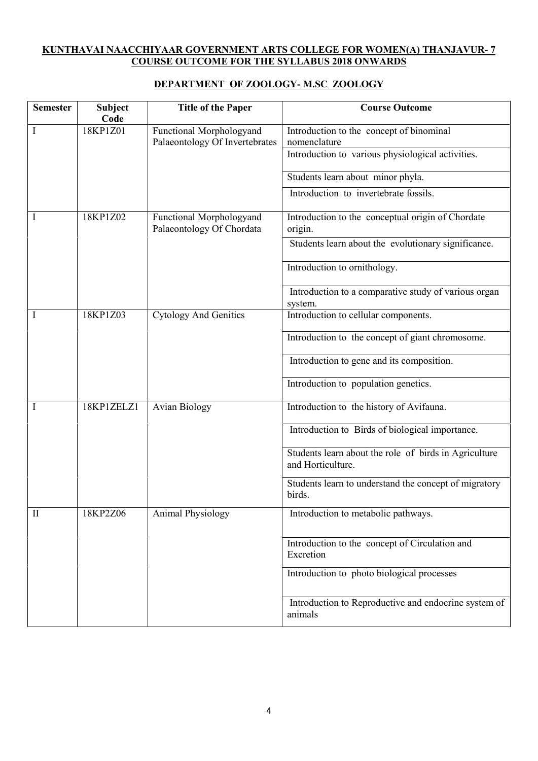# **KUNTHAVAI NAACCHIYAAR GOVERNMENT ARTS COLLEGE FOR WOMEN(A) THANJAVUR- 7 COURSE OUTCOME FOR THE SYLLABUS 2018 ONWARDS**

# **DEPARTMENT OF ZOOLOGY- M.SC ZOOLOGY**

| <b>Semester</b> | <b>Subject</b><br>Code                                                 | <b>Title of the Paper</b>                                | <b>Course Outcome</b>                                                      |
|-----------------|------------------------------------------------------------------------|----------------------------------------------------------|----------------------------------------------------------------------------|
| $\bf{I}$        | 18KP1Z01<br>Functional Morphologyand<br>Palaeontology Of Invertebrates | Introduction to the concept of binominal<br>nomenclature |                                                                            |
|                 |                                                                        |                                                          | Introduction to various physiological activities.                          |
|                 |                                                                        |                                                          | Students learn about minor phyla.                                          |
|                 |                                                                        |                                                          | Introduction to invertebrate fossils.                                      |
| I               | 18KP1Z02                                                               | Functional Morphologyand<br>Palaeontology Of Chordata    | Introduction to the conceptual origin of Chordate<br>origin.               |
|                 |                                                                        |                                                          | Students learn about the evolutionary significance.                        |
|                 |                                                                        |                                                          | Introduction to ornithology.                                               |
|                 |                                                                        |                                                          | Introduction to a comparative study of various organ<br>system.            |
| I               | 18KP1Z03                                                               | <b>Cytology And Genitics</b>                             | Introduction to cellular components.                                       |
|                 |                                                                        |                                                          | Introduction to the concept of giant chromosome.                           |
|                 |                                                                        |                                                          | Introduction to gene and its composition.                                  |
|                 |                                                                        |                                                          | Introduction to population genetics.                                       |
| I               | 18KP1ZELZ1                                                             | <b>Avian Biology</b>                                     | Introduction to the history of Avifauna.                                   |
|                 |                                                                        |                                                          | Introduction to Birds of biological importance.                            |
|                 |                                                                        |                                                          | Students learn about the role of birds in Agriculture<br>and Horticulture. |
|                 |                                                                        |                                                          | Students learn to understand the concept of migratory<br>birds.            |
| $\mathbf{I}$    | 18KP2Z06                                                               | <b>Animal Physiology</b>                                 | Introduction to metabolic pathways.                                        |
|                 |                                                                        |                                                          | Introduction to the concept of Circulation and<br>Excretion                |
|                 |                                                                        |                                                          | Introduction to photo biological processes                                 |
|                 |                                                                        |                                                          | Introduction to Reproductive and endocrine system of<br>animals            |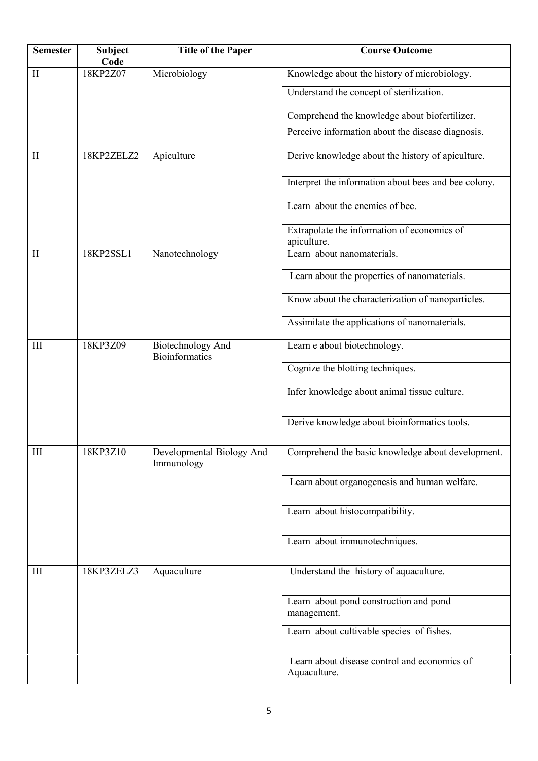| <b>Semester</b> | Subject<br>Code | <b>Title of the Paper</b>                         | <b>Course Outcome</b>                                        |
|-----------------|-----------------|---------------------------------------------------|--------------------------------------------------------------|
| П               | 18KP2Z07        | Microbiology                                      | Knowledge about the history of microbiology.                 |
|                 |                 |                                                   | Understand the concept of sterilization.                     |
|                 |                 |                                                   | Comprehend the knowledge about biofertilizer.                |
|                 |                 |                                                   | Perceive information about the disease diagnosis.            |
| $\mathbf{I}$    | 18KP2ZELZ2      | Apiculture                                        | Derive knowledge about the history of apiculture.            |
|                 |                 |                                                   | Interpret the information about bees and bee colony.         |
|                 |                 |                                                   | Learn about the enemies of bee.                              |
|                 |                 |                                                   | Extrapolate the information of economics of<br>apiculture.   |
| $\mathbf{I}$    | 18KP2SSL1       | Nanotechnology                                    | Learn about nanomaterials.                                   |
|                 |                 |                                                   | Learn about the properties of nanomaterials.                 |
|                 |                 |                                                   | Know about the characterization of nanoparticles.            |
|                 |                 |                                                   | Assimilate the applications of nanomaterials.                |
| III             | 18KP3Z09        | <b>Biotechnology And</b><br><b>Bioinformatics</b> | Learn e about biotechnology.                                 |
|                 |                 |                                                   | Cognize the blotting techniques.                             |
|                 |                 |                                                   | Infer knowledge about animal tissue culture.                 |
|                 |                 |                                                   | Derive knowledge about bioinformatics tools.                 |
| III             | 18KP3Z10        | Developmental Biology And<br>Immunology           | Comprehend the basic knowledge about development.            |
|                 |                 |                                                   | Learn about organogenesis and human welfare.                 |
|                 |                 |                                                   | Learn about histocompatibility.                              |
|                 |                 |                                                   | Learn about immunotechniques.                                |
| III             | 18KP3ZELZ3      | Aquaculture                                       | Understand the history of aquaculture.                       |
|                 |                 |                                                   | Learn about pond construction and pond<br>management.        |
|                 |                 |                                                   | Learn about cultivable species of fishes.                    |
|                 |                 |                                                   | Learn about disease control and economics of<br>Aquaculture. |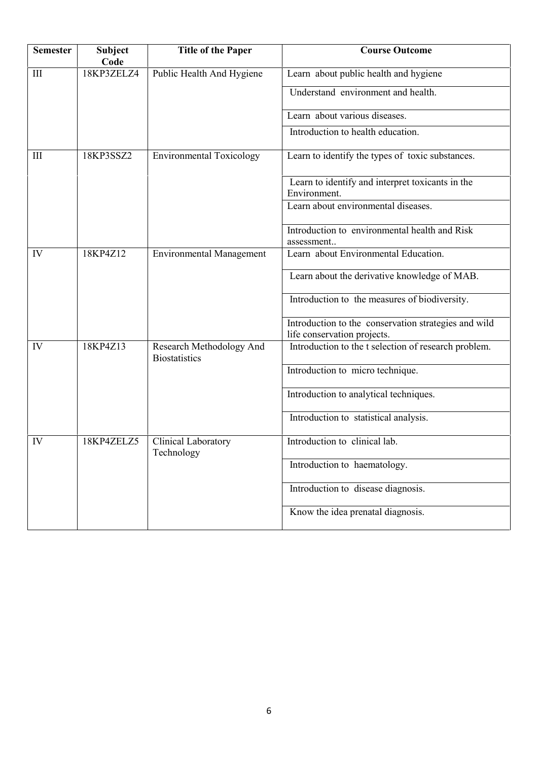| <b>Semester</b> | <b>Subject</b><br>Code | <b>Title of the Paper</b>                        | <b>Course Outcome</b>                                                               |
|-----------------|------------------------|--------------------------------------------------|-------------------------------------------------------------------------------------|
| III             | 18KP3ZELZ4             | Public Health And Hygiene                        | Learn about public health and hygiene                                               |
|                 |                        |                                                  | Understand environment and health.                                                  |
|                 |                        |                                                  | Learn about various diseases.                                                       |
|                 |                        |                                                  | Introduction to health education.                                                   |
| Ш               | 18KP3SSZ2              | <b>Environmental Toxicology</b>                  | Learn to identify the types of toxic substances.                                    |
|                 |                        |                                                  | Learn to identify and interpret toxicants in the<br>Environment.                    |
|                 |                        |                                                  | Learn about environmental diseases.                                                 |
|                 |                        |                                                  | Introduction to environmental health and Risk<br>assessment                         |
| IV              | 18KP4Z12               | <b>Environmental Management</b>                  | Learn about Environmental Education.                                                |
|                 |                        | Learn about the derivative knowledge of MAB.     |                                                                                     |
|                 |                        | Introduction to the measures of biodiversity.    |                                                                                     |
|                 |                        |                                                  | Introduction to the conservation strategies and wild<br>life conservation projects. |
| IV              | 18KP4Z13               | Research Methodology And<br><b>Biostatistics</b> | Introduction to the t selection of research problem.                                |
|                 |                        |                                                  | Introduction to micro technique.                                                    |
|                 |                        |                                                  | Introduction to analytical techniques.                                              |
|                 |                        |                                                  | Introduction to statistical analysis.                                               |
| IV              | 18KP4ZELZ5             | Clinical Laboratory<br>Technology                | Introduction to clinical lab.                                                       |
|                 |                        |                                                  | Introduction to haematology.                                                        |
|                 |                        |                                                  | Introduction to disease diagnosis.                                                  |
|                 |                        |                                                  | Know the idea prenatal diagnosis.                                                   |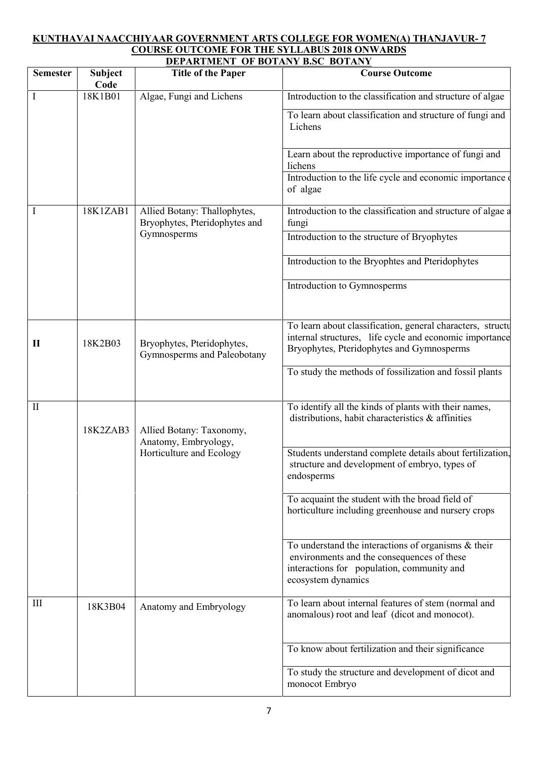#### **KUNTHAVAI NAACCHIYAAR GOVERNMENT ARTS COLLEGE FOR WOMEN(A) THANJAVUR- 7 COURSE OUTCOME FOR THE SYLLABUS 2018 ONWARDS DEPARTMENT OF BOTANY B.SC BOTANY**

|                 |                        | DEI ANTIJERT OF DOTART DOC DOTART                                            |                                                                                                                                                                          |
|-----------------|------------------------|------------------------------------------------------------------------------|--------------------------------------------------------------------------------------------------------------------------------------------------------------------------|
| <b>Semester</b> | <b>Subject</b><br>Code | <b>Title of the Paper</b>                                                    | <b>Course Outcome</b>                                                                                                                                                    |
| $\bf{I}$        | 18K1B01                | Algae, Fungi and Lichens                                                     | Introduction to the classification and structure of algae                                                                                                                |
|                 |                        |                                                                              | To learn about classification and structure of fungi and<br>Lichens                                                                                                      |
|                 |                        |                                                                              | Learn about the reproductive importance of fungi and<br>lichens                                                                                                          |
|                 |                        |                                                                              | Introduction to the life cycle and economic importance<br>of algae                                                                                                       |
| 1               | 18K1ZAB1               | Allied Botany: Thallophytes,<br>Bryophytes, Pteridophytes and                | Introduction to the classification and structure of algae a<br>fungi                                                                                                     |
|                 |                        | Gymnosperms                                                                  | Introduction to the structure of Bryophytes                                                                                                                              |
|                 |                        |                                                                              | Introduction to the Bryophtes and Pteridophytes                                                                                                                          |
|                 |                        |                                                                              | Introduction to Gymnosperms                                                                                                                                              |
| $\mathbf{I}$    | 18K2B03                | Bryophytes, Pteridophytes,<br>Gymnosperms and Paleobotany                    | To learn about classification, general characters, structu<br>internal structures, life cycle and economic importance<br>Bryophytes, Pteridophytes and Gymnosperms       |
|                 |                        | To study the methods of fossilization and fossil plants                      |                                                                                                                                                                          |
| $\mathbf{I}$    | 18K2ZAB3               | Allied Botany: Taxonomy,<br>Anatomy, Embryology,<br>Horticulture and Ecology | To identify all the kinds of plants with their names,<br>distributions, habit characteristics & affinities                                                               |
|                 |                        |                                                                              | Students understand complete details about fertilization,<br>structure and development of embryo, types of<br>endosperms                                                 |
|                 |                        |                                                                              | To acquaint the student with the broad field of<br>horticulture including greenhouse and nursery crops                                                                   |
|                 |                        |                                                                              | To understand the interactions of organisms $\&$ their<br>environments and the consequences of these<br>interactions for population, community and<br>ecosystem dynamics |
| Ш               | 18K3B04                | Anatomy and Embryology                                                       | To learn about internal features of stem (normal and<br>anomalous) root and leaf (dicot and monocot).                                                                    |
|                 |                        |                                                                              | To know about fertilization and their significance                                                                                                                       |
|                 |                        |                                                                              | To study the structure and development of dicot and<br>monocot Embryo                                                                                                    |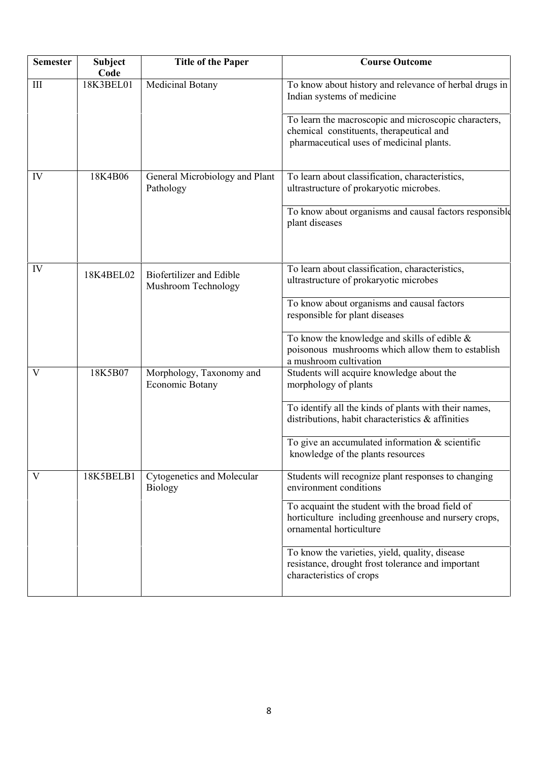| <b>Semester</b>         | Subject<br>Code | <b>Title of the Paper</b>                       | <b>Course Outcome</b>                                                                                                                        |
|-------------------------|-----------------|-------------------------------------------------|----------------------------------------------------------------------------------------------------------------------------------------------|
| $\mathop{\rm III}$      | 18K3BEL01       | Medicinal Botany                                | To know about history and relevance of herbal drugs in<br>Indian systems of medicine                                                         |
|                         |                 |                                                 | To learn the macroscopic and microscopic characters,<br>chemical constituents, therapeutical and<br>pharmaceutical uses of medicinal plants. |
| IV                      | 18K4B06         | General Microbiology and Plant<br>Pathology     | To learn about classification, characteristics,<br>ultrastructure of prokaryotic microbes.                                                   |
|                         |                 |                                                 | To know about organisms and causal factors responsible<br>plant diseases                                                                     |
| IV                      | 18K4BEL02       | Biofertilizer and Edible<br>Mushroom Technology | To learn about classification, characteristics,<br>ultrastructure of prokaryotic microbes                                                    |
|                         |                 |                                                 | To know about organisms and causal factors<br>responsible for plant diseases                                                                 |
|                         |                 |                                                 | To know the knowledge and skills of edible $\&$<br>poisonous mushrooms which allow them to establish<br>a mushroom cultivation               |
| V                       | 18K5B07         | Morphology, Taxonomy and<br>Economic Botany     | Students will acquire knowledge about the<br>morphology of plants                                                                            |
|                         |                 |                                                 | To identify all the kinds of plants with their names,<br>distributions, habit characteristics $\&$ affinities                                |
|                         |                 |                                                 | To give an accumulated information $&$ scientific<br>knowledge of the plants resources                                                       |
| $\overline{\mathsf{V}}$ | 18K5BELB1       | Cytogenetics and Molecular<br><b>Biology</b>    | Students will recognize plant responses to changing<br>environment conditions                                                                |
|                         |                 |                                                 | To acquaint the student with the broad field of<br>horticulture including greenhouse and nursery crops,<br>ornamental horticulture           |
|                         |                 |                                                 | To know the varieties, yield, quality, disease<br>resistance, drought frost tolerance and important<br>characteristics of crops              |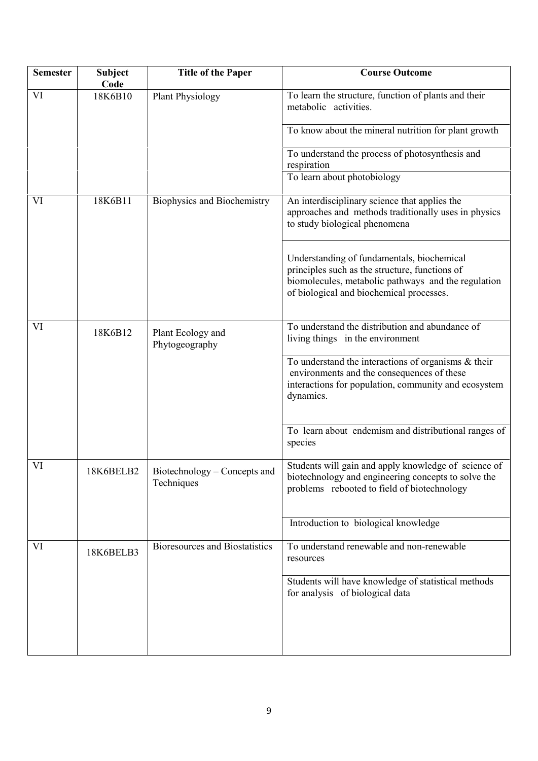| <b>Semester</b> | <b>Subject</b><br>Code | <b>Title of the Paper</b>                  | <b>Course Outcome</b>                                                                                                                                                                           |
|-----------------|------------------------|--------------------------------------------|-------------------------------------------------------------------------------------------------------------------------------------------------------------------------------------------------|
| VI              | 18K6B10                | <b>Plant Physiology</b>                    | To learn the structure, function of plants and their<br>metabolic activities.                                                                                                                   |
|                 |                        |                                            | To know about the mineral nutrition for plant growth                                                                                                                                            |
|                 |                        |                                            | To understand the process of photosynthesis and<br>respiration                                                                                                                                  |
|                 |                        |                                            | To learn about photobiology                                                                                                                                                                     |
| VI              | 18K6B11                | Biophysics and Biochemistry                | An interdisciplinary science that applies the<br>approaches and methods traditionally uses in physics<br>to study biological phenomena                                                          |
|                 |                        |                                            | Understanding of fundamentals, biochemical<br>principles such as the structure, functions of<br>biomolecules, metabolic pathways and the regulation<br>of biological and biochemical processes. |
| VI              | 18K6B12                | Plant Ecology and<br>Phytogeography        | To understand the distribution and abundance of<br>living things in the environment                                                                                                             |
|                 |                        |                                            | To understand the interactions of organisms $\&$ their<br>environments and the consequences of these<br>interactions for population, community and ecosystem<br>dynamics.                       |
|                 |                        |                                            | To learn about endemism and distributional ranges of<br>species                                                                                                                                 |
| VI              | 18K6BELB2              | Biotechnology - Concepts and<br>Techniques | Students will gain and apply knowledge of science of<br>biotechnology and engineering concepts to solve the<br>problems rebooted to field of biotechnology                                      |
|                 |                        |                                            | Introduction to biological knowledge                                                                                                                                                            |
| VI              | 18K6BELB3              | <b>Bioresources and Biostatistics</b>      | To understand renewable and non-renewable<br>resources                                                                                                                                          |
|                 |                        |                                            | Students will have knowledge of statistical methods<br>for analysis of biological data                                                                                                          |
|                 |                        |                                            |                                                                                                                                                                                                 |
|                 |                        |                                            |                                                                                                                                                                                                 |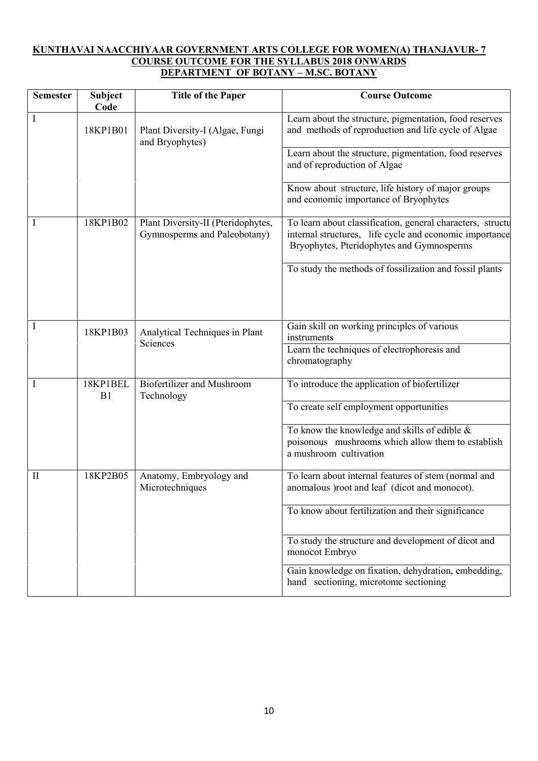## **KUNTHAVAI NAACCHIYAAR GOVERNMENT ARTS COLLEGE FOR WOMEN(A) THANJAVUR- 7 COURSE OUTCOME FOR THE SYLLABUS 2018 ONWARDS DEPARTMENT OF BOTANY – M.SC. BOTANY**

| <b>Semester</b> | <b>Subject</b><br>Code | <b>Title of the Paper</b>                                          | <b>Course Outcome</b>                                                                                                                                              |
|-----------------|------------------------|--------------------------------------------------------------------|--------------------------------------------------------------------------------------------------------------------------------------------------------------------|
| I               | 18KP1B01               | Plant Diversity-I (Algae, Fungi<br>and Bryophytes)                 | Learn about the structure, pigmentation, food reserves<br>and methods of reproduction and life cycle of Algae                                                      |
|                 |                        |                                                                    | Learn about the structure, pigmentation, food reserves<br>and of reproduction of Algae                                                                             |
|                 |                        |                                                                    | Know about structure, life history of major groups<br>and economic importance of Bryophytes                                                                        |
| 1               | 18KP1B02               | Plant Diversity-II (Pteridophytes,<br>Gymnosperms and Paleobotany) | To learn about classification, general characters, structu<br>internal structures, life cycle and economic importance<br>Bryophytes, Pteridophytes and Gymnosperms |
|                 |                        |                                                                    | To study the methods of fossilization and fossil plants                                                                                                            |
| 1               | 18KP1B03               | Analytical Techniques in Plant                                     | Gain skill on working principles of various                                                                                                                        |
|                 |                        | Sciences                                                           | instruments<br>Learn the techniques of electrophoresis and<br>chromatography                                                                                       |
| I               | 18KP1BEL<br>B1         | <b>Biofertilizer and Mushroom</b><br>Technology                    | To introduce the application of biofertilizer                                                                                                                      |
|                 |                        |                                                                    | To create self employment opportunities                                                                                                                            |
|                 |                        |                                                                    | To know the knowledge and skills of edible &<br>poisonous mushrooms which allow them to establish<br>a mushroom cultivation                                        |
| $\mathbf{I}$    | 18KP2B05               | Anatomy, Embryology and<br>Microtechniques                         | To learn about internal features of stem (normal and<br>anomalous ) root and leaf (dicot and monocot).                                                             |
|                 |                        |                                                                    | To know about fertilization and their significance                                                                                                                 |
|                 |                        |                                                                    | To study the structure and development of dicot and<br>monocot Embryo                                                                                              |
|                 |                        |                                                                    | Gain knowledge on fixation, dehydration, embedding,<br>hand sectioning, microtome sectioning                                                                       |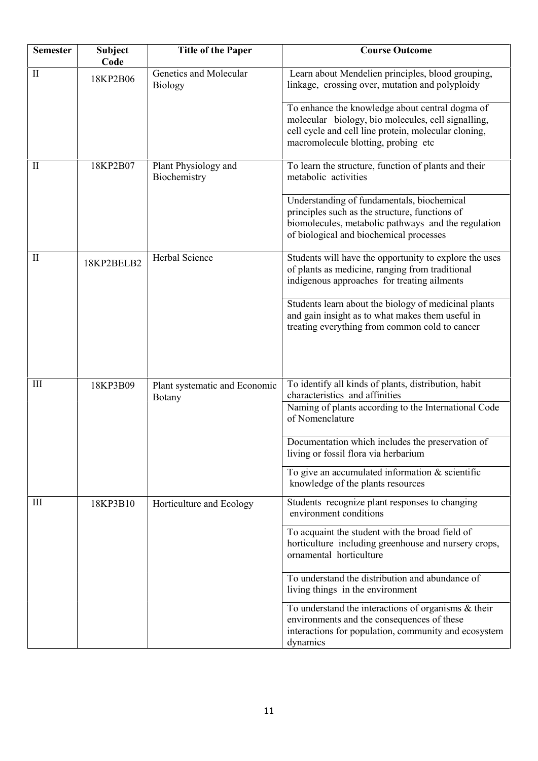| <b>Semester</b>    | <b>Subject</b><br>Code | <b>Title of the Paper</b>                      | <b>Course Outcome</b>                                                                                                                                                                                |
|--------------------|------------------------|------------------------------------------------|------------------------------------------------------------------------------------------------------------------------------------------------------------------------------------------------------|
| $\mathbf{I}$       | 18KP2B06               | Genetics and Molecular<br><b>Biology</b>       | Learn about Mendelien principles, blood grouping,<br>linkage, crossing over, mutation and polyploidy                                                                                                 |
|                    |                        |                                                | To enhance the knowledge about central dogma of<br>molecular biology, bio molecules, cell signalling,<br>cell cycle and cell line protein, molecular cloning,<br>macromolecule blotting, probing etc |
| $\mathbf{I}$       | 18KP2B07               | Plant Physiology and<br>Biochemistry           | To learn the structure, function of plants and their<br>metabolic activities                                                                                                                         |
|                    |                        |                                                | Understanding of fundamentals, biochemical<br>principles such as the structure, functions of<br>biomolecules, metabolic pathways and the regulation<br>of biological and biochemical processes       |
| $\mathbf{I}$       | 18KP2BELB2             | Herbal Science                                 | Students will have the opportunity to explore the uses<br>of plants as medicine, ranging from traditional<br>indigenous approaches for treating ailments                                             |
|                    |                        |                                                | Students learn about the biology of medicinal plants<br>and gain insight as to what makes them useful in<br>treating everything from common cold to cancer                                           |
| $\mathop{\rm III}$ | 18KP3B09               | Plant systematic and Economic<br><b>Botany</b> | To identify all kinds of plants, distribution, habit<br>characteristics and affinities                                                                                                               |
|                    |                        |                                                | Naming of plants according to the International Code<br>of Nomenclature                                                                                                                              |
|                    |                        |                                                | Documentation which includes the preservation of<br>living or fossil flora via herbarium                                                                                                             |
|                    |                        |                                                | To give an accumulated information $&$ scientific<br>knowledge of the plants resources                                                                                                               |
| Ш                  | 18KP3B10               | Horticulture and Ecology                       | Students recognize plant responses to changing<br>environment conditions                                                                                                                             |
|                    |                        |                                                | To acquaint the student with the broad field of<br>horticulture including greenhouse and nursery crops,<br>ornamental horticulture                                                                   |
|                    |                        |                                                | To understand the distribution and abundance of<br>living things in the environment                                                                                                                  |
|                    |                        |                                                | To understand the interactions of organisms $\&$ their<br>environments and the consequences of these<br>interactions for population, community and ecosystem<br>dynamics                             |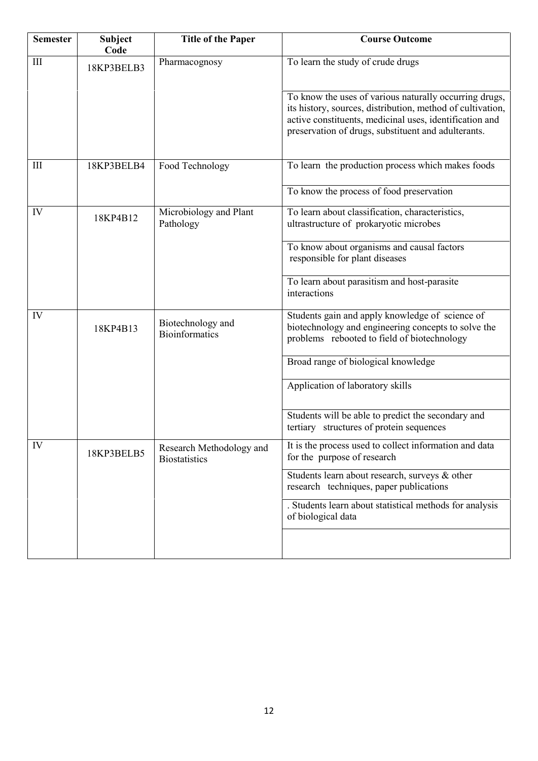| <b>Semester</b> | <b>Subject</b><br>Code | <b>Title of the Paper</b>                        | <b>Course Outcome</b>                                                                                                                                                                                                                  |
|-----------------|------------------------|--------------------------------------------------|----------------------------------------------------------------------------------------------------------------------------------------------------------------------------------------------------------------------------------------|
| III             | 18KP3BELB3             | Pharmacognosy                                    | To learn the study of crude drugs                                                                                                                                                                                                      |
|                 |                        |                                                  | To know the uses of various naturally occurring drugs,<br>its history, sources, distribution, method of cultivation,<br>active constituents, medicinal uses, identification and<br>preservation of drugs, substituent and adulterants. |
| III             | 18KP3BELB4             | Food Technology                                  | To learn the production process which makes foods                                                                                                                                                                                      |
|                 |                        |                                                  | To know the process of food preservation                                                                                                                                                                                               |
| IV              | 18KP4B12               | Microbiology and Plant<br>Pathology              | To learn about classification, characteristics,<br>ultrastructure of prokaryotic microbes                                                                                                                                              |
|                 |                        |                                                  | To know about organisms and causal factors<br>responsible for plant diseases                                                                                                                                                           |
|                 |                        |                                                  | To learn about parasitism and host-parasite<br>interactions                                                                                                                                                                            |
| IV              | 18KP4B13               | Biotechnology and<br><b>Bioinformatics</b>       | Students gain and apply knowledge of science of<br>biotechnology and engineering concepts to solve the<br>problems rebooted to field of biotechnology                                                                                  |
|                 |                        |                                                  | Broad range of biological knowledge                                                                                                                                                                                                    |
|                 |                        |                                                  | Application of laboratory skills                                                                                                                                                                                                       |
|                 |                        |                                                  | Students will be able to predict the secondary and<br>tertiary structures of protein sequences                                                                                                                                         |
| IV              | 18KP3BELB5             | Research Methodology and<br><b>Biostatistics</b> | It is the process used to collect information and data<br>for the purpose of research                                                                                                                                                  |
|                 |                        |                                                  | Students learn about research, surveys & other<br>research techniques, paper publications                                                                                                                                              |
|                 |                        |                                                  | . Students learn about statistical methods for analysis<br>of biological data                                                                                                                                                          |
|                 |                        |                                                  |                                                                                                                                                                                                                                        |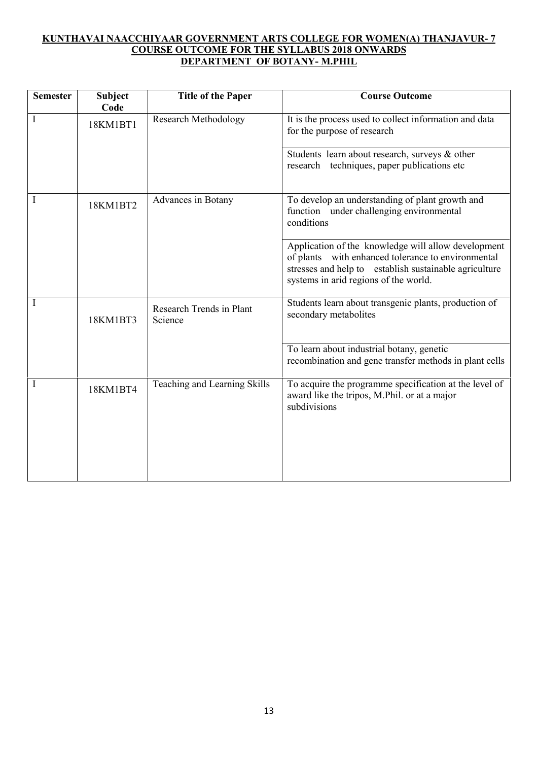# **KUNTHAVAI NAACCHIYAAR GOVERNMENT ARTS COLLEGE FOR WOMEN(A) THANJAVUR- 7 COURSE OUTCOME FOR THE SYLLABUS 2018 ONWARDS DEPARTMENT OF BOTANY- M.PHIL**

| <b>Semester</b> | <b>Subject</b><br>Code | <b>Title of the Paper</b>           | <b>Course Outcome</b>                                                                                                                                                                                        |
|-----------------|------------------------|-------------------------------------|--------------------------------------------------------------------------------------------------------------------------------------------------------------------------------------------------------------|
| I               | 18KM1BT1               | <b>Research Methodology</b>         | It is the process used to collect information and data<br>for the purpose of research                                                                                                                        |
|                 |                        |                                     | Students learn about research, surveys & other<br>research techniques, paper publications etc.                                                                                                               |
| $\mathbf{I}$    | 18KM1BT2               | Advances in Botany                  | To develop an understanding of plant growth and<br>function under challenging environmental<br>conditions                                                                                                    |
|                 |                        |                                     | Application of the knowledge will allow development<br>of plants with enhanced tolerance to environmental<br>stresses and help to establish sustainable agriculture<br>systems in arid regions of the world. |
| I               | 18KM1BT3               | Research Trends in Plant<br>Science | Students learn about transgenic plants, production of<br>secondary metabolites                                                                                                                               |
|                 |                        |                                     | To learn about industrial botany, genetic<br>recombination and gene transfer methods in plant cells                                                                                                          |
|                 | 18KM1BT4               | Teaching and Learning Skills        | To acquire the programme specification at the level of<br>award like the tripos, M.Phil. or at a major<br>subdivisions                                                                                       |
|                 |                        |                                     |                                                                                                                                                                                                              |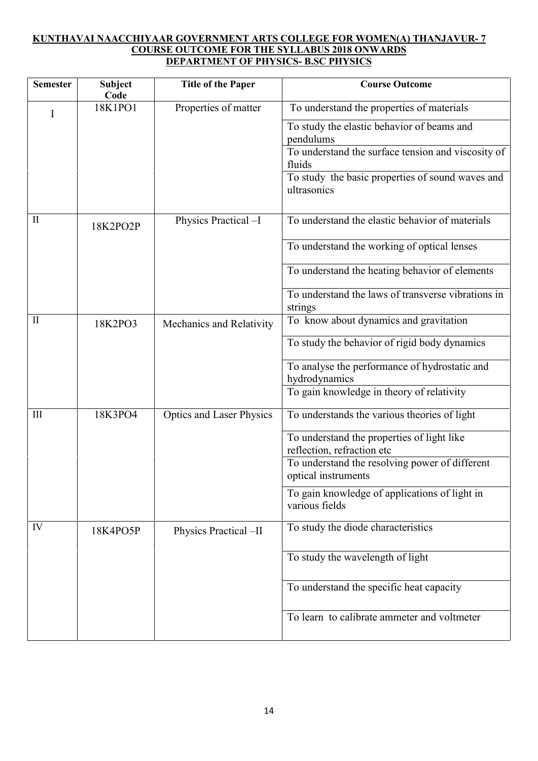# **KUNTHAVAI NAACCHIYAAR GOVERNMENT ARTS COLLEGE FOR WOMEN(A) THANJAVUR- 7 COURSE OUTCOME FOR THE SYLLABUS 2018 ONWARDS DEPARTMENT OF PHYSICS- B.SC PHYSICS**

| <b>Semester</b> | <b>Subject</b><br>Code | <b>Title of the Paper</b>       | <b>Course Outcome</b>                                                    |
|-----------------|------------------------|---------------------------------|--------------------------------------------------------------------------|
| I               | 18K1PO1                | Properties of matter            | To understand the properties of materials                                |
|                 |                        |                                 | To study the elastic behavior of beams and<br>pendulums                  |
|                 |                        |                                 | To understand the surface tension and viscosity of<br>fluids             |
|                 |                        |                                 | To study the basic properties of sound waves and<br>ultrasonics          |
| $\mathbf{I}$    | 18K2PO2P               | Physics Practical -I            | To understand the elastic behavior of materials                          |
|                 |                        |                                 | To understand the working of optical lenses                              |
|                 |                        |                                 | To understand the heating behavior of elements                           |
|                 |                        |                                 | To understand the laws of transverse vibrations in<br>strings            |
| $\mathbf{I}$    | 18K2PO3                | Mechanics and Relativity        | To know about dynamics and gravitation                                   |
|                 |                        |                                 | To study the behavior of rigid body dynamics                             |
|                 |                        |                                 | To analyse the performance of hydrostatic and<br>hydrodynamics           |
|                 |                        |                                 | To gain knowledge in theory of relativity                                |
| Ш               | 18K3PO4                | <b>Optics and Laser Physics</b> | To understands the various theories of light                             |
|                 |                        |                                 | To understand the properties of light like<br>reflection, refraction etc |
|                 |                        |                                 | To understand the resolving power of different<br>optical instruments    |
|                 |                        |                                 | To gain knowledge of applications of light in<br>various fields          |
| IV              | 18K4PO5P               | Physics Practical -II           | To study the diode characteristics                                       |
|                 |                        |                                 | To study the wavelength of light                                         |
|                 |                        |                                 | To understand the specific heat capacity                                 |
|                 |                        |                                 | To learn to calibrate ammeter and voltmeter                              |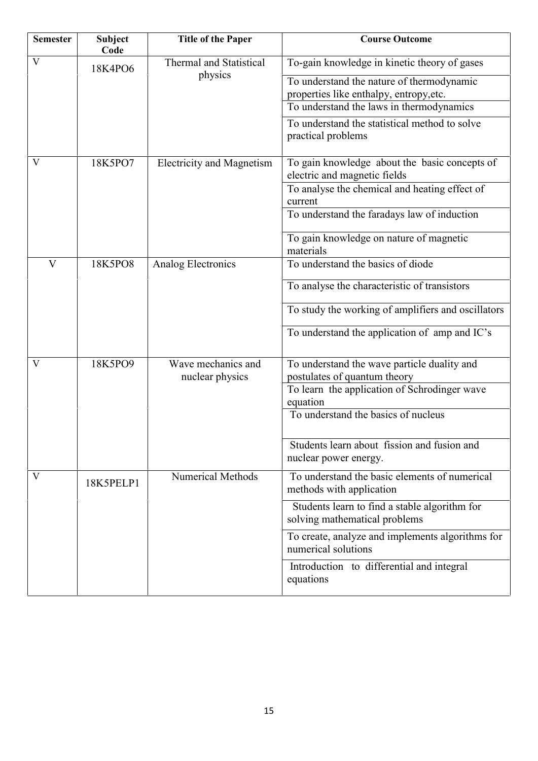| <b>Semester</b> | <b>Subject</b><br>Code | <b>Title of the Paper</b>             | <b>Course Outcome</b>                                                                                                            |
|-----------------|------------------------|---------------------------------------|----------------------------------------------------------------------------------------------------------------------------------|
| V               | 18K4PO6                | <b>Thermal and Statistical</b>        | To-gain knowledge in kinetic theory of gases                                                                                     |
|                 |                        | physics                               | To understand the nature of thermodynamic<br>properties like enthalpy, entropy, etc.<br>To understand the laws in thermodynamics |
|                 |                        |                                       | To understand the statistical method to solve<br>practical problems                                                              |
| V               | 18K5PO7                | <b>Electricity and Magnetism</b>      | To gain knowledge about the basic concepts of<br>electric and magnetic fields                                                    |
|                 |                        |                                       | To analyse the chemical and heating effect of<br>current                                                                         |
|                 |                        |                                       | To understand the faradays law of induction                                                                                      |
|                 |                        |                                       | To gain knowledge on nature of magnetic<br>materials                                                                             |
| V               | 18K5PO8                | Analog Electronics                    | To understand the basics of diode                                                                                                |
|                 |                        |                                       | To analyse the characteristic of transistors                                                                                     |
|                 |                        |                                       | To study the working of amplifiers and oscillators                                                                               |
|                 |                        |                                       | To understand the application of amp and IC's                                                                                    |
| V               | 18K5PO9                | Wave mechanics and<br>nuclear physics | To understand the wave particle duality and<br>postulates of quantum theory                                                      |
|                 |                        |                                       | To learn the application of Schrodinger wave<br>equation                                                                         |
|                 |                        |                                       | To understand the basics of nucleus                                                                                              |
|                 |                        |                                       | Students learn about fission and fusion and<br>nuclear power energy.                                                             |
| V               | 18K5PELP1              | <b>Numerical Methods</b>              | To understand the basic elements of numerical<br>methods with application                                                        |
|                 |                        |                                       | Students learn to find a stable algorithm for<br>solving mathematical problems                                                   |
|                 |                        |                                       | To create, analyze and implements algorithms for<br>numerical solutions                                                          |
|                 |                        |                                       | Introduction to differential and integral<br>equations                                                                           |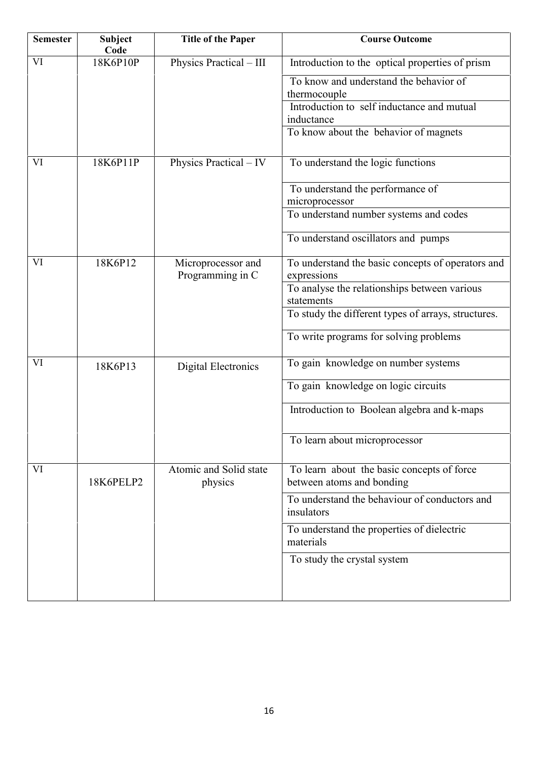| <b>Semester</b> | <b>Subject</b><br>Code | <b>Title of the Paper</b>              | <b>Course Outcome</b>                                                   |
|-----------------|------------------------|----------------------------------------|-------------------------------------------------------------------------|
| VI              | 18K6P10P               | Physics Practical - III                | Introduction to the optical properties of prism                         |
|                 |                        |                                        | To know and understand the behavior of<br>thermocouple                  |
|                 |                        |                                        | Introduction to self inductance and mutual                              |
|                 |                        |                                        | inductance                                                              |
|                 |                        |                                        | To know about the behavior of magnets                                   |
| VI              | 18K6P11P               | Physics Practical – IV                 | To understand the logic functions                                       |
|                 |                        |                                        | To understand the performance of                                        |
|                 |                        |                                        | microprocessor                                                          |
|                 |                        |                                        | To understand number systems and codes                                  |
|                 |                        |                                        | To understand oscillators and pumps                                     |
| VI              | 18K6P12                | Microprocessor and<br>Programming in C | To understand the basic concepts of operators and<br>expressions        |
|                 |                        |                                        | To analyse the relationships between various<br>statements              |
|                 |                        |                                        | To study the different types of arrays, structures.                     |
|                 |                        |                                        | To write programs for solving problems                                  |
| VI              | 18K6P13                | <b>Digital Electronics</b>             | To gain knowledge on number systems                                     |
|                 |                        |                                        | To gain knowledge on logic circuits                                     |
|                 |                        |                                        | Introduction to Boolean algebra and k-maps                              |
|                 |                        |                                        | To learn about microprocessor                                           |
| VI              | 18K6PELP2              | Atomic and Solid state<br>physics      | To learn about the basic concepts of force<br>between atoms and bonding |
|                 |                        |                                        | To understand the behaviour of conductors and<br>insulators             |
|                 |                        |                                        | To understand the properties of dielectric<br>materials                 |
|                 |                        |                                        |                                                                         |
|                 |                        |                                        | To study the crystal system                                             |
|                 |                        |                                        |                                                                         |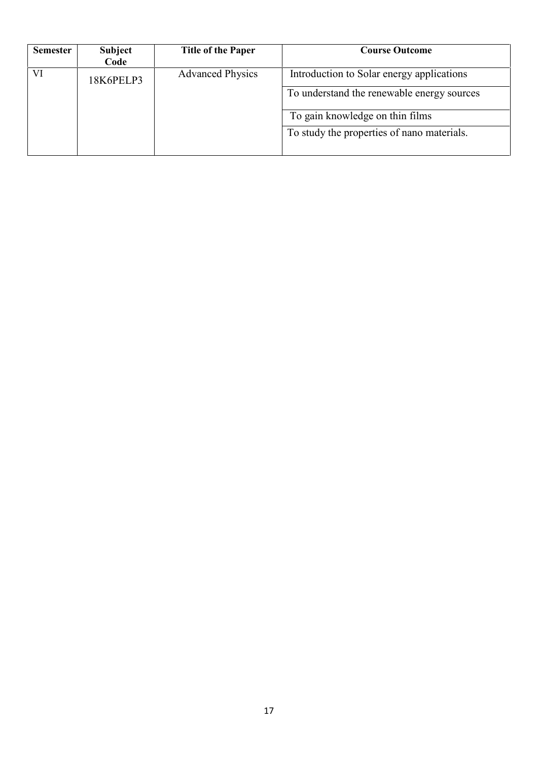| <b>Semester</b> | <b>Subject</b><br>Code | <b>Title of the Paper</b> | <b>Course Outcome</b>                      |
|-----------------|------------------------|---------------------------|--------------------------------------------|
| VI              | 18K6PELP3              | <b>Advanced Physics</b>   | Introduction to Solar energy applications  |
|                 |                        |                           | To understand the renewable energy sources |
|                 |                        |                           | To gain knowledge on thin films            |
|                 |                        |                           | To study the properties of nano materials. |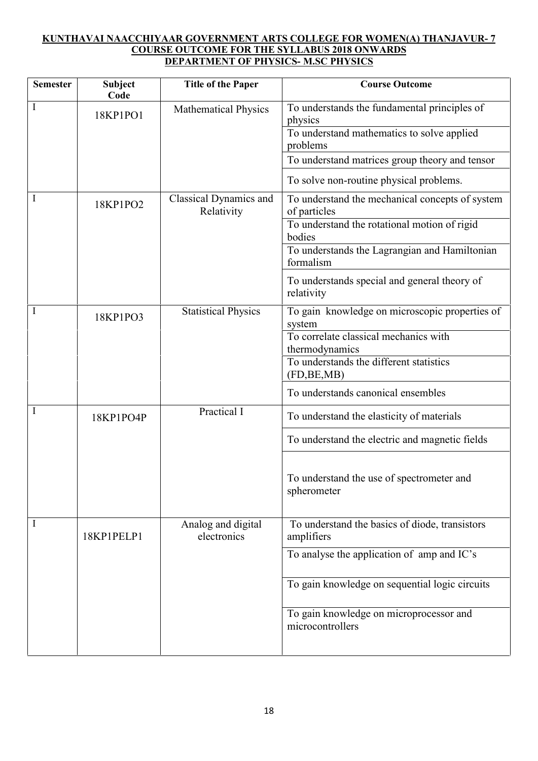## **KUNTHAVAI NAACCHIYAAR GOVERNMENT ARTS COLLEGE FOR WOMEN(A) THANJAVUR- 7 COURSE OUTCOME FOR THE SYLLABUS 2018 ONWARDS DEPARTMENT OF PHYSICS- M.SC PHYSICS**

| <b>Semester</b> | <b>Subject</b><br>Code | <b>Title of the Paper</b>                   | <b>Course Outcome</b>                                           |
|-----------------|------------------------|---------------------------------------------|-----------------------------------------------------------------|
| I               | 18KP1PO1               | <b>Mathematical Physics</b>                 | To understands the fundamental principles of<br>physics         |
|                 |                        |                                             | To understand mathematics to solve applied<br>problems          |
|                 |                        |                                             | To understand matrices group theory and tensor                  |
|                 |                        |                                             | To solve non-routine physical problems.                         |
|                 | 18KP1PO2               | <b>Classical Dynamics and</b><br>Relativity | To understand the mechanical concepts of system<br>of particles |
|                 |                        |                                             | To understand the rotational motion of rigid<br>bodies          |
|                 |                        |                                             | To understands the Lagrangian and Hamiltonian<br>formalism      |
|                 |                        |                                             | To understands special and general theory of<br>relativity      |
| I               | 18KP1PO3               | <b>Statistical Physics</b>                  | To gain knowledge on microscopic properties of<br>system        |
|                 |                        |                                             | To correlate classical mechanics with<br>thermodynamics         |
|                 |                        |                                             | To understands the different statistics<br>(FD, BE, MB)         |
|                 |                        |                                             | To understands canonical ensembles                              |
| Ι               | 18KP1PO4P              | Practical I                                 | To understand the elasticity of materials                       |
|                 |                        |                                             | To understand the electric and magnetic fields                  |
|                 |                        |                                             | To understand the use of spectrometer and<br>spherometer        |
| I               | 18KP1PELP1             | Analog and digital<br>electronics           | To understand the basics of diode, transistors<br>amplifiers    |
|                 |                        |                                             | To analyse the application of amp and IC's                      |
|                 |                        |                                             | To gain knowledge on sequential logic circuits                  |
|                 |                        |                                             | To gain knowledge on microprocessor and<br>microcontrollers     |
|                 |                        |                                             |                                                                 |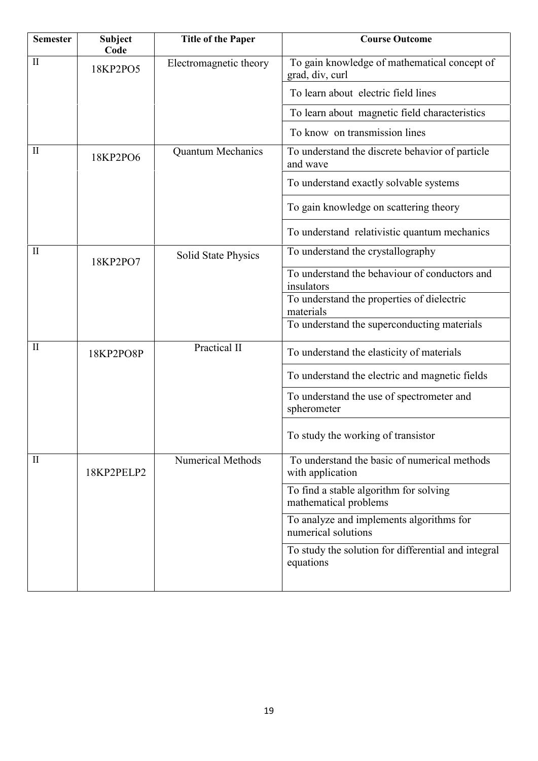| <b>Course Outcome</b>                               |
|-----------------------------------------------------|
| To gain knowledge of mathematical concept of        |
| To learn about electric field lines                 |
| To learn about magnetic field characteristics       |
| To know on transmission lines                       |
| To understand the discrete behavior of particle     |
| To understand exactly solvable systems              |
| To gain knowledge on scattering theory              |
| To understand relativistic quantum mechanics        |
| To understand the crystallography                   |
| To understand the behaviour of conductors and       |
| To understand the properties of dielectric          |
| To understand the superconducting materials         |
| To understand the elasticity of materials           |
| To understand the electric and magnetic fields      |
| To understand the use of spectrometer and           |
| To study the working of transistor                  |
| To understand the basic of numerical methods        |
| To find a stable algorithm for solving              |
| To analyze and implements algorithms for            |
| To study the solution for differential and integral |
|                                                     |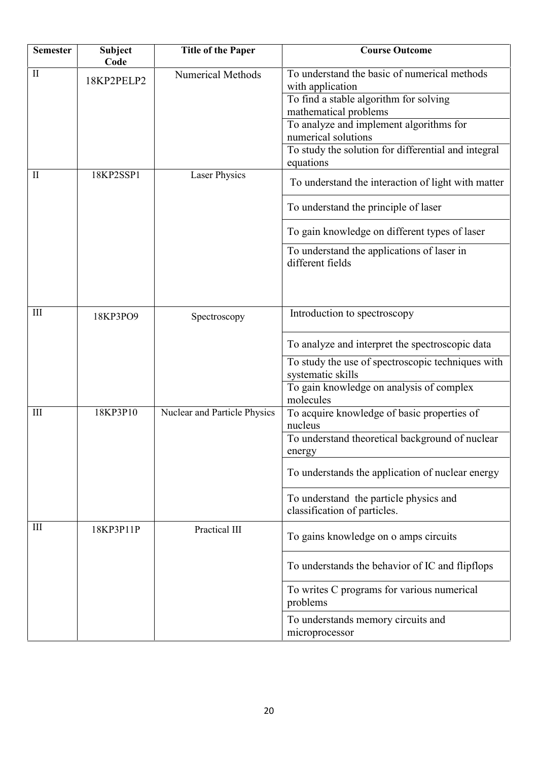| <b>Semester</b> | <b>Subject</b><br>Code | <b>Title of the Paper</b>    | <b>Course Outcome</b>                                                  |
|-----------------|------------------------|------------------------------|------------------------------------------------------------------------|
| $\mathbf{I}$    | 18KP2PELP2             | <b>Numerical Methods</b>     | To understand the basic of numerical methods<br>with application       |
|                 |                        |                              | To find a stable algorithm for solving                                 |
|                 |                        |                              | mathematical problems                                                  |
|                 |                        |                              | To analyze and implement algorithms for<br>numerical solutions         |
|                 |                        |                              | To study the solution for differential and integral<br>equations       |
| $\mathbf{I}$    | 18KP2SSP1              | <b>Laser Physics</b>         | To understand the interaction of light with matter                     |
|                 |                        |                              | To understand the principle of laser                                   |
|                 |                        |                              | To gain knowledge on different types of laser                          |
|                 |                        |                              | To understand the applications of laser in<br>different fields         |
| III             | 18KP3PO9               | Spectroscopy                 | Introduction to spectroscopy                                           |
|                 |                        |                              | To analyze and interpret the spectroscopic data                        |
|                 |                        |                              | To study the use of spectroscopic techniques with<br>systematic skills |
|                 |                        |                              | To gain knowledge on analysis of complex<br>molecules                  |
| III             | 18KP3P10               | Nuclear and Particle Physics | To acquire knowledge of basic properties of<br>nucleus                 |
|                 |                        |                              | To understand theoretical background of nuclear<br>energy              |
|                 |                        |                              | To understands the application of nuclear energy                       |
|                 |                        |                              | To understand the particle physics and<br>classification of particles. |
| Ш               | 18KP3P11P              | Practical III                | To gains knowledge on o amps circuits                                  |
|                 |                        |                              | To understands the behavior of IC and flipflops                        |
|                 |                        |                              | To writes C programs for various numerical<br>problems                 |
|                 |                        |                              | To understands memory circuits and<br>microprocessor                   |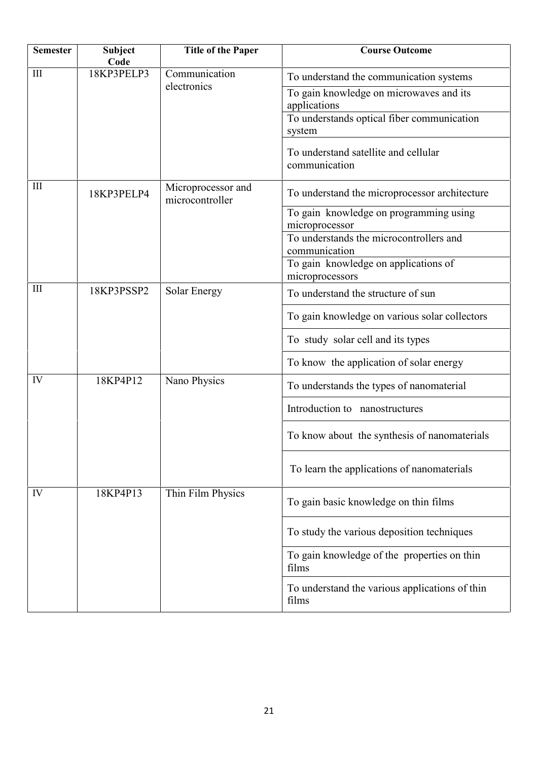| <b>Semester</b> | <b>Subject</b><br>Code | <b>Title of the Paper</b>             | <b>Course Outcome</b>                                                                                 |
|-----------------|------------------------|---------------------------------------|-------------------------------------------------------------------------------------------------------|
| III             | 18KP3PELP3             | Communication<br>electronics          | To understand the communication systems                                                               |
|                 |                        |                                       | To gain knowledge on microwaves and its<br>applications<br>To understands optical fiber communication |
|                 |                        |                                       | system                                                                                                |
|                 |                        |                                       | To understand satellite and cellular<br>communication                                                 |
| III             | 18KP3PELP4             | Microprocessor and<br>microcontroller | To understand the microprocessor architecture                                                         |
|                 |                        |                                       | To gain knowledge on programming using<br>microprocessor                                              |
|                 |                        |                                       | To understands the microcontrollers and<br>communication                                              |
|                 |                        |                                       | To gain knowledge on applications of<br>microprocessors                                               |
| III             | 18KP3PSSP2             | <b>Solar Energy</b>                   | To understand the structure of sun                                                                    |
|                 |                        |                                       | To gain knowledge on various solar collectors                                                         |
|                 |                        |                                       | To study solar cell and its types                                                                     |
|                 |                        |                                       | To know the application of solar energy                                                               |
| IV              | 18KP4P12               | Nano Physics                          | To understands the types of nanomaterial                                                              |
|                 |                        |                                       | Introduction to nanostructures                                                                        |
|                 |                        |                                       | To know about the synthesis of nanomaterials                                                          |
|                 |                        |                                       | To learn the applications of nanomaterials                                                            |
| IV              | 18KP4P13               | Thin Film Physics                     | To gain basic knowledge on thin films                                                                 |
|                 |                        |                                       | To study the various deposition techniques                                                            |
|                 |                        |                                       | To gain knowledge of the properties on thin<br>films                                                  |
|                 |                        |                                       | To understand the various applications of thin<br>films                                               |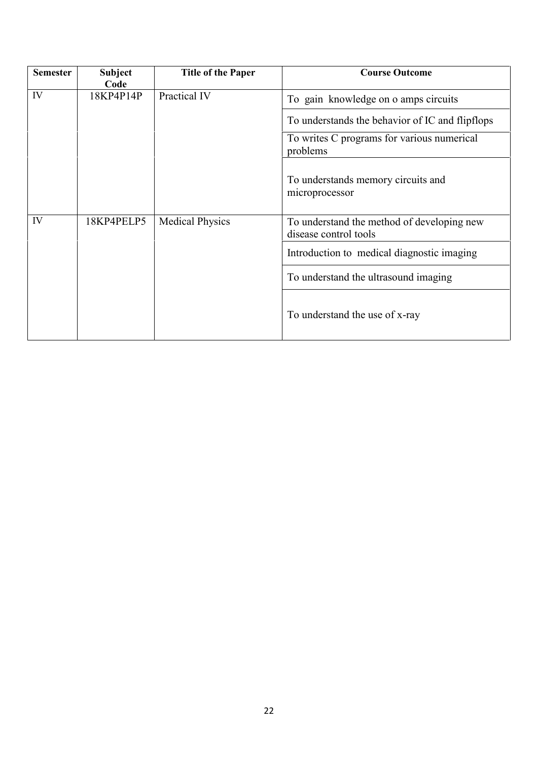| <b>Semester</b> | <b>Subject</b><br>Code | <b>Title of the Paper</b> | <b>Course Outcome</b>                                               |
|-----------------|------------------------|---------------------------|---------------------------------------------------------------------|
| IV              | 18KP4P14P              | Practical IV              | To gain knowledge on o amps circuits                                |
|                 |                        |                           | To understands the behavior of IC and flipflops                     |
|                 |                        |                           | To writes C programs for various numerical<br>problems              |
|                 |                        |                           | To understands memory circuits and<br>microprocessor                |
| IV              | 18KP4PELP5             | <b>Medical Physics</b>    | To understand the method of developing new<br>disease control tools |
|                 |                        |                           | Introduction to medical diagnostic imaging                          |
|                 |                        |                           | To understand the ultrasound imaging                                |
|                 |                        |                           | To understand the use of x-ray                                      |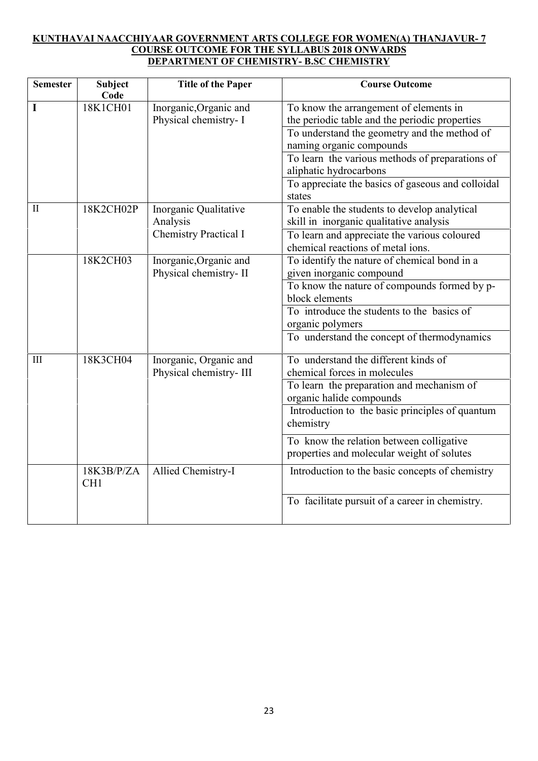## **KUNTHAVAI NAACCHIYAAR GOVERNMENT ARTS COLLEGE FOR WOMEN(A) THANJAVUR- 7 COURSE OUTCOME FOR THE SYLLABUS 2018 ONWARDS DEPARTMENT OF CHEMISTRY- B.SC CHEMISTRY**

| <b>Semester</b>    | <b>Subject</b><br>Code        | <b>Title of the Paper</b>    | <b>Course Outcome</b>                                                             |
|--------------------|-------------------------------|------------------------------|-----------------------------------------------------------------------------------|
| I                  | 18K1CH01                      | Inorganic, Organic and       | To know the arrangement of elements in                                            |
|                    |                               | Physical chemistry- I        | the periodic table and the periodic properties                                    |
|                    |                               |                              | To understand the geometry and the method of                                      |
|                    |                               |                              | naming organic compounds                                                          |
|                    |                               |                              | To learn the various methods of preparations of                                   |
|                    |                               |                              | aliphatic hydrocarbons                                                            |
|                    |                               |                              | To appreciate the basics of gaseous and colloidal<br>states                       |
| $\mathbf{I}$       | 18K2CH02P                     | Inorganic Qualitative        | To enable the students to develop analytical                                      |
|                    |                               | Analysis                     | skill in inorganic qualitative analysis                                           |
|                    |                               | <b>Chemistry Practical I</b> | To learn and appreciate the various coloured<br>chemical reactions of metal ions. |
|                    | 18K2CH03                      | Inorganic, Organic and       | To identify the nature of chemical bond in a                                      |
|                    |                               | Physical chemistry-II        | given inorganic compound                                                          |
|                    |                               |                              | To know the nature of compounds formed by p-                                      |
|                    |                               |                              | block elements                                                                    |
|                    |                               |                              | To introduce the students to the basics of                                        |
|                    |                               |                              | organic polymers                                                                  |
|                    |                               |                              | To understand the concept of thermodynamics                                       |
| $\mathop{\rm III}$ | 18K3CH04                      | Inorganic, Organic and       | To understand the different kinds of                                              |
|                    |                               | Physical chemistry-III       | chemical forces in molecules                                                      |
|                    |                               |                              | To learn the preparation and mechanism of<br>organic halide compounds             |
|                    |                               |                              | Introduction to the basic principles of quantum<br>chemistry                      |
|                    |                               |                              |                                                                                   |
|                    |                               |                              | To know the relation between colligative                                          |
|                    |                               |                              | properties and molecular weight of solutes                                        |
|                    | 18K3B/P/ZA<br>CH <sub>1</sub> | Allied Chemistry-I           | Introduction to the basic concepts of chemistry                                   |
|                    |                               |                              | To facilitate pursuit of a career in chemistry.                                   |
|                    |                               |                              |                                                                                   |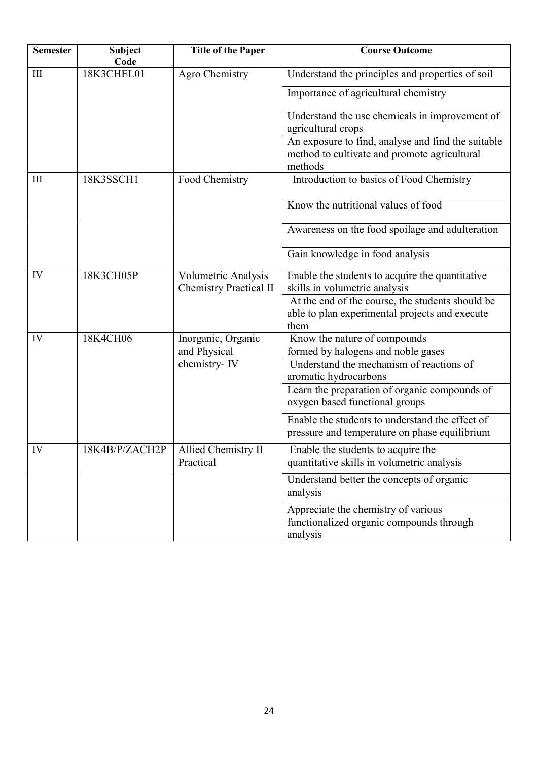| <b>Semester</b> | <b>Subject</b><br>Code | <b>Title of the Paper</b>                            | <b>Course Outcome</b>                                                                                         |
|-----------------|------------------------|------------------------------------------------------|---------------------------------------------------------------------------------------------------------------|
| III             | 18K3CHEL01             | Agro Chemistry                                       | Understand the principles and properties of soil                                                              |
|                 |                        |                                                      | Importance of agricultural chemistry                                                                          |
|                 |                        |                                                      | Understand the use chemicals in improvement of<br>agricultural crops                                          |
|                 |                        |                                                      | An exposure to find, analyse and find the suitable<br>method to cultivate and promote agricultural<br>methods |
| Ш               | 18K3SSCH1              | Food Chemistry                                       | Introduction to basics of Food Chemistry                                                                      |
|                 |                        |                                                      | Know the nutritional values of food                                                                           |
|                 |                        |                                                      | Awareness on the food spoilage and adulteration                                                               |
|                 |                        |                                                      | Gain knowledge in food analysis                                                                               |
| IV              | 18K3CH05P              | Volumetric Analysis<br><b>Chemistry Practical II</b> | Enable the students to acquire the quantitative<br>skills in volumetric analysis                              |
|                 |                        |                                                      | At the end of the course, the students should be<br>able to plan experimental projects and execute<br>them    |
| IV              | 18K4CH06               | Inorganic, Organic<br>and Physical                   | Know the nature of compounds<br>formed by halogens and noble gases                                            |
|                 |                        | chemistry-IV                                         | Understand the mechanism of reactions of<br>aromatic hydrocarbons                                             |
|                 |                        |                                                      | Learn the preparation of organic compounds of<br>oxygen based functional groups                               |
|                 |                        |                                                      | Enable the students to understand the effect of<br>pressure and temperature on phase equilibrium              |
| IV              | 18K4B/P/ZACH2P         | Allied Chemistry II<br>Practical                     | Enable the students to acquire the<br>quantitative skills in volumetric analysis                              |
|                 |                        |                                                      | Understand better the concepts of organic<br>analysis                                                         |
|                 |                        |                                                      | Appreciate the chemistry of various<br>functionalized organic compounds through<br>analysis                   |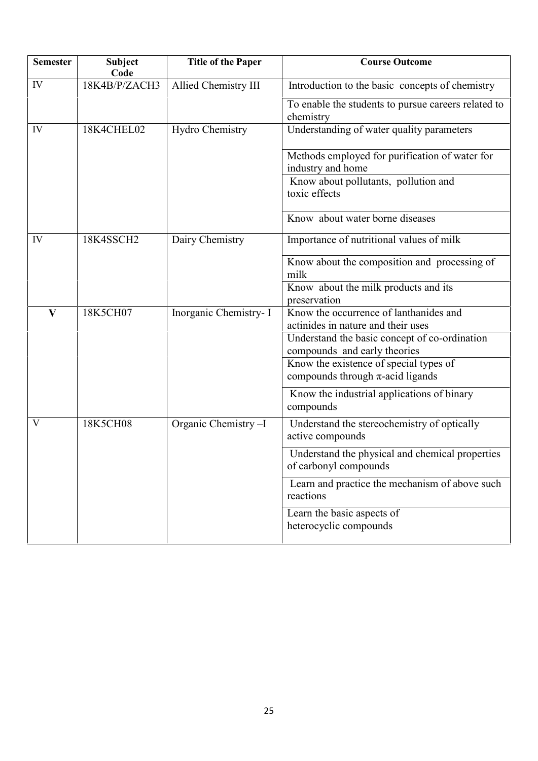| <b>Semester</b> | <b>Subject</b><br>Code | <b>Title of the Paper</b> | <b>Course Outcome</b>                                                           |
|-----------------|------------------------|---------------------------|---------------------------------------------------------------------------------|
| IV              | 18K4B/P/ZACH3          | Allied Chemistry III      | Introduction to the basic concepts of chemistry                                 |
|                 |                        |                           | To enable the students to pursue careers related to<br>chemistry                |
| IV              | 18K4CHEL02             | Hydro Chemistry           | Understanding of water quality parameters                                       |
|                 |                        |                           | Methods employed for purification of water for<br>industry and home             |
|                 |                        |                           | Know about pollutants, pollution and<br>toxic effects                           |
|                 |                        |                           | Know about water borne diseases                                                 |
| IV              | 18K4SSCH2              | Dairy Chemistry           | Importance of nutritional values of milk                                        |
|                 |                        |                           | Know about the composition and processing of<br>milk                            |
|                 |                        |                           | Know about the milk products and its<br>preservation                            |
| $\mathbf{V}$    | 18K5CH07               | Inorganic Chemistry- I    | Know the occurrence of lanthanides and<br>actinides in nature and their uses    |
|                 |                        |                           | Understand the basic concept of co-ordination<br>compounds and early theories   |
|                 |                        |                           | Know the existence of special types of<br>compounds through $\pi$ -acid ligands |
|                 |                        |                           | Know the industrial applications of binary<br>compounds                         |
| V               | 18K5CH08               | Organic Chemistry-I       | Understand the stereochemistry of optically<br>active compounds                 |
|                 |                        |                           | Understand the physical and chemical properties<br>of carbonyl compounds        |
|                 |                        |                           | Learn and practice the mechanism of above such<br>reactions                     |
|                 |                        |                           | Learn the basic aspects of<br>heterocyclic compounds                            |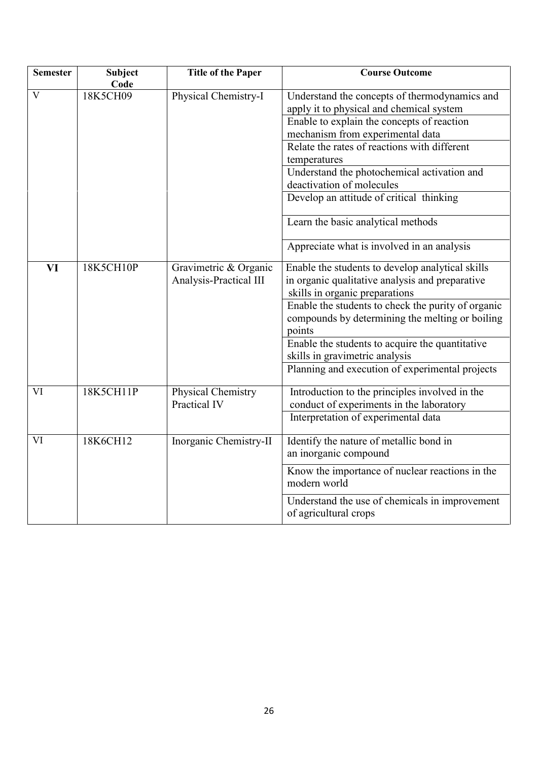| <b>Semester</b> | <b>Subject</b><br>Code | <b>Title of the Paper</b> | <b>Course Outcome</b>                                                                     |
|-----------------|------------------------|---------------------------|-------------------------------------------------------------------------------------------|
| V               | 18K5CH09               | Physical Chemistry-I      | Understand the concepts of thermodynamics and<br>apply it to physical and chemical system |
|                 |                        |                           | Enable to explain the concepts of reaction                                                |
|                 |                        |                           | mechanism from experimental data                                                          |
|                 |                        |                           | Relate the rates of reactions with different                                              |
|                 |                        |                           | temperatures                                                                              |
|                 |                        |                           | Understand the photochemical activation and                                               |
|                 |                        |                           | deactivation of molecules                                                                 |
|                 |                        |                           | Develop an attitude of critical thinking                                                  |
|                 |                        |                           | Learn the basic analytical methods                                                        |
|                 |                        |                           | Appreciate what is involved in an analysis                                                |
| VI              | 18K5CH10P              | Gravimetric & Organic     | Enable the students to develop analytical skills                                          |
|                 |                        | Analysis-Practical III    | in organic qualitative analysis and preparative                                           |
|                 |                        |                           | skills in organic preparations                                                            |
|                 |                        |                           | Enable the students to check the purity of organic                                        |
|                 |                        |                           | compounds by determining the melting or boiling<br>points                                 |
|                 |                        |                           | Enable the students to acquire the quantitative                                           |
|                 |                        |                           | skills in gravimetric analysis                                                            |
|                 |                        |                           | Planning and execution of experimental projects                                           |
| VI              | 18K5CH11P              | Physical Chemistry        | Introduction to the principles involved in the                                            |
|                 |                        | Practical IV              | conduct of experiments in the laboratory                                                  |
|                 |                        |                           | Interpretation of experimental data                                                       |
| VI              | 18K6CH12               | Inorganic Chemistry-II    | Identify the nature of metallic bond in                                                   |
|                 |                        |                           | an inorganic compound                                                                     |
|                 |                        |                           | Know the importance of nuclear reactions in the<br>modern world                           |
|                 |                        |                           | Understand the use of chemicals in improvement<br>of agricultural crops                   |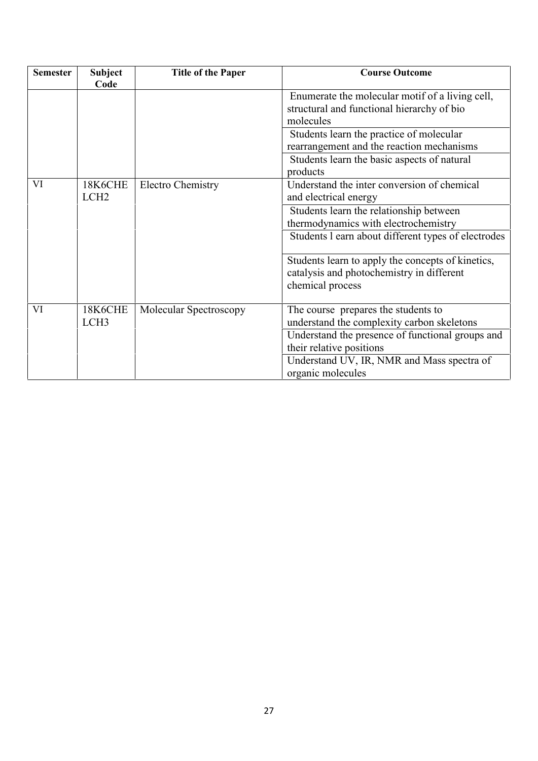| <b>Semester</b> | <b>Subject</b><br>Code | <b>Title of the Paper</b> | <b>Course Outcome</b>                                                                                              |
|-----------------|------------------------|---------------------------|--------------------------------------------------------------------------------------------------------------------|
|                 |                        |                           | Enumerate the molecular motif of a living cell,<br>structural and functional hierarchy of bio                      |
|                 |                        |                           | molecules                                                                                                          |
|                 |                        |                           | Students learn the practice of molecular                                                                           |
|                 |                        |                           | rearrangement and the reaction mechanisms                                                                          |
|                 |                        |                           | Students learn the basic aspects of natural                                                                        |
|                 |                        |                           | products                                                                                                           |
| VI              | 18K6CHE                | <b>Electro Chemistry</b>  | Understand the inter conversion of chemical                                                                        |
|                 | LCH <sub>2</sub>       |                           | and electrical energy                                                                                              |
|                 |                        |                           | Students learn the relationship between                                                                            |
|                 |                        |                           | thermodynamics with electrochemistry                                                                               |
|                 |                        |                           | Students 1 earn about different types of electrodes                                                                |
|                 |                        |                           | Students learn to apply the concepts of kinetics,<br>catalysis and photochemistry in different<br>chemical process |
| VI              | 18K6CHE                | Molecular Spectroscopy    | The course prepares the students to                                                                                |
|                 | LCH <sub>3</sub>       |                           | understand the complexity carbon skeletons                                                                         |
|                 |                        |                           | Understand the presence of functional groups and                                                                   |
|                 |                        |                           | their relative positions                                                                                           |
|                 |                        |                           | Understand UV, IR, NMR and Mass spectra of                                                                         |
|                 |                        |                           | organic molecules                                                                                                  |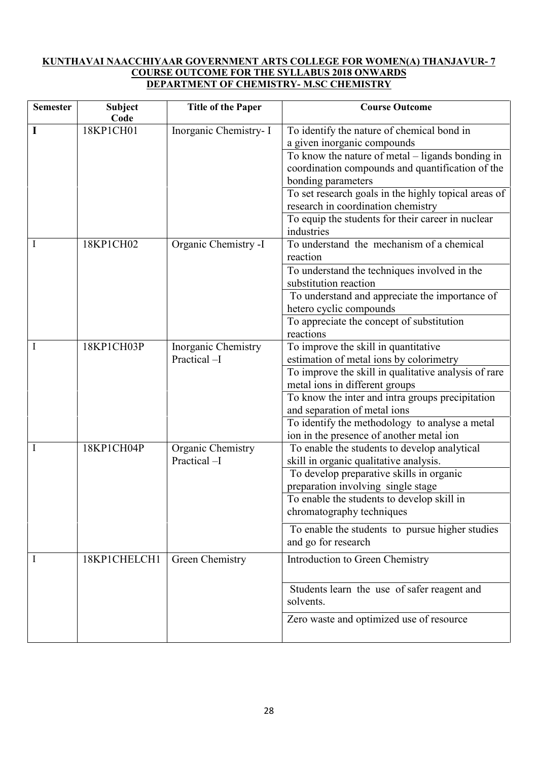#### **KUNTHAVAI NAACCHIYAAR GOVERNMENT ARTS COLLEGE FOR WOMEN(A) THANJAVUR- 7 COURSE OUTCOME FOR THE SYLLABUS 2018 ONWARDS DEPARTMENT OF CHEMISTRY- M.SC CHEMISTRY**

| <b>Semester</b> | <b>Subject</b><br>Code | <b>Title of the Paper</b>          | <b>Course Outcome</b>                                                                                                      |
|-----------------|------------------------|------------------------------------|----------------------------------------------------------------------------------------------------------------------------|
|                 | 18KP1CH01              | Inorganic Chemistry- I             | To identify the nature of chemical bond in<br>a given inorganic compounds                                                  |
|                 |                        |                                    | To know the nature of metal – ligands bonding in<br>coordination compounds and quantification of the<br>bonding parameters |
|                 |                        |                                    | To set research goals in the highly topical areas of<br>research in coordination chemistry                                 |
|                 |                        |                                    | To equip the students for their career in nuclear<br>industries                                                            |
| Ι               | 18KP1CH02              | Organic Chemistry -I               | To understand the mechanism of a chemical<br>reaction                                                                      |
|                 |                        |                                    | To understand the techniques involved in the<br>substitution reaction                                                      |
|                 |                        |                                    | To understand and appreciate the importance of<br>hetero cyclic compounds                                                  |
|                 |                        |                                    | To appreciate the concept of substitution<br>reactions                                                                     |
|                 | 18KP1CH03P             | Inorganic Chemistry<br>Practical-I | To improve the skill in quantitative<br>estimation of metal ions by colorimetry                                            |
|                 |                        |                                    | To improve the skill in qualitative analysis of rare<br>metal ions in different groups                                     |
|                 |                        |                                    | To know the inter and intra groups precipitation<br>and separation of metal ions                                           |
|                 |                        |                                    | To identify the methodology to analyse a metal<br>ion in the presence of another metal ion                                 |
|                 | 18KP1CH04P             | Organic Chemistry<br>Practical-I   | To enable the students to develop analytical<br>skill in organic qualitative analysis.                                     |
|                 |                        |                                    | To develop preparative skills in organic<br>preparation involving single stage                                             |
|                 |                        |                                    | To enable the students to develop skill in<br>chromatography techniques                                                    |
|                 |                        |                                    | To enable the students to pursue higher studies<br>and go for research                                                     |
| 1               | 18KP1CHELCH1           | Green Chemistry                    | Introduction to Green Chemistry                                                                                            |
|                 |                        |                                    | Students learn the use of safer reagent and<br>solvents.                                                                   |
|                 |                        |                                    | Zero waste and optimized use of resource                                                                                   |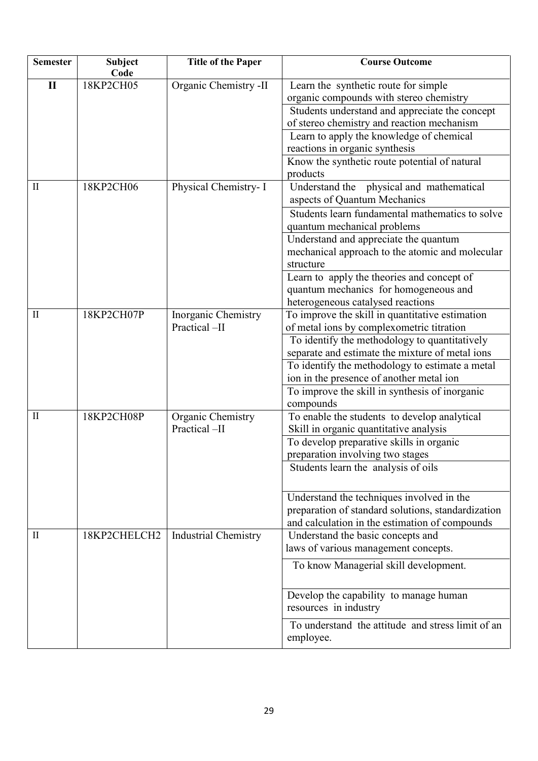| <b>Semester</b>                 | <b>Subject</b><br>Code | <b>Title of the Paper</b>           | <b>Course Outcome</b>                                                                                                                                                                                                                                                                                                                                                                           |
|---------------------------------|------------------------|-------------------------------------|-------------------------------------------------------------------------------------------------------------------------------------------------------------------------------------------------------------------------------------------------------------------------------------------------------------------------------------------------------------------------------------------------|
| $\mathbf{I}$                    | 18KP2CH05              | Organic Chemistry -II               | Learn the synthetic route for simple<br>organic compounds with stereo chemistry<br>Students understand and appreciate the concept<br>of stereo chemistry and reaction mechanism<br>Learn to apply the knowledge of chemical<br>reactions in organic synthesis<br>Know the synthetic route potential of natural<br>products                                                                      |
| $\mathop{\mathrm{II}}\nolimits$ | 18KP2CH06              | Physical Chemistry- I               | Understand the physical and mathematical<br>aspects of Quantum Mechanics<br>Students learn fundamental mathematics to solve<br>quantum mechanical problems<br>Understand and appreciate the quantum<br>mechanical approach to the atomic and molecular<br>structure<br>Learn to apply the theories and concept of<br>quantum mechanics for homogeneous and<br>heterogeneous catalysed reactions |
| $\mathbf{I}$                    | 18KP2CH07P             | Inorganic Chemistry<br>Practical-II | To improve the skill in quantitative estimation<br>of metal ions by complexometric titration<br>To identify the methodology to quantitatively<br>separate and estimate the mixture of metal ions<br>To identify the methodology to estimate a metal<br>ion in the presence of another metal ion<br>To improve the skill in synthesis of inorganic<br>compounds                                  |
| $\mathbf{I}$                    | 18KP2CH08P             | Organic Chemistry<br>Practical-II   | To enable the students to develop analytical<br>Skill in organic quantitative analysis<br>To develop preparative skills in organic<br>preparation involving two stages<br>Students learn the analysis of oils<br>Understand the techniques involved in the<br>preparation of standard solutions, standardization<br>and calculation in the estimation of compounds                              |
| $\mathbf{I}$                    | 18KP2CHELCH2           | Industrial Chemistry                | Understand the basic concepts and<br>laws of various management concepts.<br>To know Managerial skill development.<br>Develop the capability to manage human<br>resources in industry<br>To understand the attitude and stress limit of an<br>employee.                                                                                                                                         |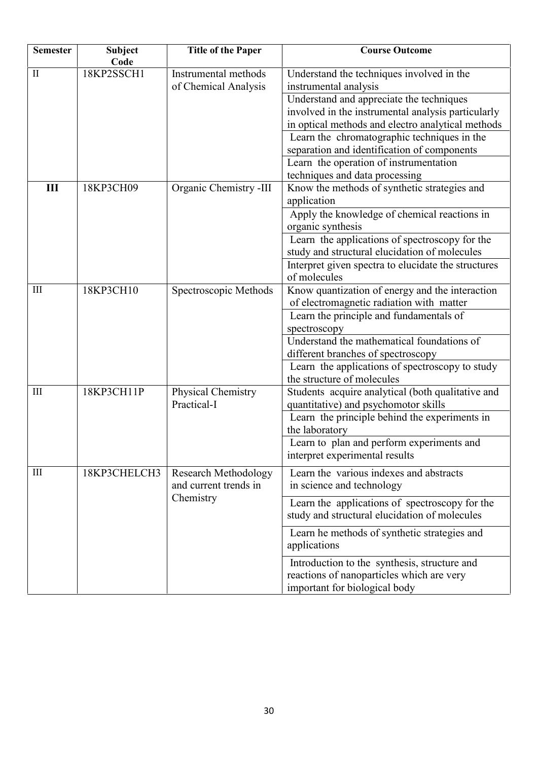| <b>Semester</b> | <b>Subject</b><br>Code | <b>Title of the Paper</b>                                         | <b>Course Outcome</b>                                                                                                                                                                                                                                                                                                                                                                               |
|-----------------|------------------------|-------------------------------------------------------------------|-----------------------------------------------------------------------------------------------------------------------------------------------------------------------------------------------------------------------------------------------------------------------------------------------------------------------------------------------------------------------------------------------------|
| П               | 18KP2SSCH1             | Instrumental methods<br>of Chemical Analysis                      | Understand the techniques involved in the<br>instrumental analysis<br>Understand and appreciate the techniques<br>involved in the instrumental analysis particularly<br>in optical methods and electro analytical methods<br>Learn the chromatographic techniques in the<br>separation and identification of components<br>Learn the operation of instrumentation<br>techniques and data processing |
| Ш               | 18KP3CH09              | Organic Chemistry -III                                            | Know the methods of synthetic strategies and<br>application<br>Apply the knowledge of chemical reactions in<br>organic synthesis<br>Learn the applications of spectroscopy for the<br>study and structural elucidation of molecules<br>Interpret given spectra to elucidate the structures<br>of molecules                                                                                          |
| III             | 18KP3CH10              | Spectroscopic Methods                                             | Know quantization of energy and the interaction<br>of electromagnetic radiation with matter<br>Learn the principle and fundamentals of<br>spectroscopy<br>Understand the mathematical foundations of<br>different branches of spectroscopy<br>Learn the applications of spectroscopy to study<br>the structure of molecules                                                                         |
| III             | 18KP3CH11P             | Physical Chemistry<br>Practical-I                                 | Students acquire analytical (both qualitative and<br>quantitative) and psychomotor skills<br>Learn the principle behind the experiments in<br>the laboratory<br>Learn to plan and perform experiments and<br>interpret experimental results                                                                                                                                                         |
| Ш               | 18KP3CHELCH3           | <b>Research Methodology</b><br>and current trends in<br>Chemistry | Learn the various indexes and abstracts<br>in science and technology<br>Learn the applications of spectroscopy for the<br>study and structural elucidation of molecules<br>Learn he methods of synthetic strategies and<br>applications                                                                                                                                                             |
|                 |                        |                                                                   | Introduction to the synthesis, structure and<br>reactions of nanoparticles which are very<br>important for biological body                                                                                                                                                                                                                                                                          |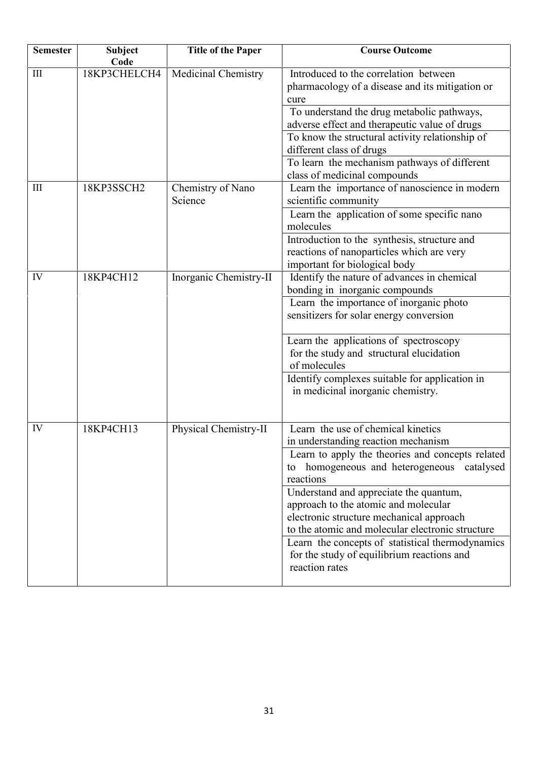| <b>Semester</b> | <b>Subject</b><br>Code | <b>Title of the Paper</b>    | <b>Course Outcome</b>                                                                                                                                                                                                                                                                                                                                                                                                                                                                             |
|-----------------|------------------------|------------------------------|---------------------------------------------------------------------------------------------------------------------------------------------------------------------------------------------------------------------------------------------------------------------------------------------------------------------------------------------------------------------------------------------------------------------------------------------------------------------------------------------------|
| III             | 18KP3CHELCH4           | Medicinal Chemistry          | Introduced to the correlation between<br>pharmacology of a disease and its mitigation or<br>cure<br>To understand the drug metabolic pathways,<br>adverse effect and therapeutic value of drugs<br>To know the structural activity relationship of<br>different class of drugs<br>To learn the mechanism pathways of different<br>class of medicinal compounds                                                                                                                                    |
| III             | 18KP3SSCH2             | Chemistry of Nano<br>Science | Learn the importance of nanoscience in modern<br>scientific community<br>Learn the application of some specific nano<br>molecules<br>Introduction to the synthesis, structure and<br>reactions of nanoparticles which are very<br>important for biological body                                                                                                                                                                                                                                   |
| IV              | 18KP4CH12              | Inorganic Chemistry-II       | Identify the nature of advances in chemical<br>bonding in inorganic compounds<br>Learn the importance of inorganic photo<br>sensitizers for solar energy conversion<br>Learn the applications of spectroscopy<br>for the study and structural elucidation<br>of molecules<br>Identify complexes suitable for application in<br>in medicinal inorganic chemistry.                                                                                                                                  |
| IV              | 18KP4CH13              | Physical Chemistry-II        | Learn the use of chemical kinetics<br>in understanding reaction mechanism<br>Learn to apply the theories and concepts related<br>homogeneous and heterogeneous catalysed<br>to<br>reactions<br>Understand and appreciate the quantum,<br>approach to the atomic and molecular<br>electronic structure mechanical approach<br>to the atomic and molecular electronic structure<br>Learn the concepts of statistical thermodynamics<br>for the study of equilibrium reactions and<br>reaction rates |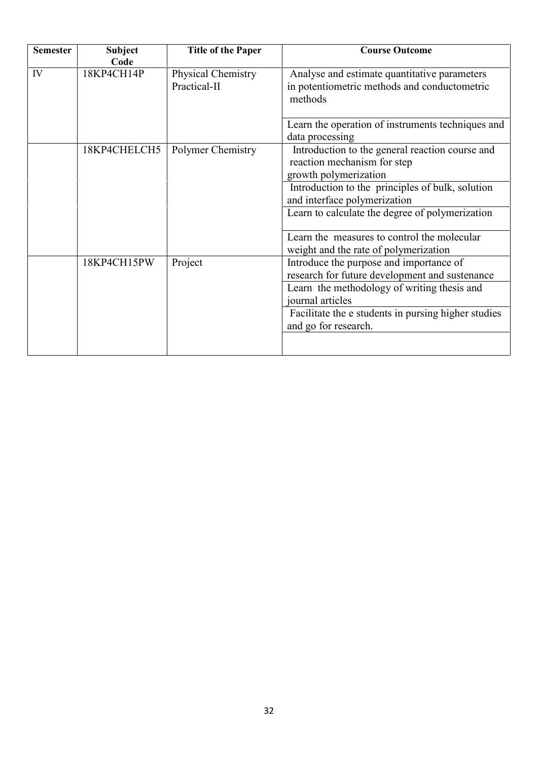| <b>Semester</b> | <b>Subject</b><br>Code | <b>Title of the Paper</b>          | <b>Course Outcome</b>                                                                                                                                        |
|-----------------|------------------------|------------------------------------|--------------------------------------------------------------------------------------------------------------------------------------------------------------|
| IV              | 18KP4CH14P             | Physical Chemistry<br>Practical-II | Analyse and estimate quantitative parameters<br>in potentiometric methods and conductometric<br>methods                                                      |
|                 |                        |                                    | Learn the operation of instruments techniques and<br>data processing                                                                                         |
|                 | 18KP4CHELCH5           | Polymer Chemistry                  | Introduction to the general reaction course and<br>reaction mechanism for step<br>growth polymerization                                                      |
|                 |                        |                                    | Introduction to the principles of bulk, solution<br>and interface polymerization<br>Learn to calculate the degree of polymerization                          |
|                 |                        |                                    | Learn the measures to control the molecular<br>weight and the rate of polymerization                                                                         |
|                 | 18KP4CH15PW            | Project                            | Introduce the purpose and importance of<br>research for future development and sustenance<br>Learn the methodology of writing thesis and<br>journal articles |
|                 |                        |                                    | Facilitate the e students in pursing higher studies<br>and go for research.                                                                                  |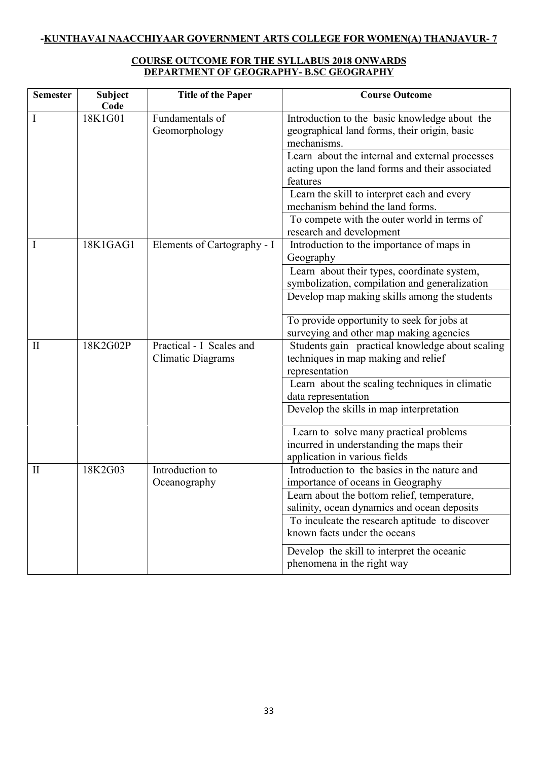# **COURSE OUTCOME FOR THE SYLLABUS 2018 ONWARDS DEPARTMENT OF GEOGRAPHY- B.SC GEOGRAPHY**

| <b>Semester</b> | <b>Subject</b><br>Code | <b>Title of the Paper</b>        | <b>Course Outcome</b>                                                                                          |
|-----------------|------------------------|----------------------------------|----------------------------------------------------------------------------------------------------------------|
| I               | 18K1G01                | Fundamentals of<br>Geomorphology | Introduction to the basic knowledge about the<br>geographical land forms, their origin, basic<br>mechanisms.   |
|                 |                        |                                  | Learn about the internal and external processes<br>acting upon the land forms and their associated<br>features |
|                 |                        |                                  | Learn the skill to interpret each and every<br>mechanism behind the land forms.                                |
|                 |                        |                                  | To compete with the outer world in terms of<br>research and development                                        |
| I               | 18K1GAG1               | Elements of Cartography - I      | Introduction to the importance of maps in<br>Geography                                                         |
|                 |                        |                                  | Learn about their types, coordinate system,<br>symbolization, compilation and generalization                   |
|                 |                        |                                  | Develop map making skills among the students                                                                   |
|                 |                        |                                  | To provide opportunity to seek for jobs at<br>surveying and other map making agencies                          |
| $\mathbf{I}$    | 18K2G02P               | Practical - I Scales and         | Students gain practical knowledge about scaling                                                                |
|                 |                        | <b>Climatic Diagrams</b>         | techniques in map making and relief                                                                            |
|                 |                        |                                  | representation                                                                                                 |
|                 |                        |                                  | Learn about the scaling techniques in climatic                                                                 |
|                 |                        |                                  | data representation                                                                                            |
|                 |                        |                                  | Develop the skills in map interpretation                                                                       |
|                 |                        |                                  | Learn to solve many practical problems                                                                         |
|                 |                        |                                  | incurred in understanding the maps their                                                                       |
| $\mathbf{I}$    | 18K2G03                | Introduction to                  | application in various fields<br>Introduction to the basics in the nature and                                  |
|                 |                        | Oceanography                     | importance of oceans in Geography                                                                              |
|                 |                        |                                  | Learn about the bottom relief, temperature,                                                                    |
|                 |                        |                                  | salinity, ocean dynamics and ocean deposits                                                                    |
|                 |                        |                                  | To inculcate the research aptitude to discover                                                                 |
|                 |                        |                                  | known facts under the oceans                                                                                   |
|                 |                        |                                  | Develop the skill to interpret the oceanic<br>phenomena in the right way                                       |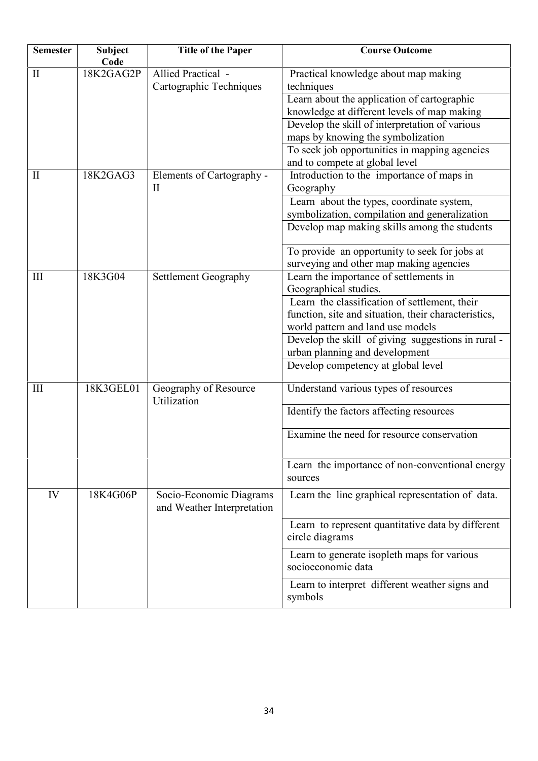| <b>Semester</b> | Subject<br>Code | <b>Title of the Paper</b>                             | <b>Course Outcome</b>                                                |
|-----------------|-----------------|-------------------------------------------------------|----------------------------------------------------------------------|
| $\mathbf{I}$    | 18K2GAG2P       | Allied Practical -<br>Cartographic Techniques         | Practical knowledge about map making<br>techniques                   |
|                 |                 |                                                       | Learn about the application of cartographic                          |
|                 |                 |                                                       | knowledge at different levels of map making                          |
|                 |                 |                                                       | Develop the skill of interpretation of various                       |
|                 |                 |                                                       | maps by knowing the symbolization                                    |
|                 |                 |                                                       | To seek job opportunities in mapping agencies                        |
|                 |                 |                                                       | and to compete at global level                                       |
| $\mathbf{I}$    | 18K2GAG3        | Elements of Cartography -<br>$\mathbf{I}$             | Introduction to the importance of maps in<br>Geography               |
|                 |                 |                                                       | Learn about the types, coordinate system,                            |
|                 |                 |                                                       | symbolization, compilation and generalization                        |
|                 |                 |                                                       | Develop map making skills among the students                         |
|                 |                 |                                                       | To provide an opportunity to seek for jobs at                        |
|                 |                 |                                                       | surveying and other map making agencies                              |
| III             | 18K3G04         | Settlement Geography                                  | Learn the importance of settlements in                               |
|                 |                 |                                                       | Geographical studies.                                                |
|                 |                 |                                                       | Learn the classification of settlement, their                        |
|                 |                 |                                                       | function, site and situation, their characteristics,                 |
|                 |                 |                                                       | world pattern and land use models                                    |
|                 |                 |                                                       | Develop the skill of giving suggestions in rural -                   |
|                 |                 |                                                       | urban planning and development                                       |
|                 |                 |                                                       | Develop competency at global level                                   |
| III             | 18K3GEL01       | Geography of Resource<br>Utilization                  | Understand various types of resources                                |
|                 |                 |                                                       | Identify the factors affecting resources                             |
|                 |                 |                                                       | Examine the need for resource conservation                           |
|                 |                 |                                                       | Learn the importance of non-conventional energy<br>sources           |
| IV              | 18K4G06P        | Socio-Economic Diagrams<br>and Weather Interpretation | Learn the line graphical representation of data.                     |
|                 |                 |                                                       | Learn to represent quantitative data by different<br>circle diagrams |
|                 |                 |                                                       | Learn to generate isopleth maps for various<br>socioeconomic data    |
|                 |                 |                                                       | Learn to interpret different weather signs and<br>symbols            |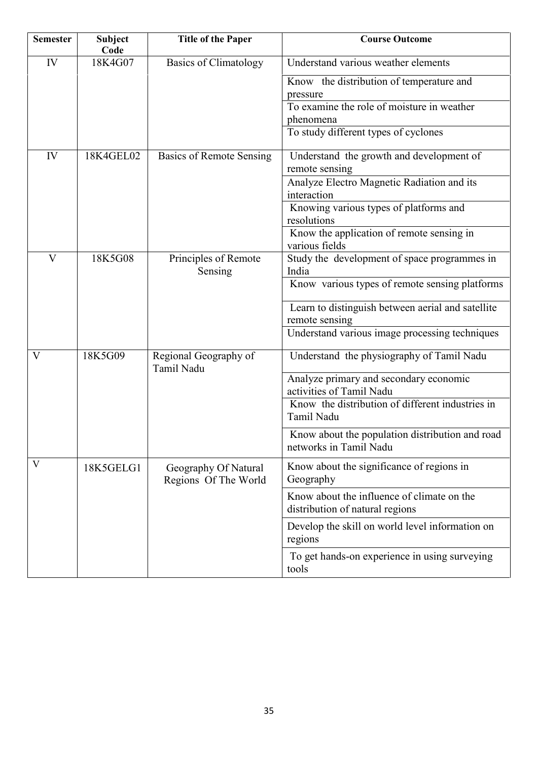| <b>Semester</b> | <b>Subject</b><br>Code | <b>Title of the Paper</b>                    | <b>Course Outcome</b>                                                         |
|-----------------|------------------------|----------------------------------------------|-------------------------------------------------------------------------------|
| IV              | 18K4G07                | <b>Basics of Climatology</b>                 | Understand various weather elements                                           |
|                 |                        |                                              | Know the distribution of temperature and<br>pressure                          |
|                 |                        |                                              | To examine the role of moisture in weather                                    |
|                 |                        |                                              | phenomena                                                                     |
|                 |                        |                                              | To study different types of cyclones                                          |
| IV              | 18K4GEL02              | <b>Basics of Remote Sensing</b>              | Understand the growth and development of<br>remote sensing                    |
|                 |                        |                                              | Analyze Electro Magnetic Radiation and its<br>interaction                     |
|                 |                        |                                              | Knowing various types of platforms and<br>resolutions                         |
|                 |                        |                                              | Know the application of remote sensing in<br>various fields                   |
| V               | 18K5G08                | Principles of Remote<br>Sensing              | Study the development of space programmes in<br>India                         |
|                 |                        |                                              | Know various types of remote sensing platforms                                |
|                 |                        |                                              | Learn to distinguish between aerial and satellite<br>remote sensing           |
|                 |                        |                                              | Understand various image processing techniques                                |
| V               | 18K5G09                | Regional Geography of<br>Tamil Nadu          | Understand the physiography of Tamil Nadu                                     |
|                 |                        |                                              | Analyze primary and secondary economic<br>activities of Tamil Nadu            |
|                 |                        |                                              | Know the distribution of different industries in<br>Tamil Nadu                |
|                 |                        |                                              | Know about the population distribution and road<br>networks in Tamil Nadu     |
| V               | 18K5GELG1              | Geography Of Natural<br>Regions Of The World | Know about the significance of regions in<br>Geography                        |
|                 |                        |                                              | Know about the influence of climate on the<br>distribution of natural regions |
|                 |                        |                                              | Develop the skill on world level information on<br>regions                    |
|                 |                        |                                              | To get hands-on experience in using surveying<br>tools                        |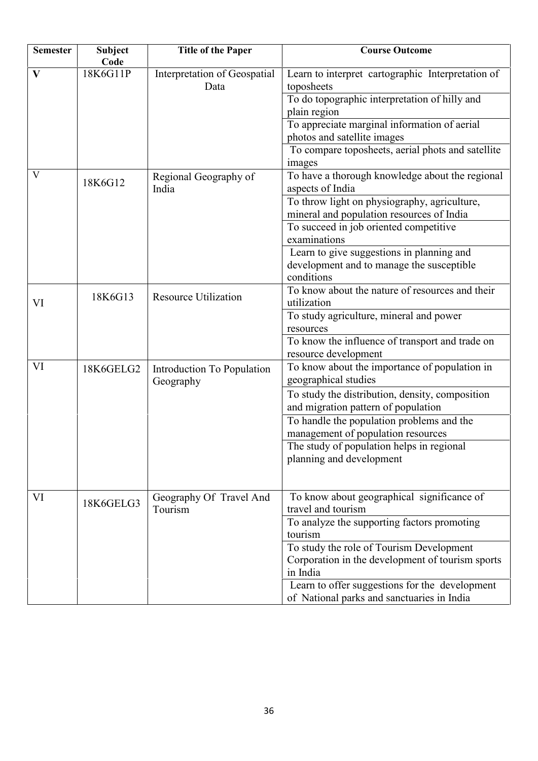| <b>Semester</b> | Subject<br>Code | <b>Title of the Paper</b>                      | <b>Course Outcome</b>                                                                                    |
|-----------------|-----------------|------------------------------------------------|----------------------------------------------------------------------------------------------------------|
| $\mathbf{V}$    | 18K6G11P        | Interpretation of Geospatial<br>Data           | Learn to interpret cartographic Interpretation of<br>toposheets                                          |
|                 |                 |                                                | To do topographic interpretation of hilly and<br>plain region                                            |
|                 |                 |                                                | To appreciate marginal information of aerial<br>photos and satellite images                              |
|                 |                 |                                                | To compare toposheets, aerial phots and satellite<br>images                                              |
| V               | 18K6G12         | Regional Geography of<br>India                 | To have a thorough knowledge about the regional<br>aspects of India                                      |
|                 |                 |                                                | To throw light on physiography, agriculture,<br>mineral and population resources of India                |
|                 |                 |                                                | To succeed in job oriented competitive<br>examinations                                                   |
|                 |                 |                                                | Learn to give suggestions in planning and<br>development and to manage the susceptible<br>conditions     |
| VI              | 18K6G13         | <b>Resource Utilization</b>                    | To know about the nature of resources and their<br>utilization                                           |
|                 |                 |                                                | To study agriculture, mineral and power<br>resources                                                     |
|                 |                 |                                                | To know the influence of transport and trade on<br>resource development                                  |
| VI              | 18K6GELG2       | <b>Introduction To Population</b><br>Geography | To know about the importance of population in<br>geographical studies                                    |
|                 |                 |                                                | To study the distribution, density, composition<br>and migration pattern of population                   |
|                 |                 |                                                | To handle the population problems and the<br>management of population resources                          |
|                 |                 |                                                | The study of population helps in regional<br>planning and development                                    |
| VI              | 18K6GELG3       | Geography Of Travel And<br>Tourism             | To know about geographical significance of<br>travel and tourism                                         |
|                 |                 |                                                | To analyze the supporting factors promoting<br>tourism                                                   |
|                 |                 |                                                | To study the role of Tourism Development<br>Corporation in the development of tourism sports<br>in India |
|                 |                 |                                                | Learn to offer suggestions for the development<br>of National parks and sanctuaries in India             |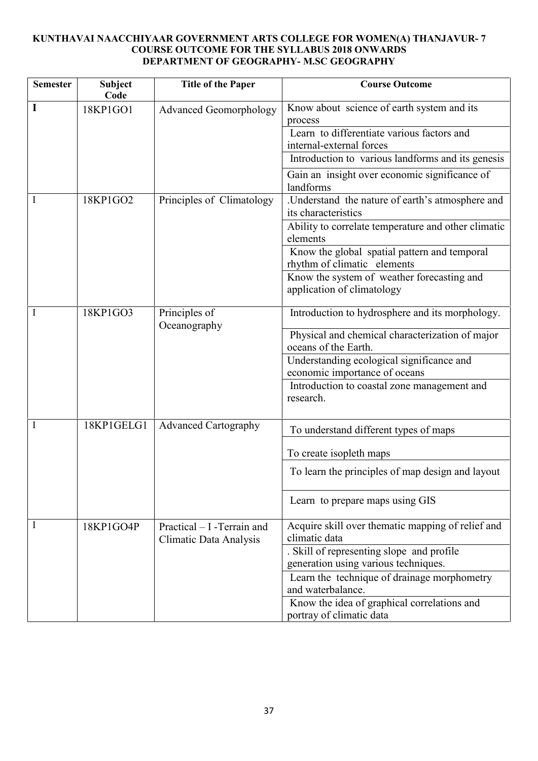# **KUNTHAVAI NAACCHIYAAR GOVERNMENT ARTS COLLEGE FOR WOMEN(A) THANJAVUR- 7 COURSE OUTCOME FOR THE SYLLABUS 2018 ONWARDS DEPARTMENT OF GEOGRAPHY- M.SC GEOGRAPHY**

| <b>Semester</b> | <b>Subject</b><br>Code | <b>Title of the Paper</b>                              | <b>Course Outcome</b>                                                       |
|-----------------|------------------------|--------------------------------------------------------|-----------------------------------------------------------------------------|
|                 | 18KP1GO1               | <b>Advanced Geomorphology</b>                          | Know about science of earth system and its<br>process                       |
|                 |                        |                                                        | Learn to differentiate various factors and<br>internal-external forces      |
|                 |                        |                                                        | Introduction to various landforms and its genesis                           |
|                 |                        |                                                        | Gain an insight over economic significance of<br>landforms                  |
|                 | 18KP1GO2               | Principles of Climatology                              | .Understand the nature of earth's atmosphere and<br>its characteristics     |
|                 |                        |                                                        | Ability to correlate temperature and other climatic<br>elements             |
|                 |                        |                                                        | Know the global spatial pattern and temporal<br>rhythm of climatic elements |
|                 |                        |                                                        | Know the system of weather forecasting and<br>application of climatology    |
|                 | 18KP1GO3               | Principles of<br>Oceanography                          | Introduction to hydrosphere and its morphology.                             |
|                 |                        |                                                        | Physical and chemical characterization of major<br>oceans of the Earth.     |
|                 |                        |                                                        | Understanding ecological significance and<br>economic importance of oceans  |
|                 |                        |                                                        | Introduction to coastal zone management and<br>research.                    |
|                 | 18KP1GELG1             | <b>Advanced Cartography</b>                            | To understand different types of maps                                       |
|                 |                        |                                                        | To create isopleth maps                                                     |
|                 |                        |                                                        | To learn the principles of map design and layout                            |
|                 |                        |                                                        | Learn to prepare maps using GIS                                             |
|                 | 18KP1GO4P              | Practical $-$ I -Terrain and<br>Climatic Data Analysis | Acquire skill over thematic mapping of relief and<br>climatic data          |
|                 |                        |                                                        | . Skill of representing slope and profile                                   |
|                 |                        |                                                        | generation using various techniques.                                        |
|                 |                        |                                                        | Learn the technique of drainage morphometry<br>and waterbalance.            |
|                 |                        |                                                        | Know the idea of graphical correlations and<br>portray of climatic data     |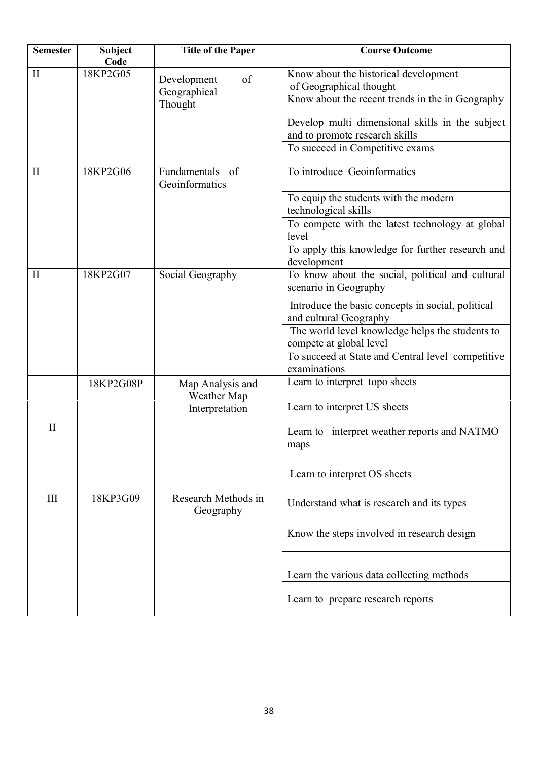| <b>Semester</b> | <b>Subject</b><br>Code | <b>Title of the Paper</b>         | <b>Course Outcome</b>                                                             |
|-----------------|------------------------|-----------------------------------|-----------------------------------------------------------------------------------|
| $\mathbf{I}$    | 18KP2G05               | of<br>Development<br>Geographical | Know about the historical development<br>of Geographical thought                  |
|                 |                        | Thought                           | Know about the recent trends in the in Geography                                  |
|                 |                        |                                   | Develop multi dimensional skills in the subject<br>and to promote research skills |
|                 |                        |                                   | To succeed in Competitive exams                                                   |
| $\mathbf{I}$    | 18KP2G06               | Fundamentals of<br>Geoinformatics | To introduce Geoinformatics                                                       |
|                 |                        |                                   | To equip the students with the modern<br>technological skills                     |
|                 |                        |                                   | To compete with the latest technology at global<br>level                          |
|                 |                        |                                   | To apply this knowledge for further research and<br>development                   |
| $\mathbf{I}$    | 18KP2G07               | Social Geography                  | To know about the social, political and cultural<br>scenario in Geography         |
|                 |                        |                                   | Introduce the basic concepts in social, political<br>and cultural Geography       |
|                 |                        |                                   | The world level knowledge helps the students to<br>compete at global level        |
|                 |                        |                                   | To succeed at State and Central level competitive<br>examinations                 |
|                 | 18KP2G08P              | Map Analysis and<br>Weather Map   | Learn to interpret topo sheets                                                    |
|                 |                        | Interpretation                    | Learn to interpret US sheets                                                      |
| $\mathbf{I}$    |                        |                                   | Learn to interpret weather reports and NATMO<br>maps                              |
|                 |                        |                                   | Learn to interpret OS sheets                                                      |
| $\rm III$       | 18KP3G09               | Research Methods in<br>Geography  | Understand what is research and its types                                         |
|                 |                        |                                   | Know the steps involved in research design                                        |
|                 |                        |                                   | Learn the various data collecting methods                                         |
|                 |                        |                                   | Learn to prepare research reports                                                 |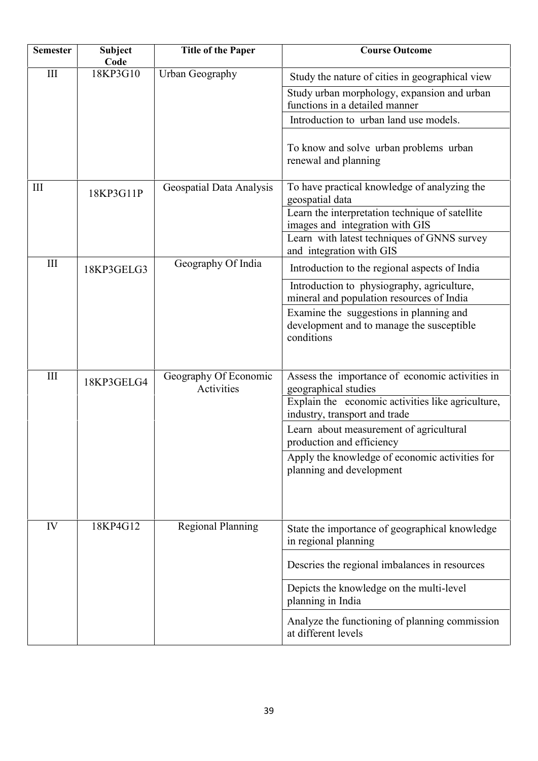| <b>Semester</b> | <b>Subject</b><br>Code | <b>Title of the Paper</b>           | <b>Course Outcome</b>                                                                              |
|-----------------|------------------------|-------------------------------------|----------------------------------------------------------------------------------------------------|
| $\rm III$       | 18KP3G10               | Urban Geography                     | Study the nature of cities in geographical view                                                    |
|                 |                        |                                     | Study urban morphology, expansion and urban<br>functions in a detailed manner                      |
|                 |                        |                                     | Introduction to urban land use models.                                                             |
|                 |                        |                                     | To know and solve urban problems urban<br>renewal and planning                                     |
| III             | 18KP3G11P              | Geospatial Data Analysis            | To have practical knowledge of analyzing the<br>geospatial data                                    |
|                 |                        |                                     | Learn the interpretation technique of satellite                                                    |
|                 |                        |                                     | images and integration with GIS<br>Learn with latest techniques of GNNS survey                     |
|                 |                        |                                     | and integration with GIS                                                                           |
| III             | 18KP3GELG3             | Geography Of India                  | Introduction to the regional aspects of India                                                      |
|                 |                        |                                     | Introduction to physiography, agriculture,<br>mineral and population resources of India            |
|                 |                        |                                     | Examine the suggestions in planning and<br>development and to manage the susceptible<br>conditions |
| III             | 18KP3GELG4             | Geography Of Economic<br>Activities | Assess the importance of economic activities in<br>geographical studies                            |
|                 |                        |                                     | Explain the economic activities like agriculture,<br>industry, transport and trade                 |
|                 |                        |                                     | Learn about measurement of agricultural<br>production and efficiency                               |
|                 |                        |                                     | Apply the knowledge of economic activities for<br>planning and development                         |
| IV              | 18KP4G12               | <b>Regional Planning</b>            | State the importance of geographical knowledge<br>in regional planning                             |
|                 |                        |                                     | Descries the regional imbalances in resources                                                      |
|                 |                        |                                     | Depicts the knowledge on the multi-level<br>planning in India                                      |
|                 |                        |                                     | Analyze the functioning of planning commission<br>at different levels                              |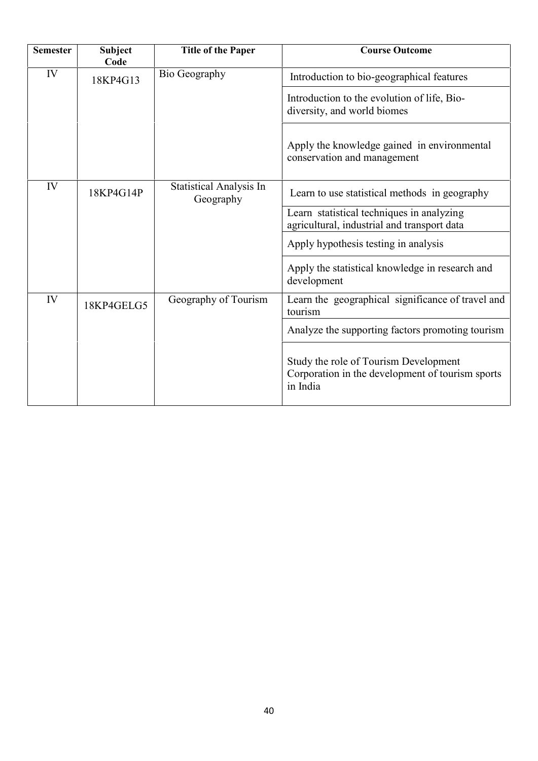| <b>Semester</b> | <b>Subject</b><br>Code | <b>Title of the Paper</b>                   | <b>Course Outcome</b>                                                                                 |
|-----------------|------------------------|---------------------------------------------|-------------------------------------------------------------------------------------------------------|
| IV              | 18KP4G13               | Bio Geography                               | Introduction to bio-geographical features                                                             |
|                 |                        |                                             | Introduction to the evolution of life, Bio-<br>diversity, and world biomes                            |
|                 |                        |                                             | Apply the knowledge gained in environmental<br>conservation and management                            |
| IV              | 18KP4G14P              | <b>Statistical Analysis In</b><br>Geography | Learn to use statistical methods in geography                                                         |
|                 |                        |                                             | Learn statistical techniques in analyzing<br>agricultural, industrial and transport data              |
|                 |                        |                                             | Apply hypothesis testing in analysis                                                                  |
|                 |                        |                                             | Apply the statistical knowledge in research and<br>development                                        |
| IV              | 18KP4GELG5             | Geography of Tourism                        | Learn the geographical significance of travel and<br>tourism                                          |
|                 |                        |                                             | Analyze the supporting factors promoting tourism                                                      |
|                 |                        |                                             | Study the role of Tourism Development<br>Corporation in the development of tourism sports<br>in India |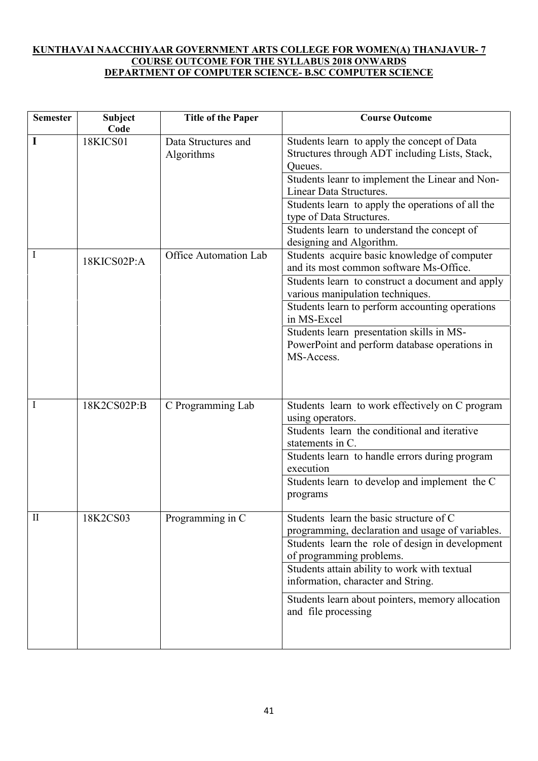# **KUNTHAVAI NAACCHIYAAR GOVERNMENT ARTS COLLEGE FOR WOMEN(A) THANJAVUR- 7 COURSE OUTCOME FOR THE SYLLABUS 2018 ONWARDS DEPARTMENT OF COMPUTER SCIENCE- B.SC COMPUTER SCIENCE**

| <b>Semester</b> | <b>Subject</b><br>Code | <b>Title of the Paper</b>         | <b>Course Outcome</b>                                                                                                                                                                                                                                                                                                 |
|-----------------|------------------------|-----------------------------------|-----------------------------------------------------------------------------------------------------------------------------------------------------------------------------------------------------------------------------------------------------------------------------------------------------------------------|
| I               | <b>18KICS01</b>        | Data Structures and<br>Algorithms | Students learn to apply the concept of Data<br>Structures through ADT including Lists, Stack,<br>Queues.                                                                                                                                                                                                              |
|                 |                        |                                   | Students leanr to implement the Linear and Non-<br>Linear Data Structures.                                                                                                                                                                                                                                            |
|                 |                        |                                   | Students learn to apply the operations of all the<br>type of Data Structures.                                                                                                                                                                                                                                         |
|                 |                        |                                   | Students learn to understand the concept of<br>designing and Algorithm.                                                                                                                                                                                                                                               |
| I               | 18KICS02P:A            | Office Automation Lab             | Students acquire basic knowledge of computer<br>and its most common software Ms-Office.<br>Students learn to construct a document and apply<br>various manipulation techniques.<br>Students learn to perform accounting operations<br>in MS-Excel                                                                     |
|                 |                        |                                   | Students learn presentation skills in MS-<br>PowerPoint and perform database operations in<br>MS-Access.                                                                                                                                                                                                              |
| I               | 18K2CS02P:B            | C Programming Lab                 | Students learn to work effectively on C program<br>using operators.<br>Students learn the conditional and iterative<br>statements in C.                                                                                                                                                                               |
|                 |                        |                                   | Students learn to handle errors during program<br>execution                                                                                                                                                                                                                                                           |
|                 |                        |                                   | Students learn to develop and implement the C<br>programs                                                                                                                                                                                                                                                             |
| $\rm II$        | 18K2CS03               | Programming in C                  | Students learn the basic structure of C<br>programming, declaration and usage of variables.<br>Students learn the role of design in development<br>of programming problems.<br>Students attain ability to work with textual<br>information, character and String.<br>Students learn about pointers, memory allocation |
|                 |                        |                                   | and file processing                                                                                                                                                                                                                                                                                                   |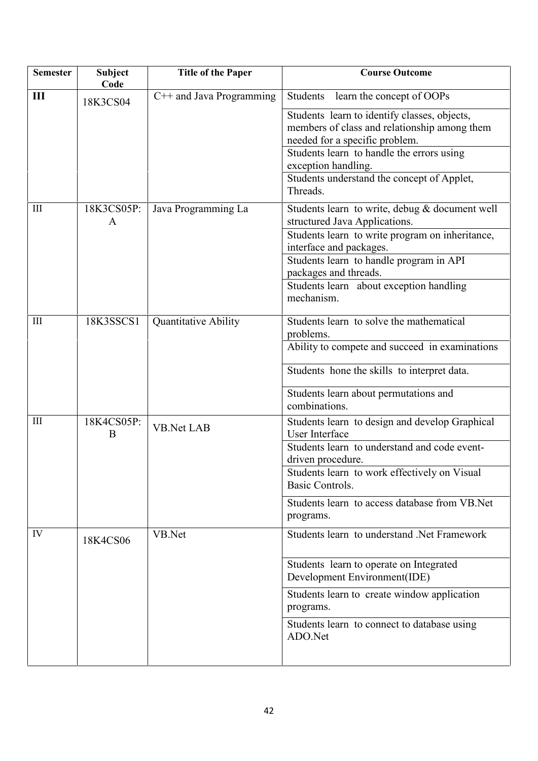| <b>Semester</b>    | <b>Subject</b><br>Code | <b>Title of the Paper</b> | <b>Course Outcome</b>                                                                                                                                                                                                                                                                      |
|--------------------|------------------------|---------------------------|--------------------------------------------------------------------------------------------------------------------------------------------------------------------------------------------------------------------------------------------------------------------------------------------|
| Ш                  | 18K3CS04               | C++ and Java Programming  | Students<br>learn the concept of OOPs                                                                                                                                                                                                                                                      |
|                    |                        |                           | Students learn to identify classes, objects,<br>members of class and relationship among them<br>needed for a specific problem.<br>Students learn to handle the errors using<br>exception handling.<br>Students understand the concept of Applet,<br>Threads.                               |
| III                | 18K3CS05P:<br>A        | Java Programming La       | Students learn to write, debug & document well<br>structured Java Applications.<br>Students learn to write program on inheritance,<br>interface and packages.<br>Students learn to handle program in API<br>packages and threads.<br>Students learn about exception handling<br>mechanism. |
| $\mathop{\rm III}$ | 18K3SSCS1              | Quantitative Ability      | Students learn to solve the mathematical<br>problems.<br>Ability to compete and succeed in examinations<br>Students hone the skills to interpret data.<br>Students learn about permutations and<br>combinations.                                                                           |
| $\mathop{\rm III}$ | 18K4CS05P:<br>B        | <b>VB.Net LAB</b>         | Students learn to design and develop Graphical<br>User Interface<br>Students learn to understand and code event-<br>driven procedure.<br>Students learn to work effectively on Visual<br>Basic Controls.<br>Students learn to access database from VB. Net<br>programs.                    |
| IV                 | 18K4CS06               | VB.Net                    | Students learn to understand .Net Framework<br>Students learn to operate on Integrated<br>Development Environment(IDE)<br>Students learn to create window application<br>programs.<br>Students learn to connect to database using<br>ADO.Net                                               |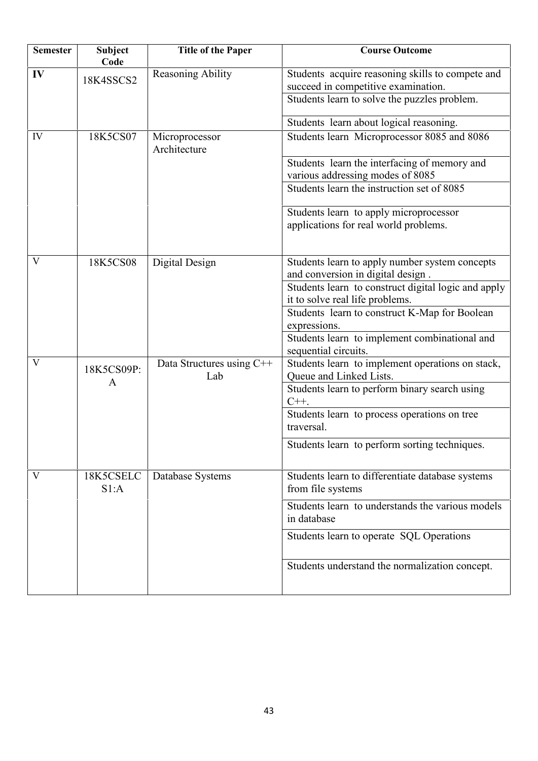| <b>Semester</b> | Subject<br>Code   | <b>Title of the Paper</b>        | <b>Course Outcome</b>                                                                                                                   |
|-----------------|-------------------|----------------------------------|-----------------------------------------------------------------------------------------------------------------------------------------|
| IV              | 18K4SSCS2         | Reasoning Ability                | Students acquire reasoning skills to compete and<br>succeed in competitive examination.<br>Students learn to solve the puzzles problem. |
|                 |                   |                                  | Students learn about logical reasoning.                                                                                                 |
| IV              | 18K5CS07          | Microprocessor<br>Architecture   | Students learn Microprocessor 8085 and 8086                                                                                             |
|                 |                   |                                  | Students learn the interfacing of memory and<br>various addressing modes of 8085                                                        |
|                 |                   |                                  | Students learn the instruction set of 8085                                                                                              |
|                 |                   |                                  | Students learn to apply microprocessor<br>applications for real world problems.                                                         |
| V               | 18K5CS08          | Digital Design                   | Students learn to apply number system concepts<br>and conversion in digital design.                                                     |
|                 |                   |                                  | Students learn to construct digital logic and apply                                                                                     |
|                 |                   |                                  | it to solve real life problems.<br>Students learn to construct K-Map for Boolean                                                        |
|                 |                   |                                  | expressions.<br>Students learn to implement combinational and<br>sequential circuits.                                                   |
| V               | 18K5CS09P:        | Data Structures using C++<br>Lab | Students learn to implement operations on stack,<br>Queue and Linked Lists.                                                             |
|                 | A                 |                                  | Students learn to perform binary search using<br>$C++$ .                                                                                |
|                 |                   |                                  | Students learn to process operations on tree<br>traversal.                                                                              |
|                 |                   |                                  | Students learn to perform sorting techniques.                                                                                           |
| V               | 18K5CSELC<br>S1:A | Database Systems                 | Students learn to differentiate database systems<br>from file systems                                                                   |
|                 |                   |                                  | Students learn to understands the various models<br>in database                                                                         |
|                 |                   |                                  | Students learn to operate SQL Operations                                                                                                |
|                 |                   |                                  | Students understand the normalization concept.                                                                                          |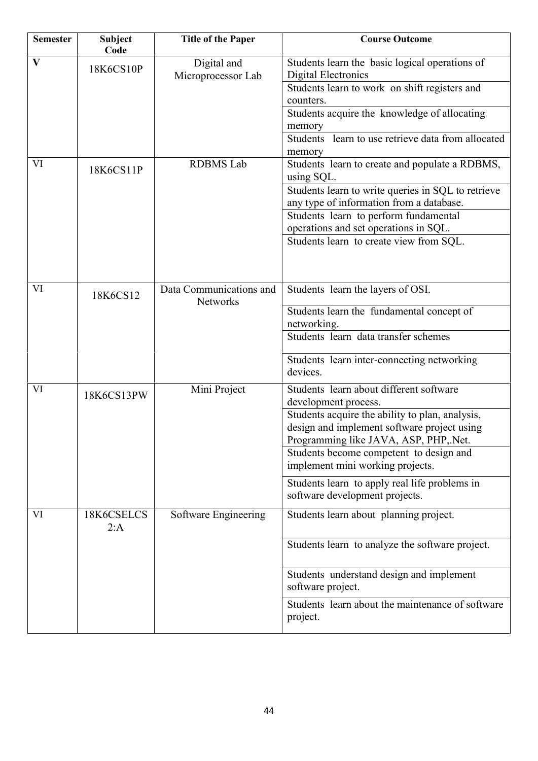| <b>Semester</b> | <b>Subject</b><br>Code | <b>Title of the Paper</b>           | <b>Course Outcome</b>                                                                                                                                                                                                                                                                                                                                                        |
|-----------------|------------------------|-------------------------------------|------------------------------------------------------------------------------------------------------------------------------------------------------------------------------------------------------------------------------------------------------------------------------------------------------------------------------------------------------------------------------|
| $\mathbf{V}$    | 18K6CS10P              | Digital and<br>Microprocessor Lab   | Students learn the basic logical operations of<br><b>Digital Electronics</b><br>Students learn to work on shift registers and<br>counters.<br>Students acquire the knowledge of allocating<br>memory<br>Students learn to use retrieve data from allocated<br>memory                                                                                                         |
| VI              | 18K6CS11P              | <b>RDBMS</b> Lab                    | Students learn to create and populate a RDBMS,<br>using SQL.<br>Students learn to write queries in SQL to retrieve<br>any type of information from a database.<br>Students learn to perform fundamental<br>operations and set operations in SQL.<br>Students learn to create view from SQL.                                                                                  |
| VI              | 18K6CS12               | Data Communications and<br>Networks | Students learn the layers of OSI.<br>Students learn the fundamental concept of<br>networking.<br>Students learn data transfer schemes<br>Students learn inter-connecting networking<br>devices.                                                                                                                                                                              |
| VI              | 18K6CS13PW             | Mini Project                        | Students learn about different software<br>development process.<br>Students acquire the ability to plan, analysis,<br>design and implement software project using<br>Programming like JAVA, ASP, PHP, Net.<br>Students become competent to design and<br>implement mini working projects.<br>Students learn to apply real life problems in<br>software development projects. |
| VI              | 18K6CSELCS<br>2:A      | Software Engineering                | Students learn about planning project.<br>Students learn to analyze the software project.<br>Students understand design and implement<br>software project.<br>Students learn about the maintenance of software<br>project.                                                                                                                                                   |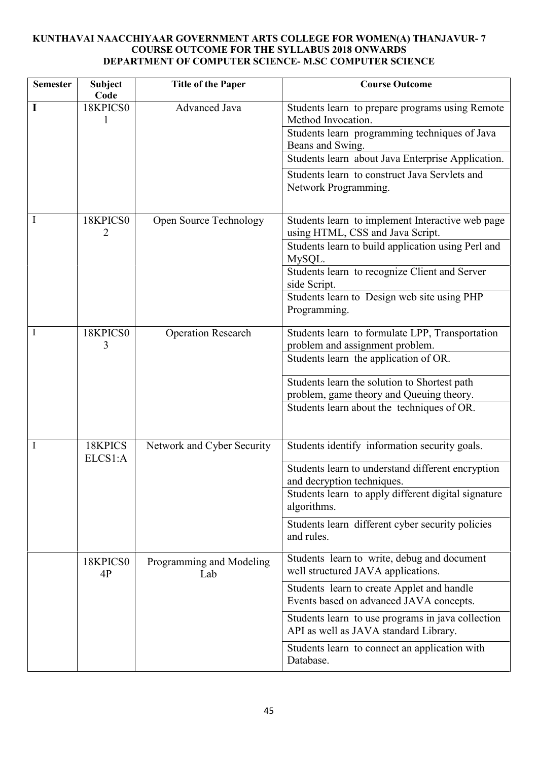# **KUNTHAVAI NAACCHIYAAR GOVERNMENT ARTS COLLEGE FOR WOMEN(A) THANJAVUR- 7 COURSE OUTCOME FOR THE SYLLABUS 2018 ONWARDS DEPARTMENT OF COMPUTER SCIENCE- M.SC COMPUTER SCIENCE**

| <b>Semester</b> | <b>Subject</b><br>Code | <b>Title of the Paper</b>       | <b>Course Outcome</b>                                                                                                                      |
|-----------------|------------------------|---------------------------------|--------------------------------------------------------------------------------------------------------------------------------------------|
|                 | 18KPICS0               | Advanced Java                   | Students learn to prepare programs using Remote<br>Method Invocation.<br>Students learn programming techniques of Java<br>Beans and Swing. |
|                 |                        |                                 | Students learn about Java Enterprise Application.                                                                                          |
|                 |                        |                                 | Students learn to construct Java Servlets and<br>Network Programming.                                                                      |
|                 | 18KPICS0<br>2          | Open Source Technology          | Students learn to implement Interactive web page<br>using HTML, CSS and Java Script.                                                       |
|                 |                        |                                 | Students learn to build application using Perl and<br>MySQL.                                                                               |
|                 |                        |                                 | Students learn to recognize Client and Server<br>side Script.                                                                              |
|                 |                        |                                 | Students learn to Design web site using PHP<br>Programming.                                                                                |
|                 | 18KPICS0<br>3          | <b>Operation Research</b>       | Students learn to formulate LPP, Transportation<br>problem and assignment problem.                                                         |
|                 |                        |                                 | Students learn the application of OR.                                                                                                      |
|                 |                        |                                 | Students learn the solution to Shortest path<br>problem, game theory and Queuing theory.                                                   |
|                 |                        |                                 | Students learn about the techniques of OR.                                                                                                 |
|                 | 18KPICS<br>ELCS1:A     | Network and Cyber Security      | Students identify information security goals.                                                                                              |
|                 |                        |                                 | Students learn to understand different encryption<br>and decryption techniques.                                                            |
|                 |                        |                                 | Students learn to apply different digital signature<br>algorithms.                                                                         |
|                 |                        |                                 | Students learn different cyber security policies<br>and rules.                                                                             |
|                 | 18KPICS0<br>4P         | Programming and Modeling<br>Lab | Students learn to write, debug and document<br>well structured JAVA applications.                                                          |
|                 |                        |                                 | Students learn to create Applet and handle<br>Events based on advanced JAVA concepts.                                                      |
|                 |                        |                                 | Students learn to use programs in java collection<br>API as well as JAVA standard Library.                                                 |
|                 |                        |                                 | Students learn to connect an application with<br>Database.                                                                                 |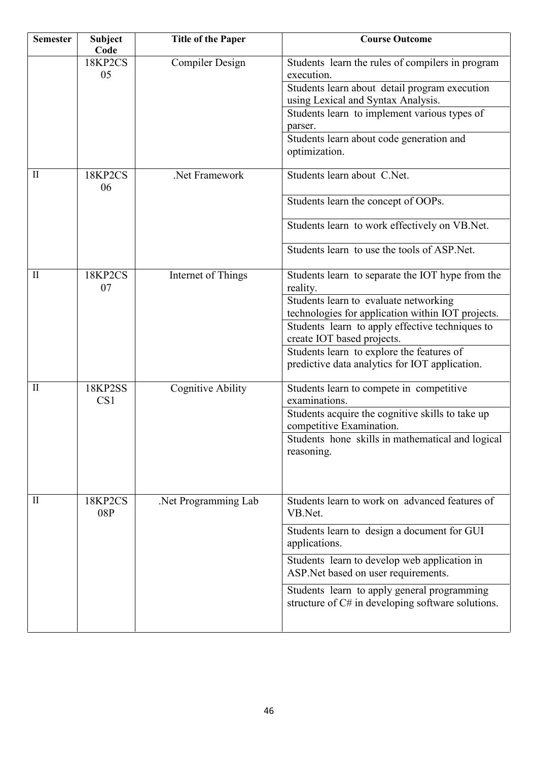| <b>Semester</b> | <b>Subject</b><br>Code            | <b>Title of the Paper</b> | <b>Course Outcome</b>                                                                |
|-----------------|-----------------------------------|---------------------------|--------------------------------------------------------------------------------------|
|                 | 18KP2CS                           | <b>Compiler Design</b>    | Students learn the rules of compilers in program                                     |
|                 | 05                                |                           | execution.                                                                           |
|                 |                                   |                           | Students learn about detail program execution<br>using Lexical and Syntax Analysis.  |
|                 |                                   |                           | Students learn to implement various types of                                         |
|                 |                                   |                           | parser.                                                                              |
|                 |                                   |                           | Students learn about code generation and                                             |
|                 |                                   |                           | optimization.                                                                        |
| $\mathbf{I}$    | 18KP2CS                           | Net Framework             | Students learn about C.Net.                                                          |
|                 | 06                                |                           |                                                                                      |
|                 |                                   |                           | Students learn the concept of OOPs.                                                  |
|                 |                                   |                           | Students learn to work effectively on VB.Net.                                        |
|                 |                                   |                           | Students learn to use the tools of ASP. Net.                                         |
| $\mathbf{I}$    | 18KP2CS                           | Internet of Things        | Students learn to separate the IOT hype from the                                     |
|                 | 07                                |                           | reality.                                                                             |
|                 |                                   |                           | Students learn to evaluate networking                                                |
|                 |                                   |                           | technologies for application within IOT projects.                                    |
|                 |                                   |                           | Students learn to apply effective techniques to                                      |
|                 |                                   |                           | create IOT based projects.                                                           |
|                 |                                   |                           | Students learn to explore the features of                                            |
|                 |                                   |                           | predictive data analytics for IOT application.                                       |
| $\mathbf{I}$    | <b>18KP2SS</b><br>CS <sub>1</sub> | <b>Cognitive Ability</b>  | Students learn to compete in competitive<br>examinations.                            |
|                 |                                   |                           | Students acquire the cognitive skills to take up                                     |
|                 |                                   |                           | competitive Examination.                                                             |
|                 |                                   |                           | Students hone skills in mathematical and logical                                     |
|                 |                                   |                           | reasoning.                                                                           |
|                 |                                   |                           |                                                                                      |
|                 |                                   |                           |                                                                                      |
| $\mathbf{I}$    | 18KP2CS                           | Net Programming Lab       | Students learn to work on advanced features of                                       |
|                 | 08P                               |                           | VB.Net.                                                                              |
|                 |                                   |                           | Students learn to design a document for GUI<br>applications.                         |
|                 |                                   |                           | Students learn to develop web application in<br>ASP. Net based on user requirements. |
|                 |                                   |                           | Students learn to apply general programming                                          |
|                 |                                   |                           | structure of C# in developing software solutions.                                    |
|                 |                                   |                           |                                                                                      |
|                 |                                   |                           |                                                                                      |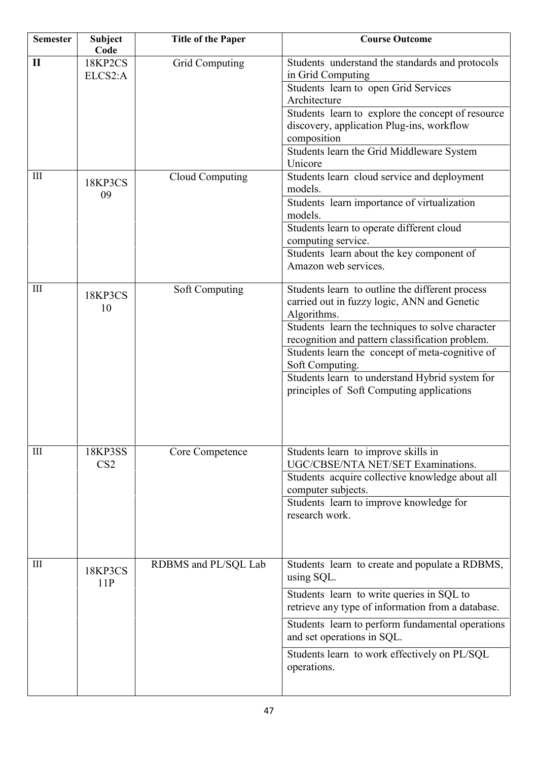| <b>Semester</b>    | <b>Subject</b><br>Code            | <b>Title of the Paper</b> | <b>Course Outcome</b>                                                                                                                                                                                                                                                                                                                                                                     |
|--------------------|-----------------------------------|---------------------------|-------------------------------------------------------------------------------------------------------------------------------------------------------------------------------------------------------------------------------------------------------------------------------------------------------------------------------------------------------------------------------------------|
| $\mathbf{I}$       | 18KP2CS<br>ELCS2:A                | <b>Grid Computing</b>     | Students understand the standards and protocols<br>in Grid Computing<br>Students learn to open Grid Services<br>Architecture<br>Students learn to explore the concept of resource<br>discovery, application Plug-ins, workflow<br>composition<br>Students learn the Grid Middleware System<br>Unicore                                                                                     |
| $\mathop{\rm III}$ | 18KP3CS<br>09                     | Cloud Computing           | Students learn cloud service and deployment<br>models.<br>Students learn importance of virtualization<br>models.<br>Students learn to operate different cloud<br>computing service.<br>Students learn about the key component of<br>Amazon web services.                                                                                                                                  |
| Ш                  | 18KP3CS<br>10                     | Soft Computing            | Students learn to outline the different process<br>carried out in fuzzy logic, ANN and Genetic<br>Algorithms.<br>Students learn the techniques to solve character<br>recognition and pattern classification problem.<br>Students learn the concept of meta-cognitive of<br>Soft Computing.<br>Students learn to understand Hybrid system for<br>principles of Soft Computing applications |
| $\mathop{\rm III}$ | <b>18KP3SS</b><br>CS <sub>2</sub> | Core Competence           | Students learn to improve skills in<br>UGC/CBSE/NTA NET/SET Examinations.<br>Students acquire collective knowledge about all<br>computer subjects.<br>Students learn to improve knowledge for<br>research work.                                                                                                                                                                           |
| $\mathop{\rm III}$ | 18KP3CS<br>11P                    | RDBMS and PL/SQL Lab      | Students learn to create and populate a RDBMS,<br>using SQL.<br>Students learn to write queries in SQL to<br>retrieve any type of information from a database.<br>Students learn to perform fundamental operations<br>and set operations in SQL.<br>Students learn to work effectively on PL/SQL<br>operations.                                                                           |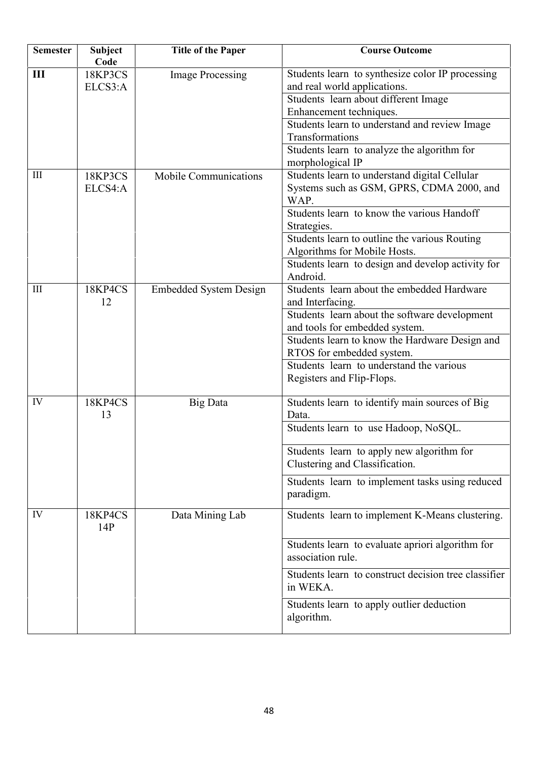| <b>Semester</b>    | <b>Subject</b><br>Code | <b>Title of the Paper</b>     | <b>Course Outcome</b>                                                                                                                                                                               |
|--------------------|------------------------|-------------------------------|-----------------------------------------------------------------------------------------------------------------------------------------------------------------------------------------------------|
| $\mathbf{III}$     | 18KP3CS<br>ELCS3:A     | <b>Image Processing</b>       | Students learn to synthesize color IP processing<br>and real world applications.<br>Students learn about different Image<br>Enhancement techniques.                                                 |
|                    |                        |                               | Students learn to understand and review Image<br>Transformations<br>Students learn to analyze the algorithm for<br>morphological IP                                                                 |
| $\mathop{\rm III}$ | 18KP3CS<br>ELCS4:A     | <b>Mobile Communications</b>  | Students learn to understand digital Cellular<br>Systems such as GSM, GPRS, CDMA 2000, and<br>WAP.<br>Students learn to know the various Handoff                                                    |
|                    |                        |                               | Strategies.<br>Students learn to outline the various Routing<br>Algorithms for Mobile Hosts.<br>Students learn to design and develop activity for                                                   |
|                    |                        |                               | Android.                                                                                                                                                                                            |
| III                | 18KP4CS<br>12          | <b>Embedded System Design</b> | Students learn about the embedded Hardware<br>and Interfacing.<br>Students learn about the software development<br>and tools for embedded system.<br>Students learn to know the Hardware Design and |
|                    |                        |                               | RTOS for embedded system.<br>Students learn to understand the various<br>Registers and Flip-Flops.                                                                                                  |
| IV                 | 18KP4CS<br>13          | <b>Big Data</b>               | Students learn to identify main sources of Big<br>Data.                                                                                                                                             |
|                    |                        |                               | Students learn to use Hadoop, NoSQL.                                                                                                                                                                |
|                    |                        |                               | Students learn to apply new algorithm for<br>Clustering and Classification.                                                                                                                         |
|                    |                        |                               | Students learn to implement tasks using reduced<br>paradigm.                                                                                                                                        |
| IV                 | 18KP4CS<br>14P         | Data Mining Lab               | Students learn to implement K-Means clustering.                                                                                                                                                     |
|                    |                        |                               | Students learn to evaluate apriori algorithm for<br>association rule.                                                                                                                               |
|                    |                        |                               | Students learn to construct decision tree classifier<br>in WEKA.                                                                                                                                    |
|                    |                        |                               | Students learn to apply outlier deduction<br>algorithm.                                                                                                                                             |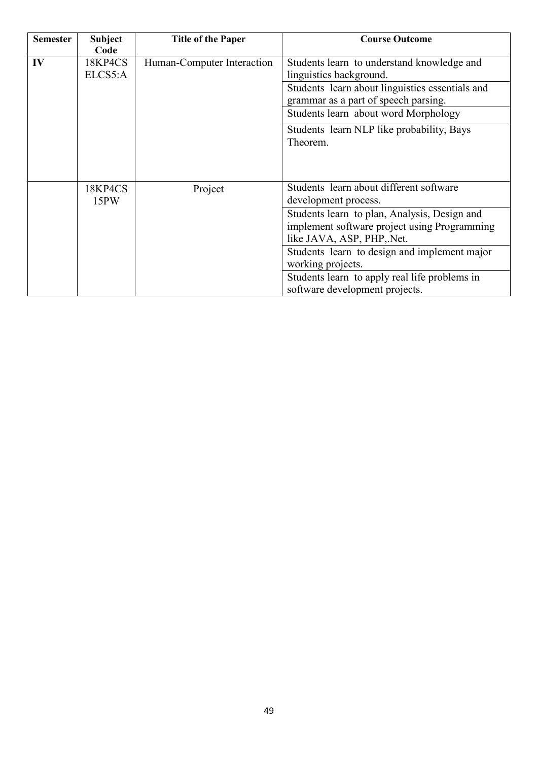| <b>Semester</b> | <b>Subject</b><br>Code | <b>Title of the Paper</b>  | <b>Course Outcome</b>                                                                                                                                                                                                                                                             |
|-----------------|------------------------|----------------------------|-----------------------------------------------------------------------------------------------------------------------------------------------------------------------------------------------------------------------------------------------------------------------------------|
| IV              | 18KP4CS<br>ELCS5:A     | Human-Computer Interaction | Students learn to understand knowledge and<br>linguistics background.<br>Students learn about linguistics essentials and<br>grammar as a part of speech parsing.<br>Students learn about word Morphology<br>Students learn NLP like probability, Bays<br>Theorem.                 |
|                 | 18KP4CS<br>15PW        | Project                    | Students learn about different software<br>development process.                                                                                                                                                                                                                   |
|                 |                        |                            | Students learn to plan, Analysis, Design and<br>implement software project using Programming<br>like JAVA, ASP, PHP, Net.<br>Students learn to design and implement major<br>working projects.<br>Students learn to apply real life problems in<br>software development projects. |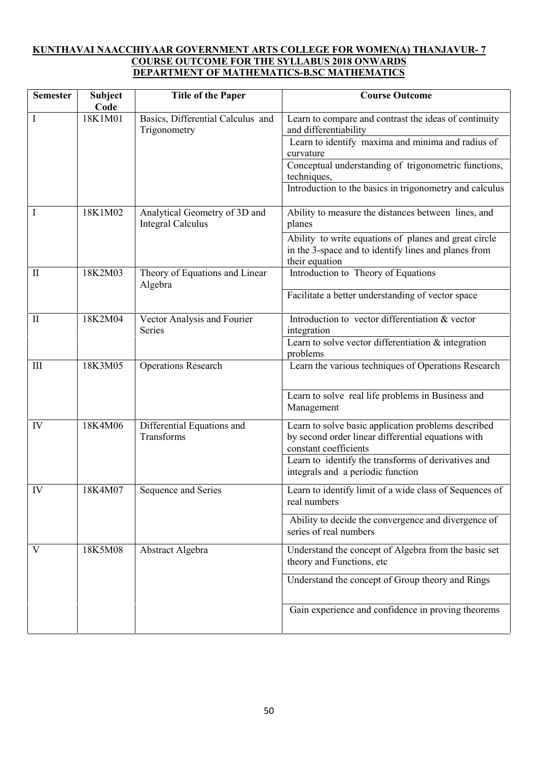### **KUNTHAVAI NAACCHIYAAR GOVERNMENT ARTS COLLEGE FOR WOMEN(A) THANJAVUR- 7 COURSE OUTCOME FOR THE SYLLABUS 2018 ONWARDS DEPARTMENT OF MATHEMATICS-B.SC MATHEMATICS**

| <b>Semester</b>    | <b>Subject</b><br>Code | <b>Title of the Paper</b>                                 | <b>Course Outcome</b>                                                                                                              |
|--------------------|------------------------|-----------------------------------------------------------|------------------------------------------------------------------------------------------------------------------------------------|
| I                  | 18K1M01                | Basics, Differential Calculus and<br>Trigonometry         | Learn to compare and contrast the ideas of continuity<br>and differentiability                                                     |
|                    |                        |                                                           | Learn to identify maxima and minima and radius of<br>curvature                                                                     |
|                    |                        |                                                           | Conceptual understanding of trigonometric functions,<br>techniques,                                                                |
|                    |                        |                                                           | Introduction to the basics in trigonometry and calculus                                                                            |
| I                  | 18K1M02                | Analytical Geometry of 3D and<br><b>Integral Calculus</b> | Ability to measure the distances between lines, and<br>planes                                                                      |
|                    |                        |                                                           | Ability to write equations of planes and great circle<br>in the 3-space and to identify lines and planes from<br>their equation    |
| $\mathbf{I}$       | 18K2M03                | Theory of Equations and Linear<br>Algebra                 | Introduction to Theory of Equations                                                                                                |
|                    |                        |                                                           | Facilitate a better understanding of vector space                                                                                  |
| $\mathbf{I}$       | 18K2M04                | Vector Analysis and Fourier<br>Series                     | Introduction to vector differentiation & vector<br>integration                                                                     |
|                    |                        |                                                           | Learn to solve vector differentiation & integration<br>problems                                                                    |
| $\mathop{\rm III}$ | 18K3M05                | <b>Operations Research</b>                                | Learn the various techniques of Operations Research                                                                                |
|                    |                        |                                                           | Learn to solve real life problems in Business and<br>Management                                                                    |
| IV                 | 18K4M06                | Differential Equations and<br>Transforms                  | Learn to solve basic application problems described<br>by second order linear differential equations with<br>constant coefficients |
|                    |                        |                                                           | Learn to identify the transforms of derivatives and<br>integrals and a periodic function                                           |
| IV                 | 18K4M07                | Sequence and Series                                       | Learn to identify limit of a wide class of Sequences of<br>real numbers                                                            |
|                    |                        |                                                           | Ability to decide the convergence and divergence of<br>series of real numbers                                                      |
| V                  | 18K5M08                | Abstract Algebra                                          | Understand the concept of Algebra from the basic set<br>theory and Functions, etc                                                  |
|                    |                        |                                                           | Understand the concept of Group theory and Rings                                                                                   |
|                    |                        |                                                           | Gain experience and confidence in proving theorems                                                                                 |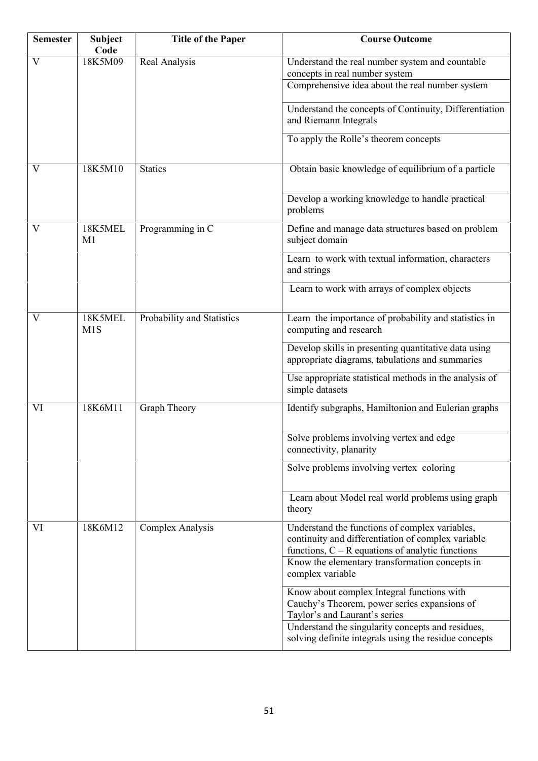| <b>Semester</b> | <b>Subject</b><br>Code | <b>Title of the Paper</b>  | <b>Course Outcome</b>                                                                                                                |
|-----------------|------------------------|----------------------------|--------------------------------------------------------------------------------------------------------------------------------------|
| V               | 18K5M09                | Real Analysis              | Understand the real number system and countable<br>concepts in real number system<br>Comprehensive idea about the real number system |
|                 |                        |                            | Understand the concepts of Continuity, Differentiation<br>and Riemann Integrals                                                      |
|                 |                        |                            | To apply the Rolle's theorem concepts                                                                                                |
| V               | 18K5M10                | <b>Statics</b>             | Obtain basic knowledge of equilibrium of a particle                                                                                  |
|                 |                        |                            | Develop a working knowledge to handle practical<br>problems                                                                          |
| V               | 18K5MEL<br>M1          | Programming in C           | Define and manage data structures based on problem<br>subject domain                                                                 |
|                 |                        |                            | Learn to work with textual information, characters<br>and strings                                                                    |
|                 |                        |                            | Learn to work with arrays of complex objects                                                                                         |
| V               | 18K5MEL<br>M1S         | Probability and Statistics | Learn the importance of probability and statistics in<br>computing and research                                                      |
|                 |                        |                            | Develop skills in presenting quantitative data using<br>appropriate diagrams, tabulations and summaries                              |
|                 |                        |                            | Use appropriate statistical methods in the analysis of<br>simple datasets                                                            |
| VI              | 18K6M11                | Graph Theory               | Identify subgraphs, Hamiltonion and Eulerian graphs                                                                                  |
|                 |                        |                            | Solve problems involving vertex and edge<br>connectivity, planarity                                                                  |
|                 |                        |                            | Solve problems involving vertex coloring                                                                                             |
|                 |                        |                            | Learn about Model real world problems using graph<br>theory                                                                          |
| VI              | 18K6M12                | Complex Analysis           | Understand the functions of complex variables,<br>continuity and differentiation of complex variable                                 |
|                 |                        |                            | functions, $C - R$ equations of analytic functions<br>Know the elementary transformation concepts in<br>complex variable             |
|                 |                        |                            | Know about complex Integral functions with<br>Cauchy's Theorem, power series expansions of<br>Taylor's and Laurant's series          |
|                 |                        |                            | Understand the singularity concepts and residues,<br>solving definite integrals using the residue concepts                           |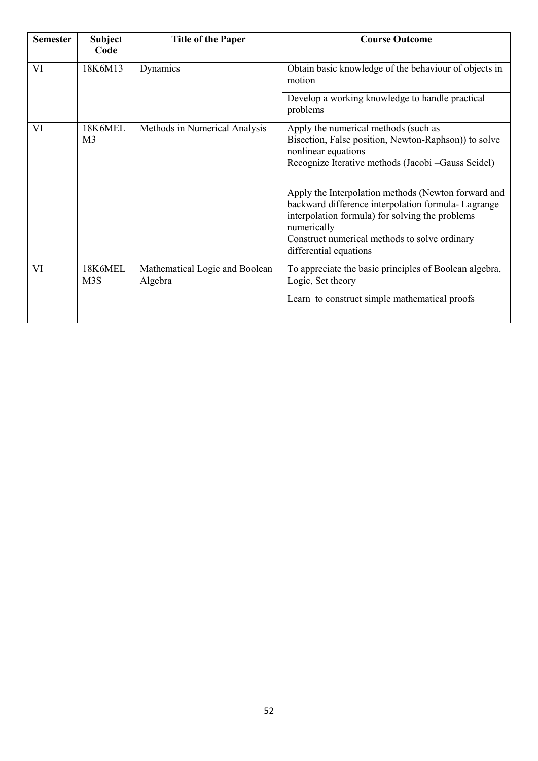| <b>Semester</b> | <b>Subject</b><br>Code      | <b>Title of the Paper</b>                 | <b>Course Outcome</b>                                                                                                                                                        |
|-----------------|-----------------------------|-------------------------------------------|------------------------------------------------------------------------------------------------------------------------------------------------------------------------------|
| VI              | 18K6M13                     | Dynamics                                  | Obtain basic knowledge of the behaviour of objects in<br>motion                                                                                                              |
|                 |                             |                                           | Develop a working knowledge to handle practical<br>problems                                                                                                                  |
| VI              | 18K6MEL<br>M <sub>3</sub>   | Methods in Numerical Analysis             | Apply the numerical methods (such as<br>Bisection, False position, Newton-Raphson)) to solve<br>nonlinear equations<br>Recognize Iterative methods (Jacobi - Gauss Seidel)   |
|                 |                             |                                           | Apply the Interpolation methods (Newton forward and<br>backward difference interpolation formula- Lagrange<br>interpolation formula) for solving the problems<br>numerically |
|                 |                             |                                           | Construct numerical methods to solve ordinary<br>differential equations                                                                                                      |
| VI              | 18K6MEL<br>M <sub>3</sub> S | Mathematical Logic and Boolean<br>Algebra | To appreciate the basic principles of Boolean algebra,<br>Logic, Set theory                                                                                                  |
|                 |                             |                                           | Learn to construct simple mathematical proofs                                                                                                                                |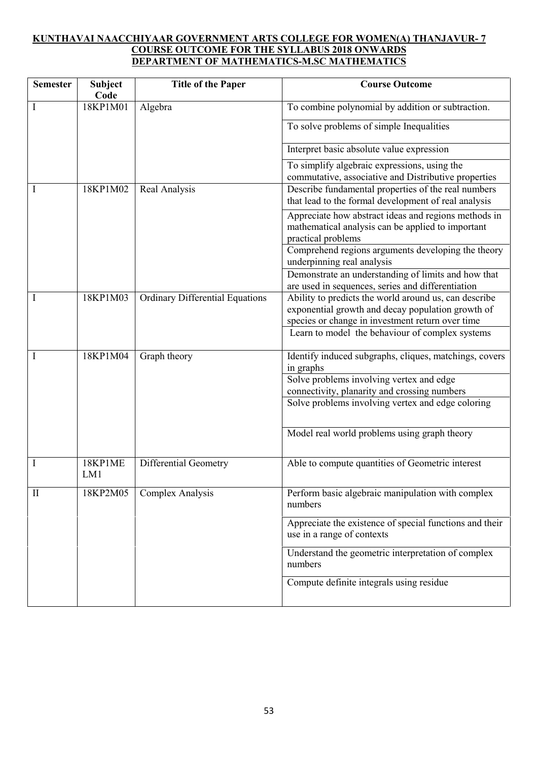### **KUNTHAVAI NAACCHIYAAR GOVERNMENT ARTS COLLEGE FOR WOMEN(A) THANJAVUR- 7 COURSE OUTCOME FOR THE SYLLABUS 2018 ONWARDS DEPARTMENT OF MATHEMATICS-M.SC MATHEMATICS**

| <b>Semester</b> | Subject<br>Code | <b>Title of the Paper</b>              | <b>Course Outcome</b>                                                                                                                                          |
|-----------------|-----------------|----------------------------------------|----------------------------------------------------------------------------------------------------------------------------------------------------------------|
| Ι               | 18KP1M01        | Algebra                                | To combine polynomial by addition or subtraction.                                                                                                              |
|                 |                 |                                        | To solve problems of simple Inequalities                                                                                                                       |
|                 |                 |                                        | Interpret basic absolute value expression                                                                                                                      |
|                 |                 |                                        | To simplify algebraic expressions, using the<br>commutative, associative and Distributive properties                                                           |
|                 | 18KP1M02        | Real Analysis                          | Describe fundamental properties of the real numbers<br>that lead to the formal development of real analysis                                                    |
|                 |                 |                                        | Appreciate how abstract ideas and regions methods in<br>mathematical analysis can be applied to important<br>practical problems                                |
|                 |                 |                                        | Comprehend regions arguments developing the theory<br>underpinning real analysis                                                                               |
|                 |                 |                                        | Demonstrate an understanding of limits and how that<br>are used in sequences, series and differentiation                                                       |
|                 | 18KP1M03        | <b>Ordinary Differential Equations</b> | Ability to predicts the world around us, can describe<br>exponential growth and decay population growth of<br>species or change in investment return over time |
|                 |                 |                                        | Learn to model the behaviour of complex systems                                                                                                                |
| I               | 18KP1M04        | Graph theory                           | Identify induced subgraphs, cliques, matchings, covers<br>in graphs                                                                                            |
|                 |                 |                                        | Solve problems involving vertex and edge                                                                                                                       |
|                 |                 |                                        | connectivity, planarity and crossing numbers<br>Solve problems involving vertex and edge coloring                                                              |
|                 |                 |                                        |                                                                                                                                                                |
|                 |                 |                                        | Model real world problems using graph theory                                                                                                                   |
| Ι               | 18KP1ME<br>LM1  | Differential Geometry                  | Able to compute quantities of Geometric interest                                                                                                               |
| $\mathbf{I}$    | 18KP2M05        | Complex Analysis                       | Perform basic algebraic manipulation with complex<br>numbers                                                                                                   |
|                 |                 |                                        | Appreciate the existence of special functions and their<br>use in a range of contexts                                                                          |
|                 |                 |                                        | Understand the geometric interpretation of complex<br>numbers                                                                                                  |
|                 |                 |                                        | Compute definite integrals using residue                                                                                                                       |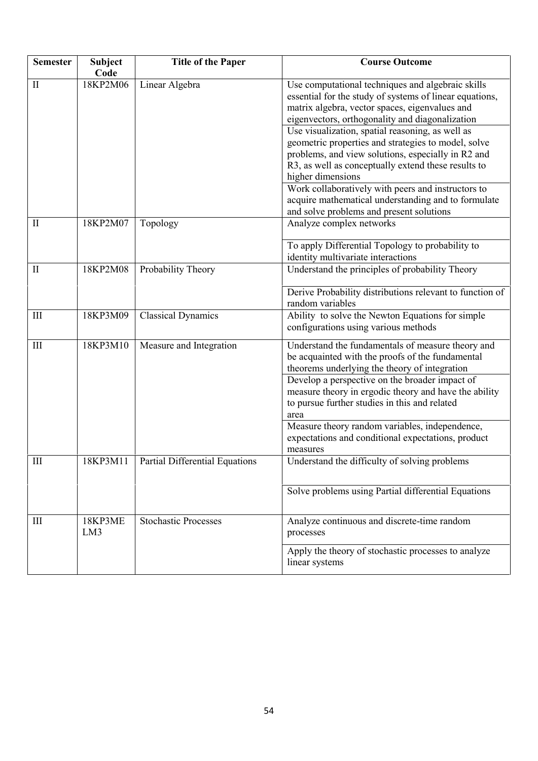| <b>Semester</b>    | <b>Subject</b><br>Code | <b>Title of the Paper</b>      | <b>Course Outcome</b>                                                                                                                                                                                                                                                 |
|--------------------|------------------------|--------------------------------|-----------------------------------------------------------------------------------------------------------------------------------------------------------------------------------------------------------------------------------------------------------------------|
| $\mathbf{I}$       | 18KP2M06               | Linear Algebra                 | Use computational techniques and algebraic skills<br>essential for the study of systems of linear equations,<br>matrix algebra, vector spaces, eigenvalues and<br>eigenvectors, orthogonality and diagonalization<br>Use visualization, spatial reasoning, as well as |
|                    |                        |                                | geometric properties and strategies to model, solve<br>problems, and view solutions, especially in R2 and<br>R3, as well as conceptually extend these results to<br>higher dimensions                                                                                 |
|                    |                        |                                | Work collaboratively with peers and instructors to<br>acquire mathematical understanding and to formulate<br>and solve problems and present solutions                                                                                                                 |
| $\mathbf{I}$       | 18KP2M07               | Topology                       | Analyze complex networks                                                                                                                                                                                                                                              |
|                    |                        |                                | To apply Differential Topology to probability to<br>identity multivariate interactions                                                                                                                                                                                |
| $\mathbf{I}$       | 18KP2M08               | Probability Theory             | Understand the principles of probability Theory                                                                                                                                                                                                                       |
|                    |                        |                                | Derive Probability distributions relevant to function of<br>random variables                                                                                                                                                                                          |
| Ш                  | 18KP3M09               | <b>Classical Dynamics</b>      | Ability to solve the Newton Equations for simple<br>configurations using various methods                                                                                                                                                                              |
| $\mathop{\rm III}$ | 18KP3M10               | Measure and Integration        | Understand the fundamentals of measure theory and<br>be acquainted with the proofs of the fundamental<br>theorems underlying the theory of integration                                                                                                                |
|                    |                        |                                | Develop a perspective on the broader impact of<br>measure theory in ergodic theory and have the ability<br>to pursue further studies in this and related<br>area                                                                                                      |
|                    |                        |                                | Measure theory random variables, independence,<br>expectations and conditional expectations, product<br>measures                                                                                                                                                      |
| $III$              | 18KP3M11               | Partial Differential Equations | Understand the difficulty of solving problems                                                                                                                                                                                                                         |
|                    |                        |                                | Solve problems using Partial differential Equations                                                                                                                                                                                                                   |
| $\mathop{\rm III}$ | 18KP3ME<br>LM3         | <b>Stochastic Processes</b>    | Analyze continuous and discrete-time random<br>processes                                                                                                                                                                                                              |
|                    |                        |                                | Apply the theory of stochastic processes to analyze<br>linear systems                                                                                                                                                                                                 |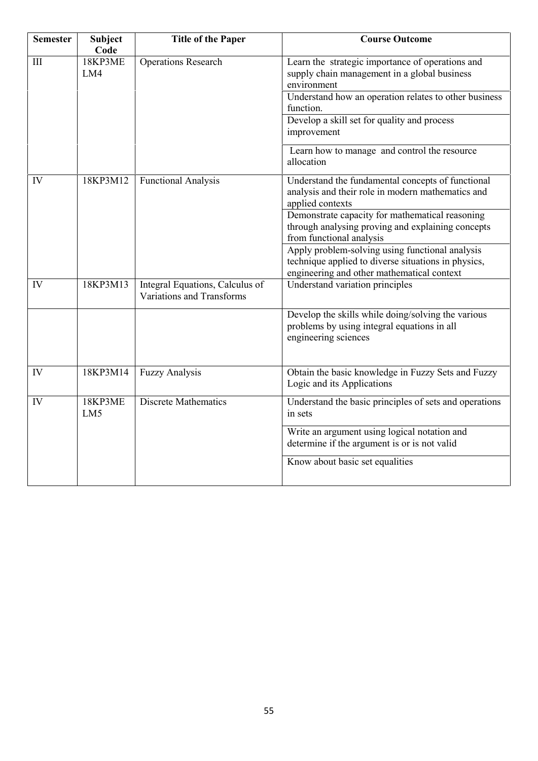| <b>Semester</b> | <b>Subject</b><br>Code     | <b>Title of the Paper</b>                                    | <b>Course Outcome</b>                                                                                                                                |
|-----------------|----------------------------|--------------------------------------------------------------|------------------------------------------------------------------------------------------------------------------------------------------------------|
| III             | 18KP3ME<br>LM4             | <b>Operations Research</b>                                   | Learn the strategic importance of operations and<br>supply chain management in a global business<br>environment                                      |
|                 |                            |                                                              | Understand how an operation relates to other business<br>function.                                                                                   |
|                 |                            |                                                              | Develop a skill set for quality and process<br>improvement                                                                                           |
|                 |                            |                                                              | Learn how to manage and control the resource<br>allocation                                                                                           |
| IV              | 18KP3M12                   | <b>Functional Analysis</b>                                   | Understand the fundamental concepts of functional<br>analysis and their role in modern mathematics and<br>applied contexts                           |
|                 |                            |                                                              | Demonstrate capacity for mathematical reasoning<br>through analysing proving and explaining concepts<br>from functional analysis                     |
|                 |                            |                                                              | Apply problem-solving using functional analysis<br>technique applied to diverse situations in physics,<br>engineering and other mathematical context |
| IV              | 18KP3M13                   | Integral Equations, Calculus of<br>Variations and Transforms | Understand variation principles                                                                                                                      |
|                 |                            |                                                              | Develop the skills while doing/solving the various<br>problems by using integral equations in all<br>engineering sciences                            |
| IV              | 18KP3M14                   | <b>Fuzzy Analysis</b>                                        | Obtain the basic knowledge in Fuzzy Sets and Fuzzy<br>Logic and its Applications                                                                     |
| IV              | 18KP3ME<br>LM <sub>5</sub> | <b>Discrete Mathematics</b>                                  | Understand the basic principles of sets and operations<br>in sets                                                                                    |
|                 |                            |                                                              | Write an argument using logical notation and<br>determine if the argument is or is not valid                                                         |
|                 |                            |                                                              | Know about basic set equalities                                                                                                                      |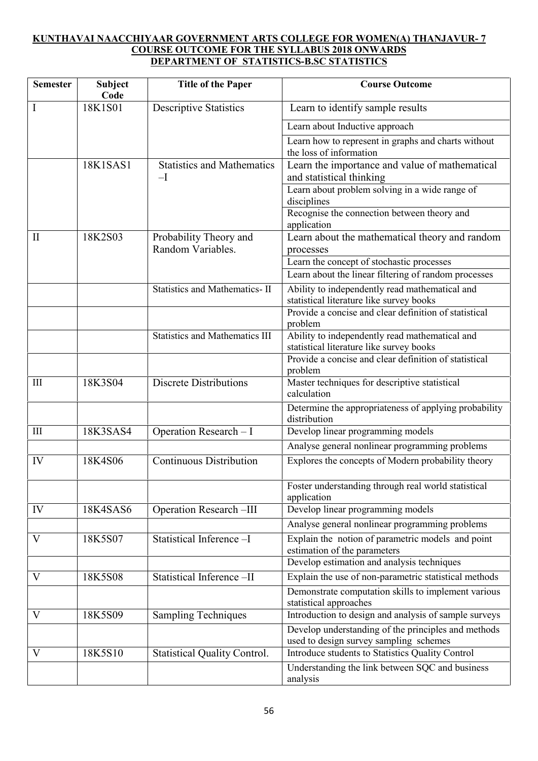# **KUNTHAVAI NAACCHIYAAR GOVERNMENT ARTS COLLEGE FOR WOMEN(A) THANJAVUR- 7 COURSE OUTCOME FOR THE SYLLABUS 2018 ONWARDS DEPARTMENT OF STATISTICS-B.SC STATISTICS**

| <b>Semester</b> | <b>Subject</b><br>Code | <b>Title of the Paper</b>                   | <b>Course Outcome</b>                                                                                                                               |
|-----------------|------------------------|---------------------------------------------|-----------------------------------------------------------------------------------------------------------------------------------------------------|
| I               | 18K1S01                | <b>Descriptive Statistics</b>               | Learn to identify sample results                                                                                                                    |
|                 |                        |                                             | Learn about Inductive approach                                                                                                                      |
|                 |                        |                                             | Learn how to represent in graphs and charts without<br>the loss of information                                                                      |
|                 | 18K1SAS1               | <b>Statistics and Mathematics</b><br>$-I$   | Learn the importance and value of mathematical<br>and statistical thinking                                                                          |
|                 |                        |                                             | Learn about problem solving in a wide range of<br>disciplines                                                                                       |
|                 |                        |                                             | Recognise the connection between theory and<br>application                                                                                          |
| $\mathbf{I}$    | 18K2S03                | Probability Theory and<br>Random Variables. | Learn about the mathematical theory and random<br>processes                                                                                         |
|                 |                        |                                             | Learn the concept of stochastic processes                                                                                                           |
|                 |                        |                                             | Learn about the linear filtering of random processes                                                                                                |
|                 |                        | <b>Statistics and Mathematics-II</b>        | Ability to independently read mathematical and<br>statistical literature like survey books<br>Provide a concise and clear definition of statistical |
|                 |                        |                                             | problem                                                                                                                                             |
|                 |                        | <b>Statistics and Mathematics III</b>       | Ability to independently read mathematical and<br>statistical literature like survey books                                                          |
|                 |                        |                                             | Provide a concise and clear definition of statistical<br>problem                                                                                    |
| III             | 18K3S04                | <b>Discrete Distributions</b>               | Master techniques for descriptive statistical<br>calculation                                                                                        |
|                 |                        |                                             | Determine the appropriateness of applying probability<br>distribution                                                                               |
| III             | 18K3SAS4               | Operation Research - I                      | Develop linear programming models                                                                                                                   |
|                 |                        |                                             | Analyse general nonlinear programming problems                                                                                                      |
| IV              | 18K4S06                | <b>Continuous Distribution</b>              | Explores the concepts of Modern probability theory                                                                                                  |
|                 |                        |                                             | Foster understanding through real world statistical<br>application                                                                                  |
| IV              | 18K4SAS6               | <b>Operation Research-III</b>               | Develop linear programming models                                                                                                                   |
|                 |                        |                                             | Analyse general nonlinear programming problems                                                                                                      |
| V               | 18K5S07                | Statistical Inference -I                    | Explain the notion of parametric models and point<br>estimation of the parameters<br>Develop estimation and analysis techniques                     |
| V               | 18K5S08                | Statistical Inference-II                    | Explain the use of non-parametric statistical methods                                                                                               |
|                 |                        |                                             | Demonstrate computation skills to implement various<br>statistical approaches                                                                       |
| V               | 18K5S09                | <b>Sampling Techniques</b>                  | Introduction to design and analysis of sample surveys                                                                                               |
|                 |                        |                                             | Develop understanding of the principles and methods<br>used to design survey sampling schemes                                                       |
| V               | 18K5S10                | <b>Statistical Quality Control.</b>         | Introduce students to Statistics Quality Control                                                                                                    |
|                 |                        |                                             | Understanding the link between SQC and business<br>analysis                                                                                         |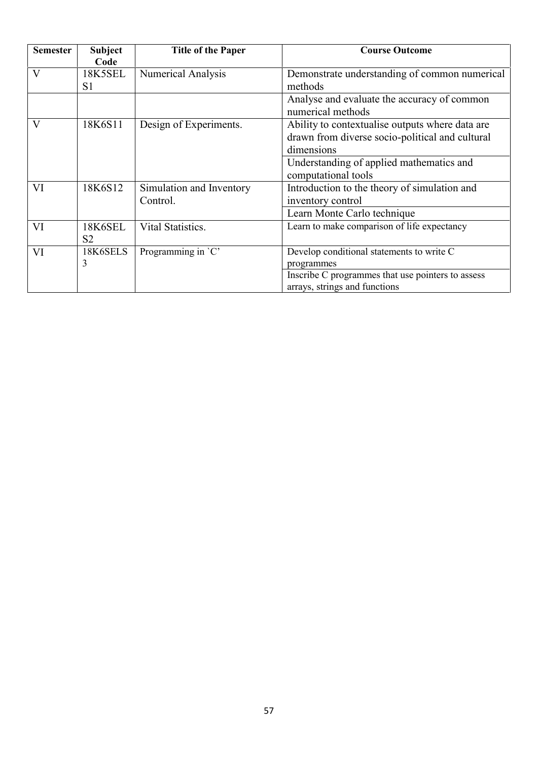| <b>Semester</b> | <b>Subject</b><br>Code           | <b>Title of the Paper</b>            | <b>Course Outcome</b>                                                                                            |
|-----------------|----------------------------------|--------------------------------------|------------------------------------------------------------------------------------------------------------------|
| $\mathbf{V}$    | <b>18K5SEL</b><br>S <sub>1</sub> | <b>Numerical Analysis</b>            | Demonstrate understanding of common numerical<br>methods                                                         |
|                 |                                  |                                      | Analyse and evaluate the accuracy of common<br>numerical methods                                                 |
| $\mathbf{V}$    | 18K6S11                          | Design of Experiments.               | Ability to contextualise outputs where data are<br>drawn from diverse socio-political and cultural<br>dimensions |
|                 |                                  |                                      | Understanding of applied mathematics and<br>computational tools                                                  |
| VI              | 18K6S12                          | Simulation and Inventory<br>Control. | Introduction to the theory of simulation and<br>inventory control<br>Learn Monte Carlo technique                 |
| VI              | 18K6SEL<br>S <sub>2</sub>        | Vital Statistics.                    | Learn to make comparison of life expectancy                                                                      |
| VI              | 18K6SELS<br>3                    | Programming in `C'                   | Develop conditional statements to write C<br>programmes                                                          |
|                 |                                  |                                      | Inscribe C programmes that use pointers to assess<br>arrays, strings and functions                               |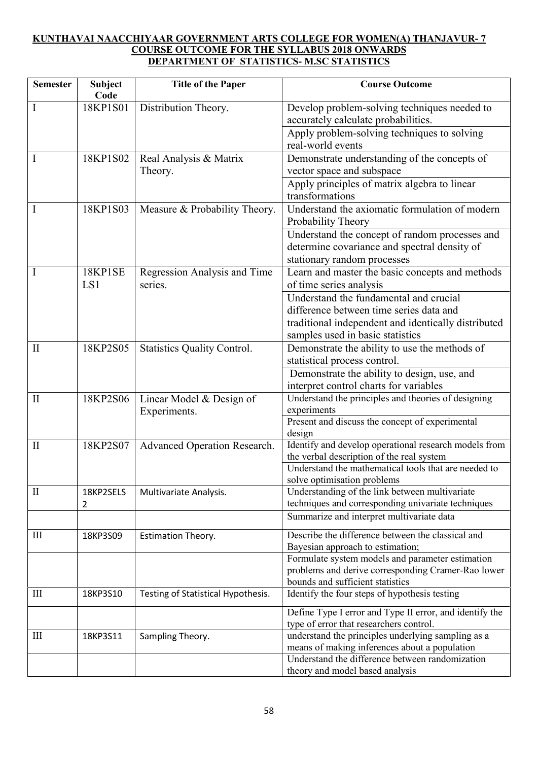## **KUNTHAVAI NAACCHIYAAR GOVERNMENT ARTS COLLEGE FOR WOMEN(A) THANJAVUR- 7 COURSE OUTCOME FOR THE SYLLABUS 2018 ONWARDS DEPARTMENT OF STATISTICS- M.SC STATISTICS**

| <b>Semester</b> | <b>Subject</b><br>Code | <b>Title of the Paper</b>          | <b>Course Outcome</b>                                                                               |
|-----------------|------------------------|------------------------------------|-----------------------------------------------------------------------------------------------------|
| I               | 18KP1S01               | Distribution Theory.               | Develop problem-solving techniques needed to<br>accurately calculate probabilities.                 |
|                 |                        |                                    | Apply problem-solving techniques to solving<br>real-world events                                    |
| 1               | 18KP1S02               | Real Analysis & Matrix             | Demonstrate understanding of the concepts of                                                        |
|                 |                        | Theory.                            | vector space and subspace                                                                           |
|                 |                        |                                    | Apply principles of matrix algebra to linear                                                        |
|                 |                        |                                    | transformations                                                                                     |
| I               | 18KP1S03               | Measure & Probability Theory.      | Understand the axiomatic formulation of modern<br>Probability Theory                                |
|                 |                        |                                    | Understand the concept of random processes and                                                      |
|                 |                        |                                    | determine covariance and spectral density of                                                        |
|                 |                        |                                    | stationary random processes                                                                         |
| I               | 18KP1SE                | Regression Analysis and Time       | Learn and master the basic concepts and methods                                                     |
|                 | LS1                    | series.                            | of time series analysis                                                                             |
|                 |                        |                                    | Understand the fundamental and crucial                                                              |
|                 |                        |                                    | difference between time series data and                                                             |
|                 |                        |                                    | traditional independent and identically distributed                                                 |
|                 |                        |                                    | samples used in basic statistics                                                                    |
| $\mathbf{I}$    | 18KP2S05               | Statistics Quality Control.        | Demonstrate the ability to use the methods of                                                       |
|                 |                        |                                    | statistical process control.                                                                        |
|                 |                        |                                    | Demonstrate the ability to design, use, and                                                         |
|                 |                        |                                    | interpret control charts for variables                                                              |
| $\mathbf{I}$    | 18KP2S06               | Linear Model & Design of           | Understand the principles and theories of designing                                                 |
|                 |                        | Experiments.                       | experiments                                                                                         |
|                 |                        |                                    | Present and discuss the concept of experimental<br>design                                           |
| $\mathbf{I}$    | 18KP2S07               | Advanced Operation Research.       | Identify and develop operational research models from                                               |
|                 |                        |                                    | the verbal description of the real system                                                           |
|                 |                        |                                    | Understand the mathematical tools that are needed to                                                |
|                 |                        |                                    | solve optimisation problems                                                                         |
| $\mathbf{I}$    | 18KP2SELS              | Multivariate Analysis.             | Understanding of the link between multivariate                                                      |
|                 | 2                      |                                    | techniques and corresponding univariate techniques                                                  |
|                 |                        |                                    | Summarize and interpret multivariate data                                                           |
| Ш               | 18KP3S09               | Estimation Theory.                 | Describe the difference between the classical and                                                   |
|                 |                        |                                    | Bayesian approach to estimation;                                                                    |
|                 |                        |                                    | Formulate system models and parameter estimation                                                    |
|                 |                        |                                    | problems and derive corresponding Cramer-Rao lower<br>bounds and sufficient statistics              |
| Ш               | 18KP3S10               | Testing of Statistical Hypothesis. | Identify the four steps of hypothesis testing                                                       |
|                 |                        |                                    |                                                                                                     |
|                 |                        |                                    | Define Type I error and Type II error, and identify the                                             |
|                 |                        |                                    | type of error that researchers control.                                                             |
| Ш               | 18KP3S11               | Sampling Theory.                   | understand the principles underlying sampling as a<br>means of making inferences about a population |
|                 |                        |                                    | Understand the difference between randomization                                                     |
|                 |                        |                                    | theory and model based analysis                                                                     |